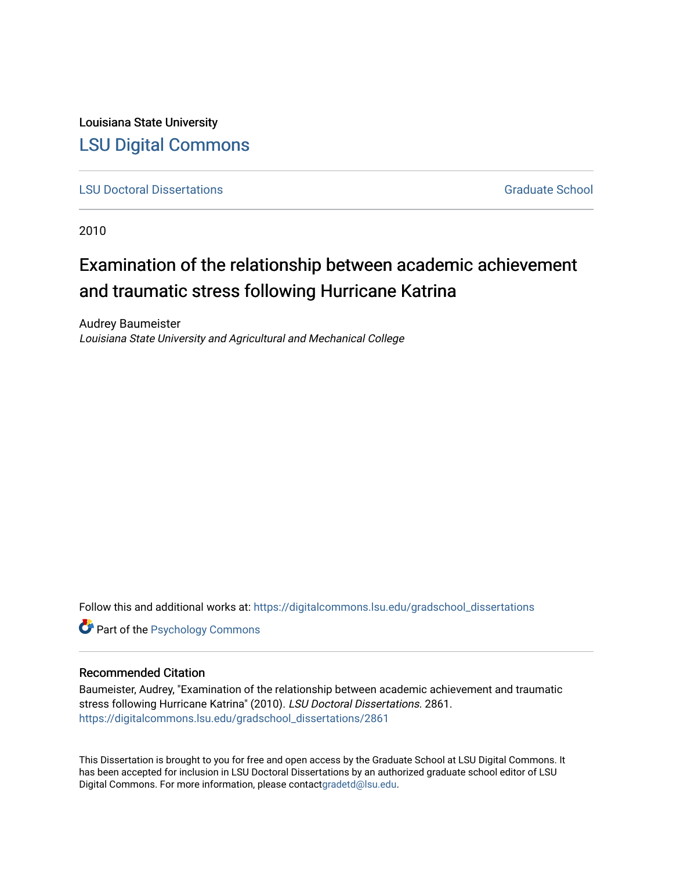Louisiana State University [LSU Digital Commons](https://digitalcommons.lsu.edu/)

**[LSU Doctoral Dissertations](https://digitalcommons.lsu.edu/gradschool_dissertations)** [Graduate School](https://digitalcommons.lsu.edu/gradschool) Control of the Graduate School Control of the Graduate School Control of the Graduate School Control of the Graduate School Control of the Graduate School Control of the Graduat

2010

# Examination of the relationship between academic achievement and traumatic stress following Hurricane Katrina

Audrey Baumeister Louisiana State University and Agricultural and Mechanical College

Follow this and additional works at: [https://digitalcommons.lsu.edu/gradschool\\_dissertations](https://digitalcommons.lsu.edu/gradschool_dissertations?utm_source=digitalcommons.lsu.edu%2Fgradschool_dissertations%2F2861&utm_medium=PDF&utm_campaign=PDFCoverPages)

**Part of the Psychology Commons** 

#### Recommended Citation

Baumeister, Audrey, "Examination of the relationship between academic achievement and traumatic stress following Hurricane Katrina" (2010). LSU Doctoral Dissertations. 2861. [https://digitalcommons.lsu.edu/gradschool\\_dissertations/2861](https://digitalcommons.lsu.edu/gradschool_dissertations/2861?utm_source=digitalcommons.lsu.edu%2Fgradschool_dissertations%2F2861&utm_medium=PDF&utm_campaign=PDFCoverPages)

This Dissertation is brought to you for free and open access by the Graduate School at LSU Digital Commons. It has been accepted for inclusion in LSU Doctoral Dissertations by an authorized graduate school editor of LSU Digital Commons. For more information, please contac[tgradetd@lsu.edu.](mailto:gradetd@lsu.edu)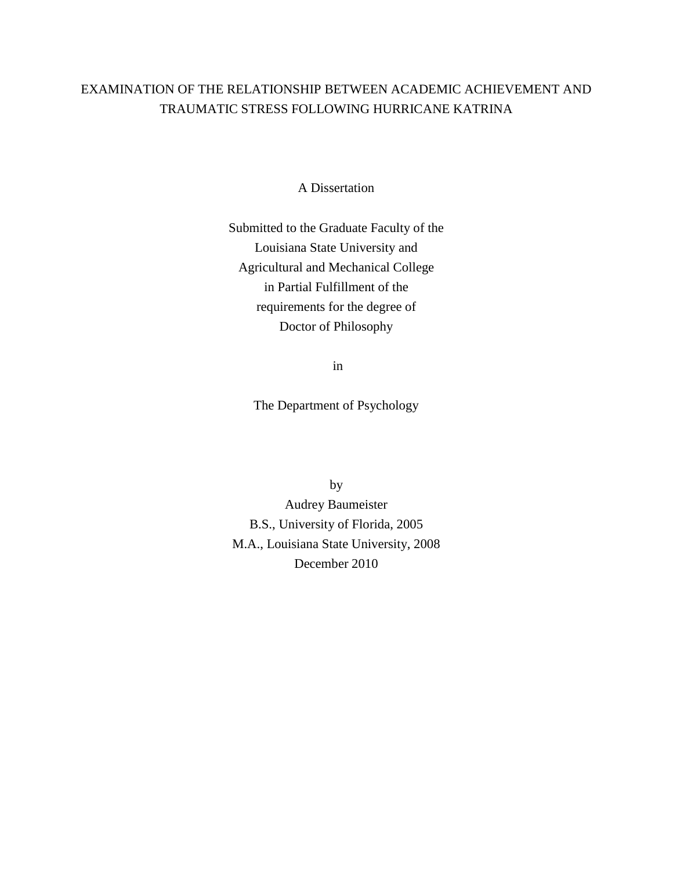# EXAMINATION OF THE RELATIONSHIP BETWEEN ACADEMIC ACHIEVEMENT AND TRAUMATIC STRESS FOLLOWING HURRICANE KATRINA

A Dissertation

Submitted to the Graduate Faculty of the Louisiana State University and Agricultural and Mechanical College in Partial Fulfillment of the requirements for the degree of Doctor of Philosophy

in

The Department of Psychology

by Audrey Baumeister B.S., University of Florida, 2005 M.A., Louisiana State University, 2008 December 2010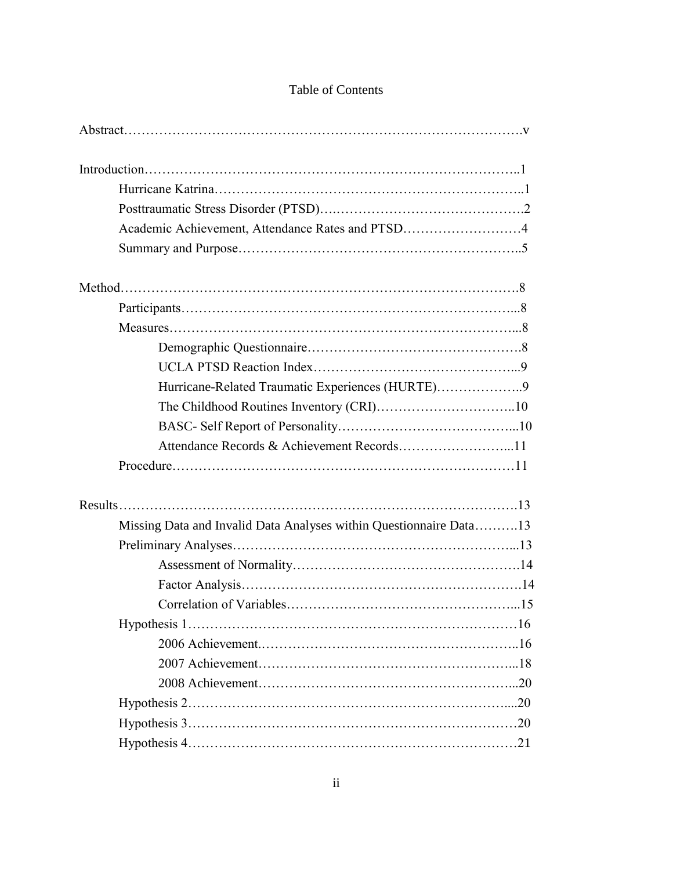| Academic Achievement, Attendance Rates and PTSD4                   |  |
|--------------------------------------------------------------------|--|
|                                                                    |  |
|                                                                    |  |
|                                                                    |  |
|                                                                    |  |
|                                                                    |  |
|                                                                    |  |
| Hurricane-Related Traumatic Experiences (HURTE)9                   |  |
|                                                                    |  |
|                                                                    |  |
|                                                                    |  |
|                                                                    |  |
|                                                                    |  |
| Missing Data and Invalid Data Analyses within Questionnaire Data13 |  |
|                                                                    |  |
|                                                                    |  |
|                                                                    |  |
|                                                                    |  |
|                                                                    |  |
|                                                                    |  |
|                                                                    |  |
|                                                                    |  |
|                                                                    |  |
|                                                                    |  |
|                                                                    |  |

# Table of Contents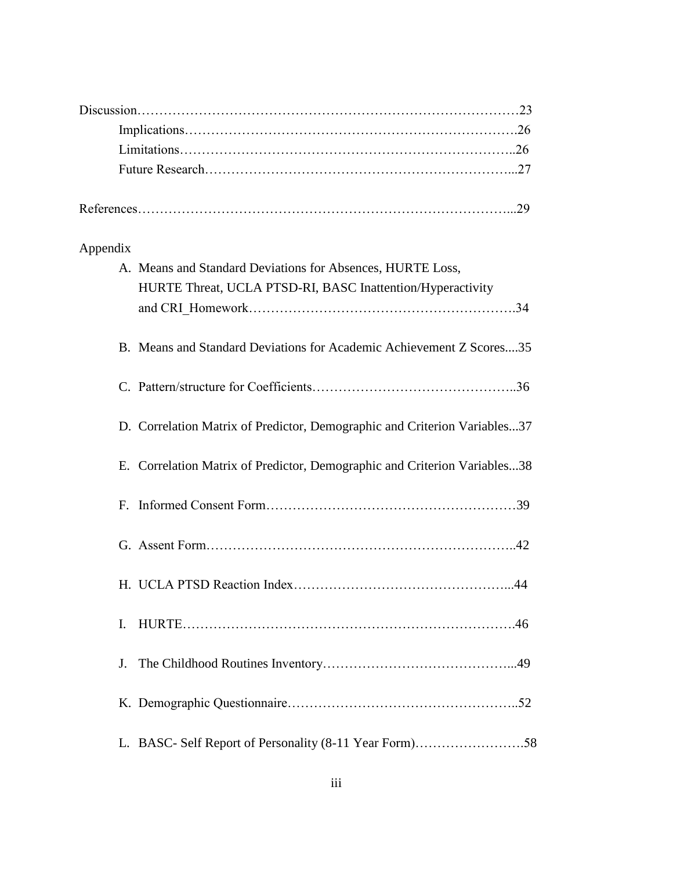| Appendix    |                                                                           |
|-------------|---------------------------------------------------------------------------|
|             | A. Means and Standard Deviations for Absences, HURTE Loss,                |
|             | HURTE Threat, UCLA PTSD-RI, BASC Inattention/Hyperactivity                |
|             |                                                                           |
|             | B. Means and Standard Deviations for Academic Achievement Z Scores35      |
|             |                                                                           |
|             | D. Correlation Matrix of Predictor, Demographic and Criterion Variables37 |
|             | E. Correlation Matrix of Predictor, Demographic and Criterion Variables38 |
| $F_{\cdot}$ |                                                                           |
|             |                                                                           |
|             | .44                                                                       |
| I.          |                                                                           |
| J.          |                                                                           |
|             |                                                                           |
|             |                                                                           |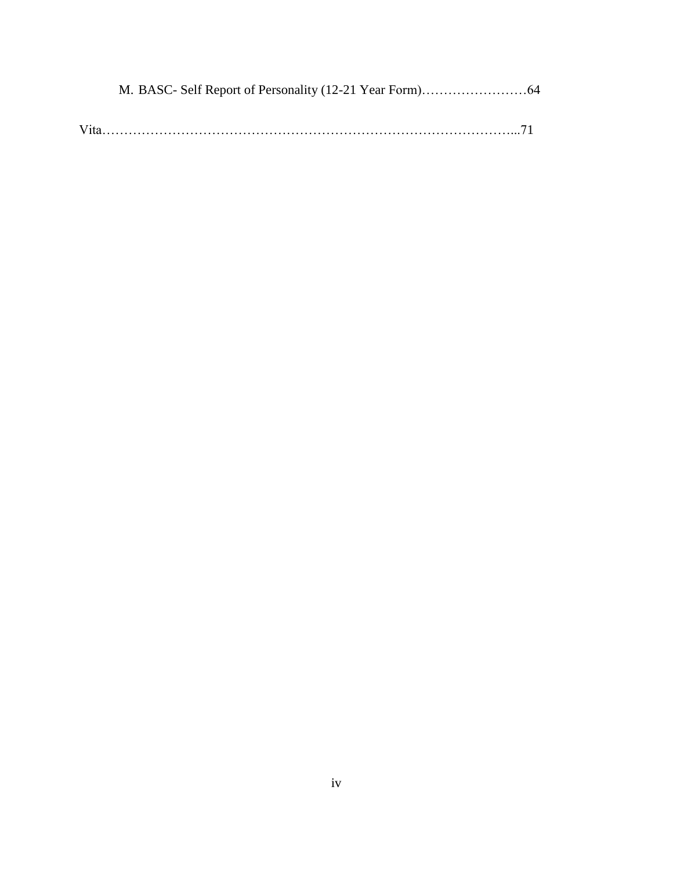| Vita. |  |
|-------|--|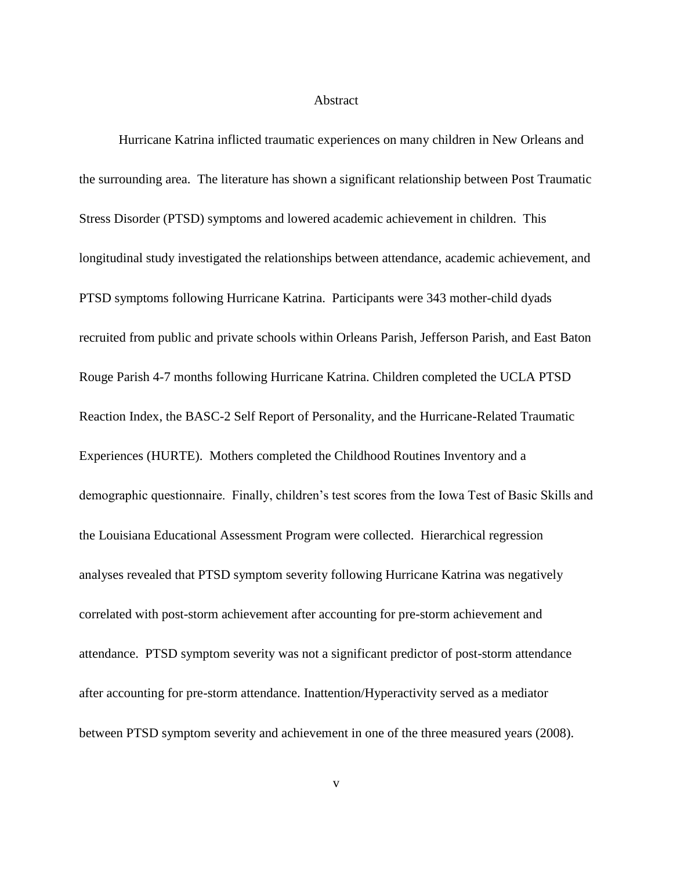#### Abstract

Hurricane Katrina inflicted traumatic experiences on many children in New Orleans and the surrounding area. The literature has shown a significant relationship between Post Traumatic Stress Disorder (PTSD) symptoms and lowered academic achievement in children. This longitudinal study investigated the relationships between attendance, academic achievement, and PTSD symptoms following Hurricane Katrina. Participants were 343 mother-child dyads recruited from public and private schools within Orleans Parish, Jefferson Parish, and East Baton Rouge Parish 4-7 months following Hurricane Katrina. Children completed the UCLA PTSD Reaction Index, the BASC-2 Self Report of Personality, and the Hurricane-Related Traumatic Experiences (HURTE). Mothers completed the Childhood Routines Inventory and a demographic questionnaire. Finally, children"s test scores from the Iowa Test of Basic Skills and the Louisiana Educational Assessment Program were collected. Hierarchical regression analyses revealed that PTSD symptom severity following Hurricane Katrina was negatively correlated with post-storm achievement after accounting for pre-storm achievement and attendance. PTSD symptom severity was not a significant predictor of post-storm attendance after accounting for pre-storm attendance. Inattention/Hyperactivity served as a mediator between PTSD symptom severity and achievement in one of the three measured years (2008).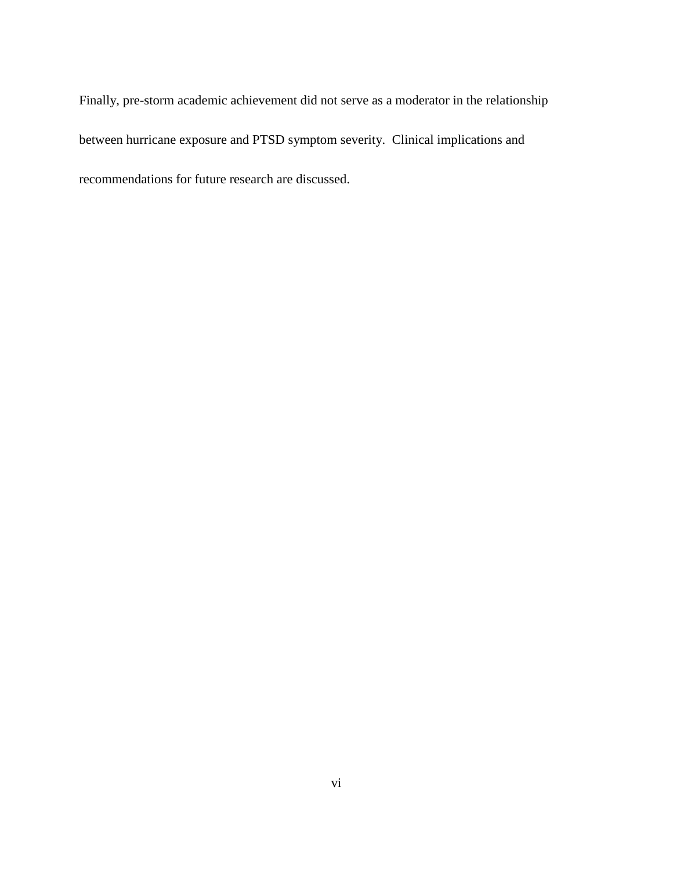Finally, pre-storm academic achievement did not serve as a moderator in the relationship between hurricane exposure and PTSD symptom severity. Clinical implications and recommendations for future research are discussed.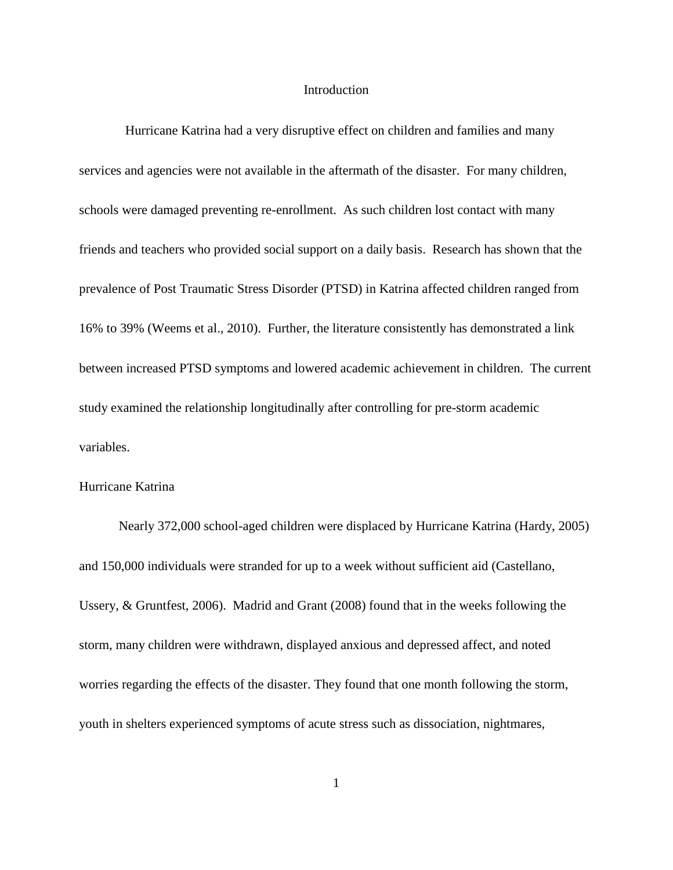# Introduction

 Hurricane Katrina had a very disruptive effect on children and families and many services and agencies were not available in the aftermath of the disaster. For many children, schools were damaged preventing re-enrollment. As such children lost contact with many friends and teachers who provided social support on a daily basis. Research has shown that the prevalence of Post Traumatic Stress Disorder (PTSD) in Katrina affected children ranged from 16% to 39% (Weems et al., 2010). Further, the literature consistently has demonstrated a link between increased PTSD symptoms and lowered academic achievement in children. The current study examined the relationship longitudinally after controlling for pre-storm academic variables.

# Hurricane Katrina

Nearly 372,000 school-aged children were displaced by Hurricane Katrina (Hardy, 2005) and 150,000 individuals were stranded for up to a week without sufficient aid (Castellano, Ussery, & Gruntfest, 2006). Madrid and Grant (2008) found that in the weeks following the storm, many children were withdrawn, displayed anxious and depressed affect, and noted worries regarding the effects of the disaster. They found that one month following the storm, youth in shelters experienced symptoms of acute stress such as dissociation, nightmares,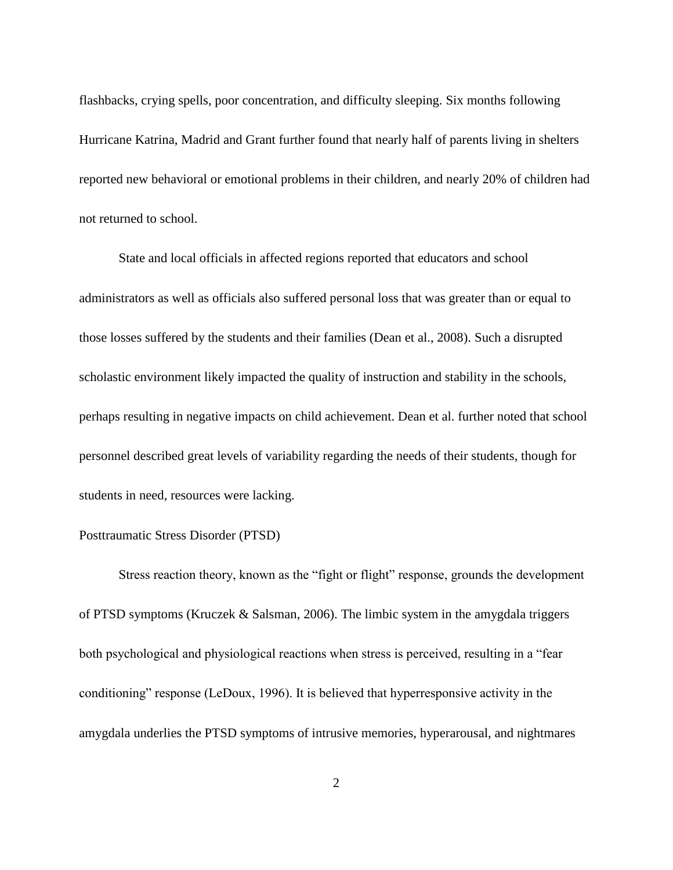flashbacks, crying spells, poor concentration, and difficulty sleeping. Six months following Hurricane Katrina, Madrid and Grant further found that nearly half of parents living in shelters reported new behavioral or emotional problems in their children, and nearly 20% of children had not returned to school.

State and local officials in affected regions reported that educators and school administrators as well as officials also suffered personal loss that was greater than or equal to those losses suffered by the students and their families (Dean et al., 2008). Such a disrupted scholastic environment likely impacted the quality of instruction and stability in the schools, perhaps resulting in negative impacts on child achievement. Dean et al. further noted that school personnel described great levels of variability regarding the needs of their students, though for students in need, resources were lacking.

#### Posttraumatic Stress Disorder (PTSD)

Stress reaction theory, known as the "fight or flight" response, grounds the development of PTSD symptoms (Kruczek & Salsman, 2006). The limbic system in the amygdala triggers both psychological and physiological reactions when stress is perceived, resulting in a "fear conditioning" response (LeDoux, 1996). It is believed that hyperresponsive activity in the amygdala underlies the PTSD symptoms of intrusive memories, hyperarousal, and nightmares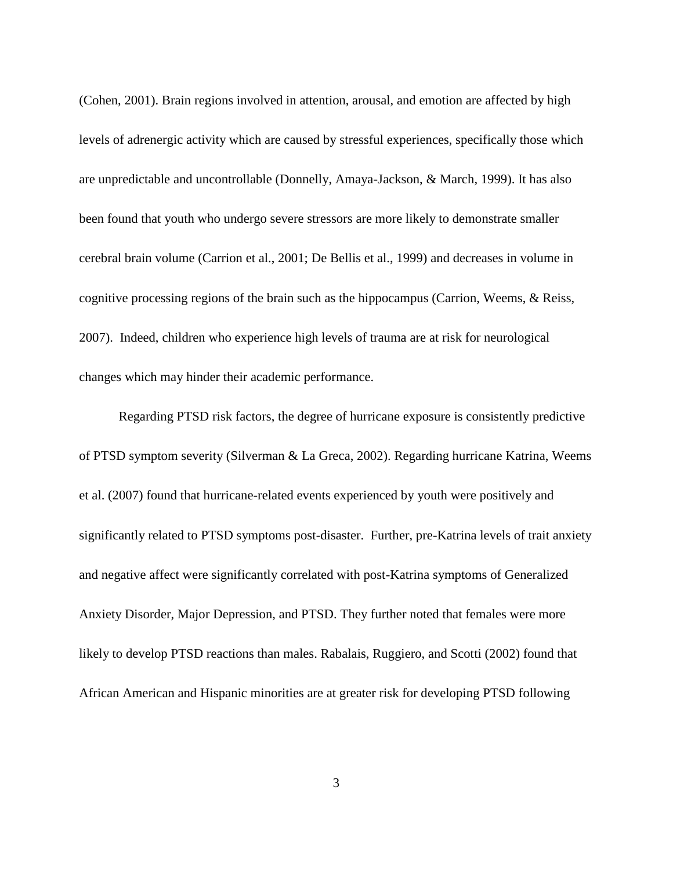(Cohen, 2001). Brain regions involved in attention, arousal, and emotion are affected by high levels of adrenergic activity which are caused by stressful experiences, specifically those which are unpredictable and uncontrollable (Donnelly, Amaya-Jackson, & March, 1999). It has also been found that youth who undergo severe stressors are more likely to demonstrate smaller cerebral brain volume (Carrion et al., 2001; De Bellis et al., 1999) and decreases in volume in cognitive processing regions of the brain such as the hippocampus (Carrion, Weems, & Reiss, 2007). Indeed, children who experience high levels of trauma are at risk for neurological changes which may hinder their academic performance.

Regarding PTSD risk factors, the degree of hurricane exposure is consistently predictive of PTSD symptom severity (Silverman & La Greca, 2002). Regarding hurricane Katrina, Weems et al. (2007) found that hurricane-related events experienced by youth were positively and significantly related to PTSD symptoms post-disaster. Further, pre-Katrina levels of trait anxiety and negative affect were significantly correlated with post-Katrina symptoms of Generalized Anxiety Disorder, Major Depression, and PTSD. They further noted that females were more likely to develop PTSD reactions than males. Rabalais, Ruggiero, and Scotti (2002) found that African American and Hispanic minorities are at greater risk for developing PTSD following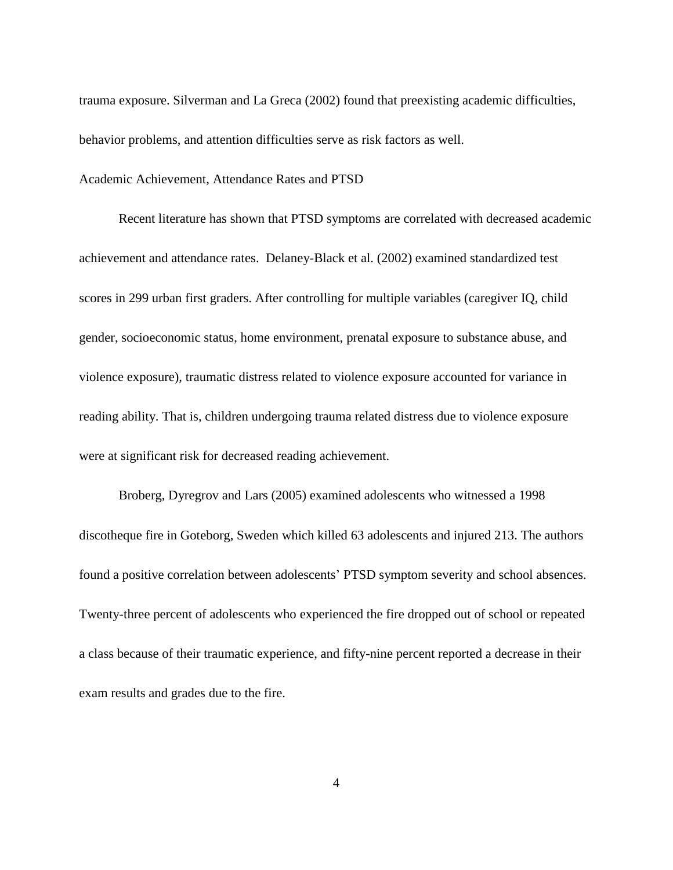trauma exposure. Silverman and La Greca (2002) found that preexisting academic difficulties, behavior problems, and attention difficulties serve as risk factors as well.

#### Academic Achievement, Attendance Rates and PTSD

Recent literature has shown that PTSD symptoms are correlated with decreased academic achievement and attendance rates. Delaney-Black et al. (2002) examined standardized test scores in 299 urban first graders. After controlling for multiple variables (caregiver IQ, child gender, socioeconomic status, home environment, prenatal exposure to substance abuse, and violence exposure), traumatic distress related to violence exposure accounted for variance in reading ability. That is, children undergoing trauma related distress due to violence exposure were at significant risk for decreased reading achievement.

Broberg, Dyregrov and Lars (2005) examined adolescents who witnessed a 1998 discotheque fire in Goteborg, Sweden which killed 63 adolescents and injured 213. The authors found a positive correlation between adolescents" PTSD symptom severity and school absences. Twenty-three percent of adolescents who experienced the fire dropped out of school or repeated a class because of their traumatic experience, and fifty-nine percent reported a decrease in their exam results and grades due to the fire.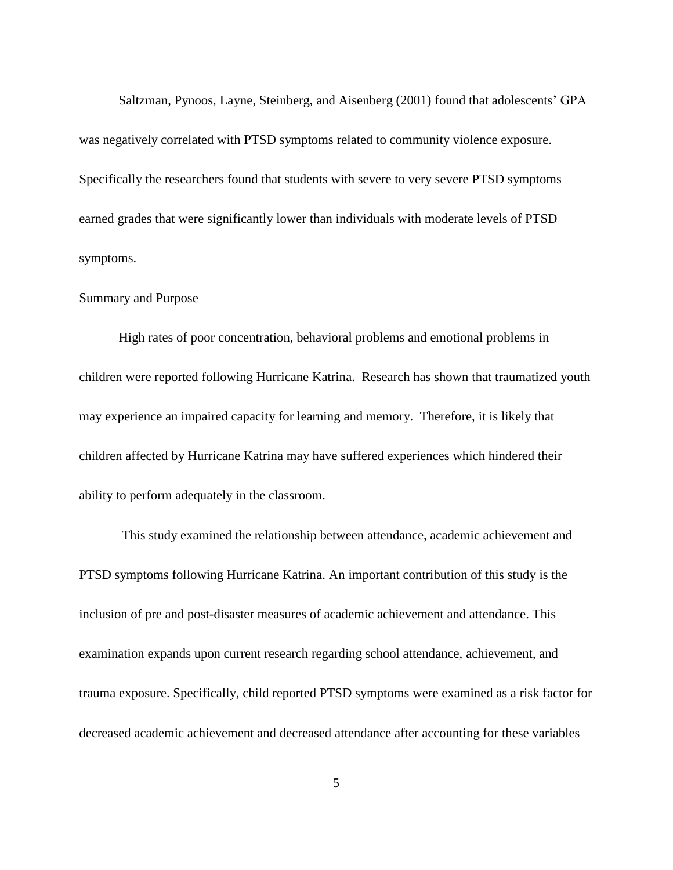Saltzman, Pynoos, Layne, Steinberg, and Aisenberg (2001) found that adolescents' GPA was negatively correlated with PTSD symptoms related to community violence exposure. Specifically the researchers found that students with severe to very severe PTSD symptoms earned grades that were significantly lower than individuals with moderate levels of PTSD symptoms.

# Summary and Purpose

High rates of poor concentration, behavioral problems and emotional problems in children were reported following Hurricane Katrina. Research has shown that traumatized youth may experience an impaired capacity for learning and memory. Therefore, it is likely that children affected by Hurricane Katrina may have suffered experiences which hindered their ability to perform adequately in the classroom.

This study examined the relationship between attendance, academic achievement and PTSD symptoms following Hurricane Katrina. An important contribution of this study is the inclusion of pre and post-disaster measures of academic achievement and attendance. This examination expands upon current research regarding school attendance, achievement, and trauma exposure. Specifically, child reported PTSD symptoms were examined as a risk factor for decreased academic achievement and decreased attendance after accounting for these variables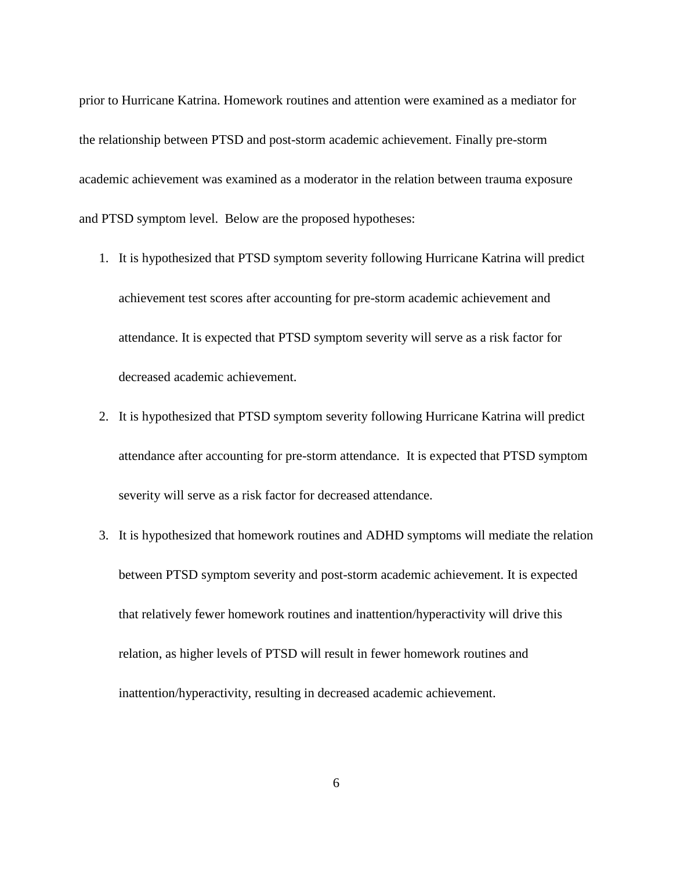prior to Hurricane Katrina. Homework routines and attention were examined as a mediator for the relationship between PTSD and post-storm academic achievement. Finally pre-storm academic achievement was examined as a moderator in the relation between trauma exposure and PTSD symptom level. Below are the proposed hypotheses:

- 1. It is hypothesized that PTSD symptom severity following Hurricane Katrina will predict achievement test scores after accounting for pre-storm academic achievement and attendance. It is expected that PTSD symptom severity will serve as a risk factor for decreased academic achievement.
- 2. It is hypothesized that PTSD symptom severity following Hurricane Katrina will predict attendance after accounting for pre-storm attendance. It is expected that PTSD symptom severity will serve as a risk factor for decreased attendance.
- 3. It is hypothesized that homework routines and ADHD symptoms will mediate the relation between PTSD symptom severity and post-storm academic achievement. It is expected that relatively fewer homework routines and inattention/hyperactivity will drive this relation, as higher levels of PTSD will result in fewer homework routines and inattention/hyperactivity, resulting in decreased academic achievement.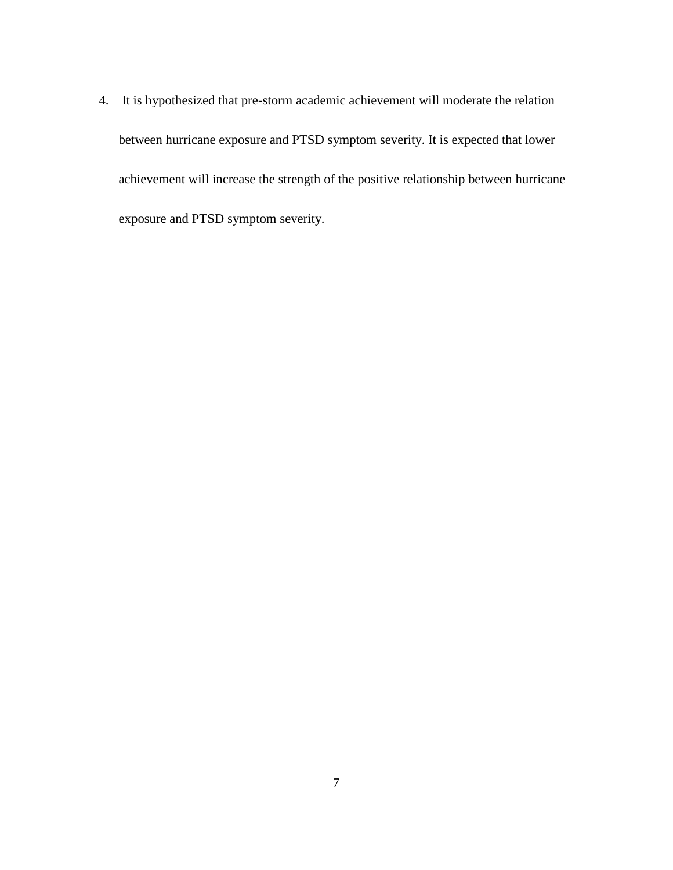4. It is hypothesized that pre-storm academic achievement will moderate the relation between hurricane exposure and PTSD symptom severity. It is expected that lower achievement will increase the strength of the positive relationship between hurricane exposure and PTSD symptom severity.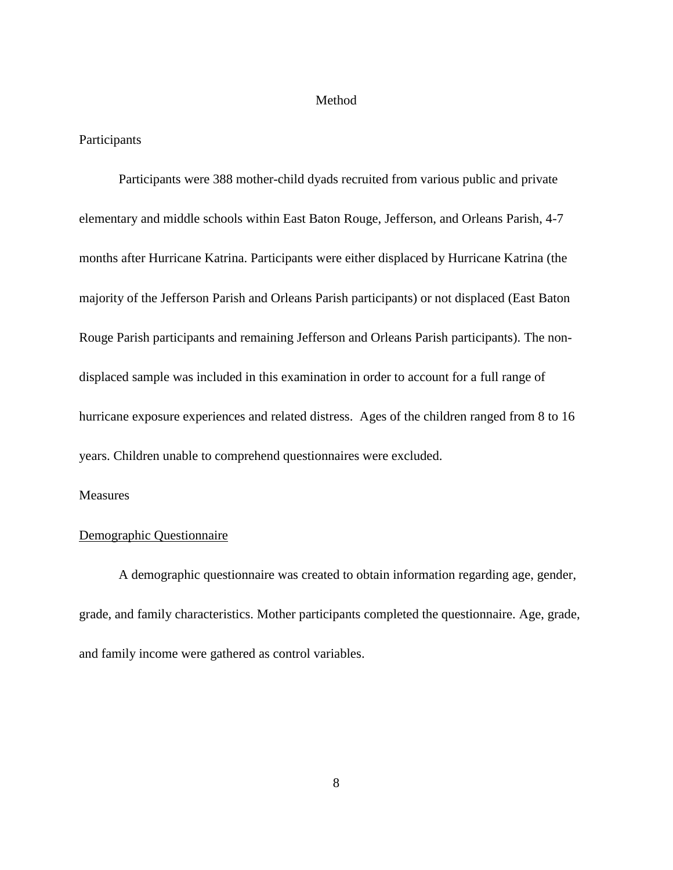#### Method

# Participants

Participants were 388 mother-child dyads recruited from various public and private elementary and middle schools within East Baton Rouge, Jefferson, and Orleans Parish, 4-7 months after Hurricane Katrina. Participants were either displaced by Hurricane Katrina (the majority of the Jefferson Parish and Orleans Parish participants) or not displaced (East Baton Rouge Parish participants and remaining Jefferson and Orleans Parish participants). The nondisplaced sample was included in this examination in order to account for a full range of hurricane exposure experiences and related distress. Ages of the children ranged from 8 to 16 years. Children unable to comprehend questionnaires were excluded.

# Measures

#### Demographic Questionnaire

A demographic questionnaire was created to obtain information regarding age, gender, grade, and family characteristics. Mother participants completed the questionnaire. Age, grade, and family income were gathered as control variables.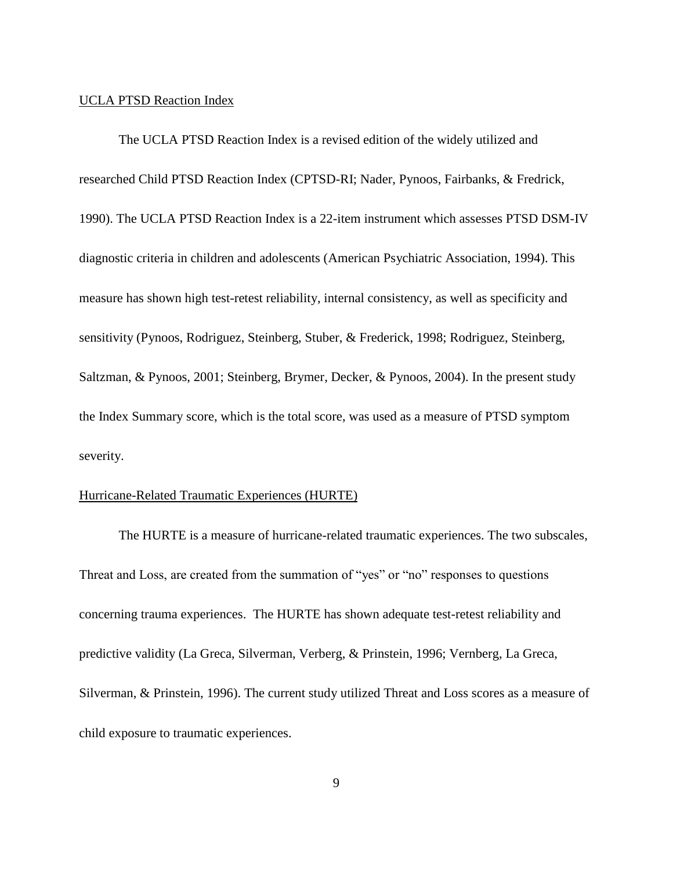#### UCLA PTSD Reaction Index

The UCLA PTSD Reaction Index is a revised edition of the widely utilized and researched Child PTSD Reaction Index (CPTSD-RI; Nader, Pynoos, Fairbanks, & Fredrick, 1990). The UCLA PTSD Reaction Index is a 22-item instrument which assesses PTSD DSM-IV diagnostic criteria in children and adolescents (American Psychiatric Association, 1994). This measure has shown high test-retest reliability, internal consistency, as well as specificity and sensitivity (Pynoos, Rodriguez, Steinberg, Stuber, & Frederick, 1998; Rodriguez, Steinberg, Saltzman, & Pynoos, 2001; Steinberg, Brymer, Decker, & Pynoos, 2004). In the present study the Index Summary score, which is the total score, was used as a measure of PTSD symptom severity.

# Hurricane-Related Traumatic Experiences (HURTE)

The HURTE is a measure of hurricane-related traumatic experiences. The two subscales, Threat and Loss, are created from the summation of "yes" or "no" responses to questions concerning trauma experiences. The HURTE has shown adequate test-retest reliability and predictive validity (La Greca, Silverman, Verberg, & Prinstein, 1996; Vernberg, La Greca, Silverman, & Prinstein, 1996). The current study utilized Threat and Loss scores as a measure of child exposure to traumatic experiences.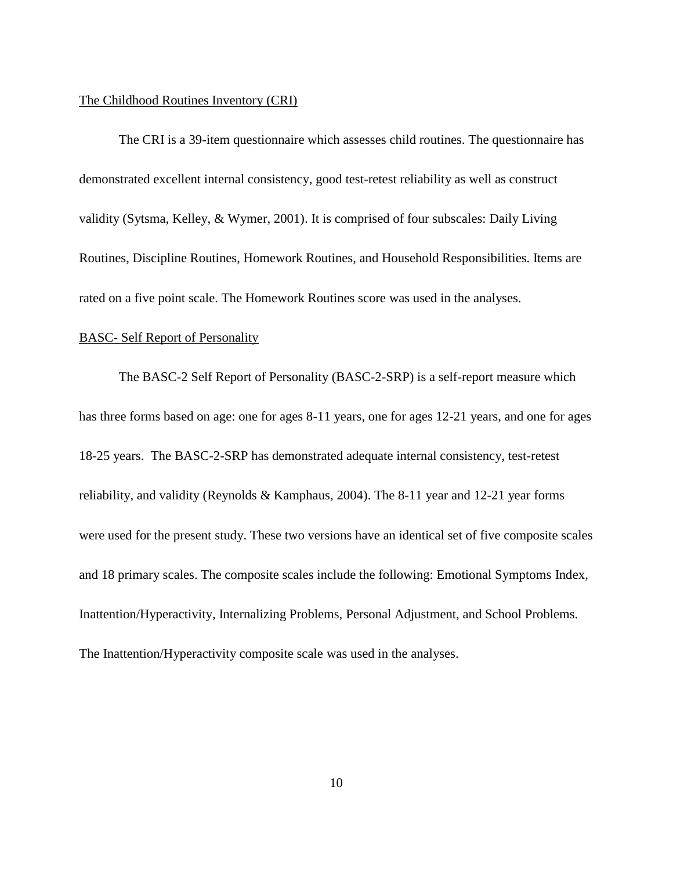#### The Childhood Routines Inventory (CRI)

The CRI is a 39-item questionnaire which assesses child routines. The questionnaire has demonstrated excellent internal consistency, good test-retest reliability as well as construct validity (Sytsma, Kelley, & Wymer, 2001). It is comprised of four subscales: Daily Living Routines, Discipline Routines, Homework Routines, and Household Responsibilities. Items are rated on a five point scale. The Homework Routines score was used in the analyses.

#### BASC- Self Report of Personality

The BASC-2 Self Report of Personality (BASC-2-SRP) is a self-report measure which has three forms based on age: one for ages 8-11 years, one for ages 12-21 years, and one for ages 18-25 years. The BASC-2-SRP has demonstrated adequate internal consistency, test-retest reliability, and validity (Reynolds & Kamphaus, 2004). The 8-11 year and 12-21 year forms were used for the present study. These two versions have an identical set of five composite scales and 18 primary scales. The composite scales include the following: Emotional Symptoms Index, Inattention/Hyperactivity, Internalizing Problems, Personal Adjustment, and School Problems. The Inattention/Hyperactivity composite scale was used in the analyses.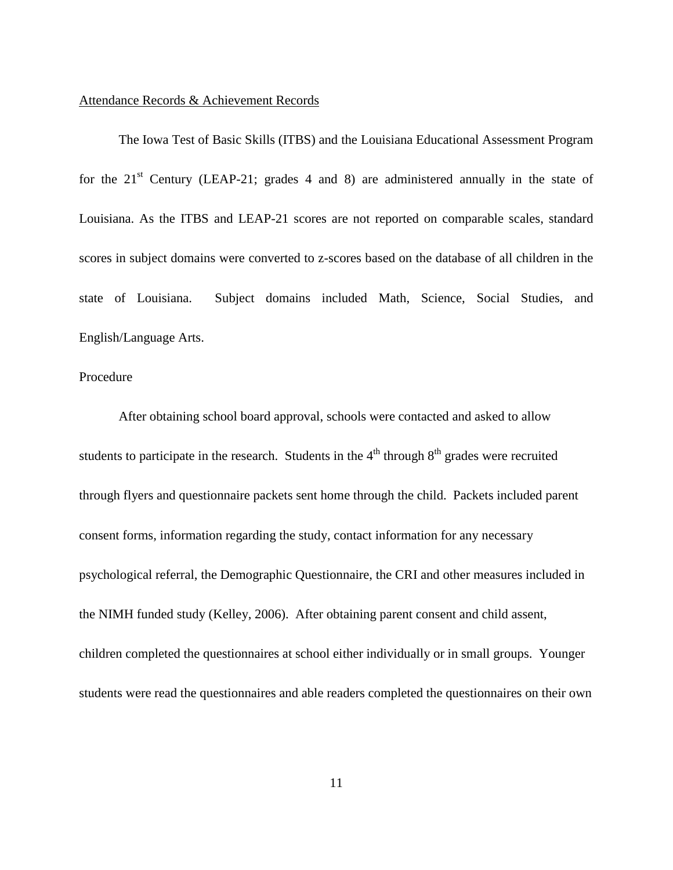#### Attendance Records & Achievement Records

The Iowa Test of Basic Skills (ITBS) and the Louisiana Educational Assessment Program for the  $21<sup>st</sup>$  Century (LEAP-21; grades 4 and 8) are administered annually in the state of Louisiana. As the ITBS and LEAP-21 scores are not reported on comparable scales, standard scores in subject domains were converted to z-scores based on the database of all children in the state of Louisiana. Subject domains included Math, Science, Social Studies, and English/Language Arts.

#### Procedure

After obtaining school board approval, schools were contacted and asked to allow students to participate in the research. Students in the  $4<sup>th</sup>$  through  $8<sup>th</sup>$  grades were recruited through flyers and questionnaire packets sent home through the child. Packets included parent consent forms, information regarding the study, contact information for any necessary psychological referral, the Demographic Questionnaire, the CRI and other measures included in the NIMH funded study (Kelley, 2006). After obtaining parent consent and child assent, children completed the questionnaires at school either individually or in small groups. Younger students were read the questionnaires and able readers completed the questionnaires on their own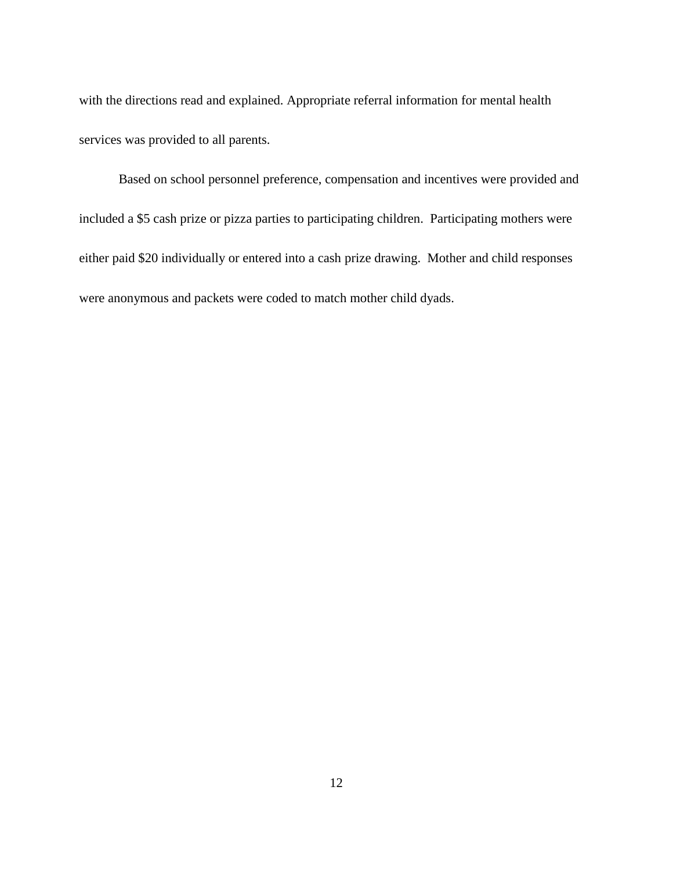with the directions read and explained. Appropriate referral information for mental health services was provided to all parents.

Based on school personnel preference, compensation and incentives were provided and included a \$5 cash prize or pizza parties to participating children. Participating mothers were either paid \$20 individually or entered into a cash prize drawing. Mother and child responses were anonymous and packets were coded to match mother child dyads.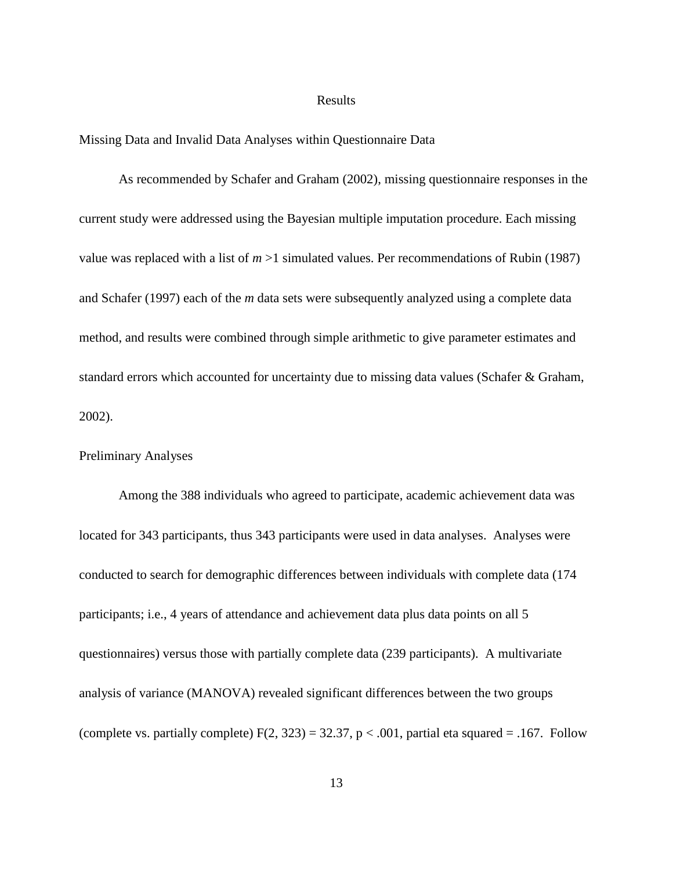#### Results

Missing Data and Invalid Data Analyses within Questionnaire Data

As recommended by Schafer and Graham (2002), missing questionnaire responses in the current study were addressed using the Bayesian multiple imputation procedure. Each missing value was replaced with a list of  $m > 1$  simulated values. Per recommendations of Rubin (1987) and Schafer (1997) each of the *m* data sets were subsequently analyzed using a complete data method, and results were combined through simple arithmetic to give parameter estimates and standard errors which accounted for uncertainty due to missing data values (Schafer & Graham, 2002).

#### Preliminary Analyses

Among the 388 individuals who agreed to participate, academic achievement data was located for 343 participants, thus 343 participants were used in data analyses. Analyses were conducted to search for demographic differences between individuals with complete data (174 participants; i.e., 4 years of attendance and achievement data plus data points on all 5 questionnaires) versus those with partially complete data (239 participants). A multivariate analysis of variance (MANOVA) revealed significant differences between the two groups (complete vs. partially complete)  $F(2, 323) = 32.37$ ,  $p < .001$ , partial eta squared = .167. Follow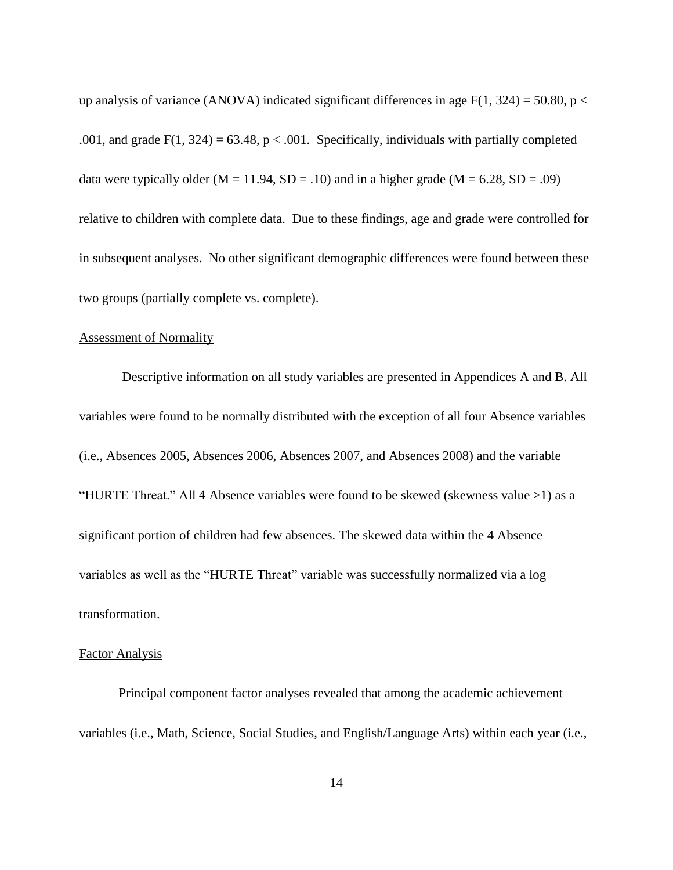up analysis of variance (ANOVA) indicated significant differences in age  $F(1, 324) = 50.80$ , p < .001, and grade  $F(1, 324) = 63.48$ ,  $p < .001$ . Specifically, individuals with partially completed data were typically older ( $M = 11.94$ ,  $SD = .10$ ) and in a higher grade ( $M = 6.28$ ,  $SD = .09$ ) relative to children with complete data. Due to these findings, age and grade were controlled for in subsequent analyses. No other significant demographic differences were found between these two groups (partially complete vs. complete).

#### Assessment of Normality

Descriptive information on all study variables are presented in Appendices A and B. All variables were found to be normally distributed with the exception of all four Absence variables (i.e., Absences 2005, Absences 2006, Absences 2007, and Absences 2008) and the variable "HURTE Threat." All 4 Absence variables were found to be skewed (skewness value >1) as a significant portion of children had few absences. The skewed data within the 4 Absence variables as well as the "HURTE Threat" variable was successfully normalized via a log transformation.

#### Factor Analysis

Principal component factor analyses revealed that among the academic achievement variables (i.e., Math, Science, Social Studies, and English/Language Arts) within each year (i.e.,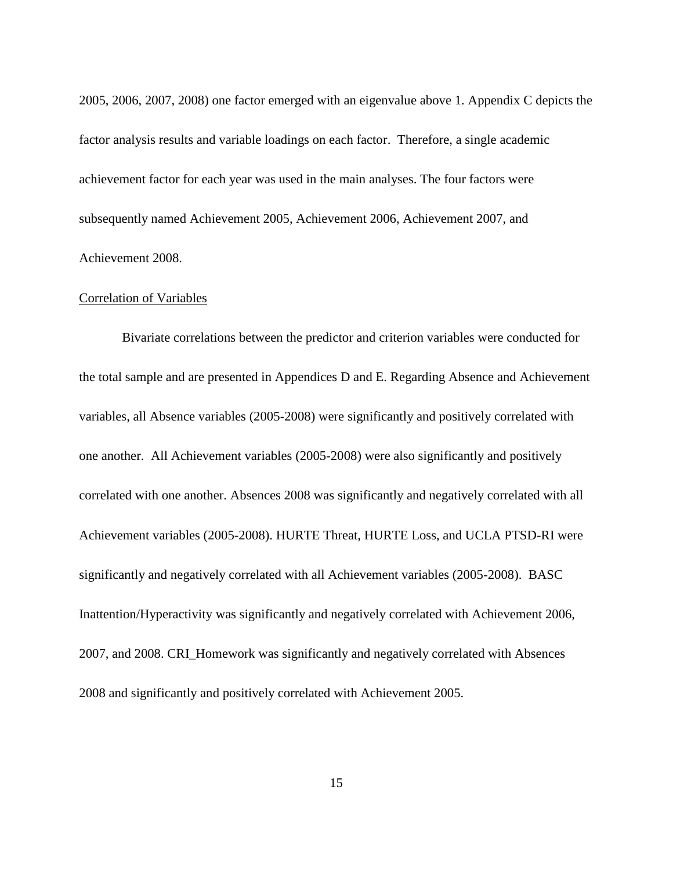2005, 2006, 2007, 2008) one factor emerged with an eigenvalue above 1. Appendix C depicts the factor analysis results and variable loadings on each factor. Therefore, a single academic achievement factor for each year was used in the main analyses. The four factors were subsequently named Achievement 2005, Achievement 2006, Achievement 2007, and Achievement 2008.

#### Correlation of Variables

Bivariate correlations between the predictor and criterion variables were conducted for the total sample and are presented in Appendices D and E. Regarding Absence and Achievement variables, all Absence variables (2005-2008) were significantly and positively correlated with one another. All Achievement variables (2005-2008) were also significantly and positively correlated with one another. Absences 2008 was significantly and negatively correlated with all Achievement variables (2005-2008). HURTE Threat, HURTE Loss, and UCLA PTSD-RI were significantly and negatively correlated with all Achievement variables (2005-2008). BASC Inattention/Hyperactivity was significantly and negatively correlated with Achievement 2006, 2007, and 2008. CRI\_Homework was significantly and negatively correlated with Absences 2008 and significantly and positively correlated with Achievement 2005.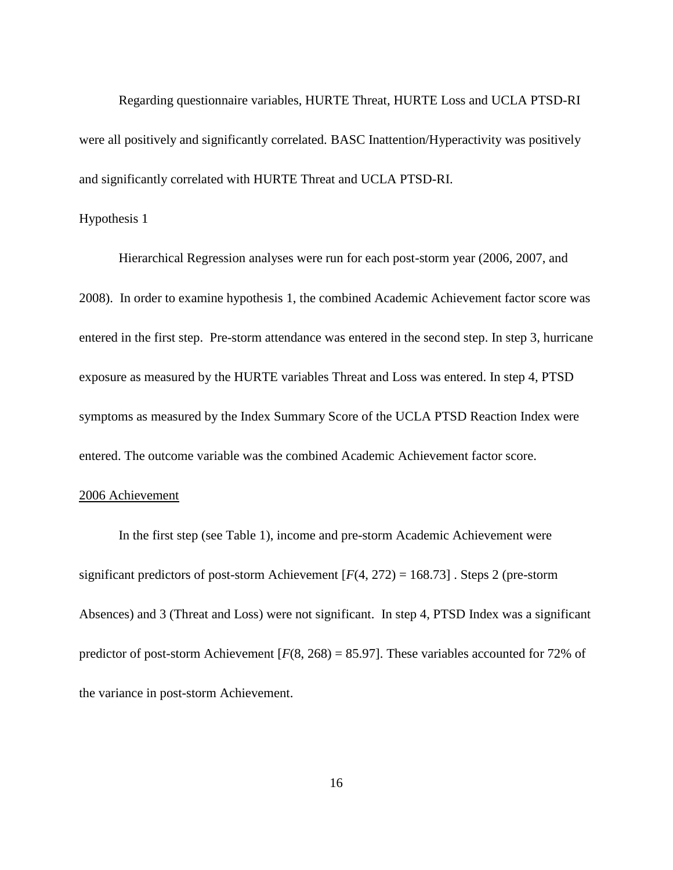Regarding questionnaire variables, HURTE Threat, HURTE Loss and UCLA PTSD-RI were all positively and significantly correlated. BASC Inattention/Hyperactivity was positively and significantly correlated with HURTE Threat and UCLA PTSD-RI.

#### Hypothesis 1

Hierarchical Regression analyses were run for each post-storm year (2006, 2007, and 2008). In order to examine hypothesis 1, the combined Academic Achievement factor score was entered in the first step. Pre-storm attendance was entered in the second step. In step 3, hurricane exposure as measured by the HURTE variables Threat and Loss was entered. In step 4, PTSD symptoms as measured by the Index Summary Score of the UCLA PTSD Reaction Index were entered. The outcome variable was the combined Academic Achievement factor score.

#### 2006 Achievement

In the first step (see Table 1), income and pre-storm Academic Achievement were significant predictors of post-storm Achievement [*F*(4, 272) = 168.73] . Steps 2 (pre-storm Absences) and 3 (Threat and Loss) were not significant. In step 4, PTSD Index was a significant predictor of post-storm Achievement  $[F(8, 268) = 85.97]$ . These variables accounted for 72% of the variance in post-storm Achievement.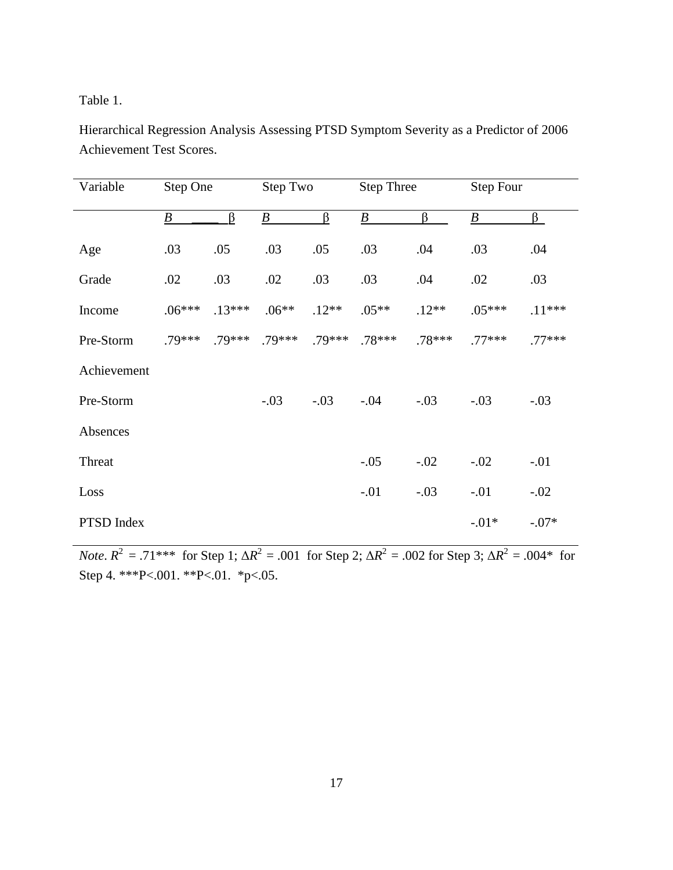Table 1.

Hierarchical Regression Analysis Assessing PTSD Symptom Severity as a Predictor of 2006 Achievement Test Scores.

| Variable    | Step One         |          | Step Two         |          | <b>Step Three</b> |          | Step Four        |          |
|-------------|------------------|----------|------------------|----------|-------------------|----------|------------------|----------|
|             | $\boldsymbol{B}$ | $\beta$  | $\boldsymbol{B}$ | $\beta$  | $\boldsymbol{B}$  | $\beta$  | $\boldsymbol{B}$ | $\beta$  |
| Age         | .03              | .05      | .03              | .05      | .03               | .04      | .03              | .04      |
| Grade       | .02              | .03      | .02              | .03      | .03               | .04      | .02              | .03      |
| Income      | $.06***$         | $.13***$ | $.06**$          | $.12**$  | $.05**$           | $.12**$  | $.05***$         | $.11***$ |
| Pre-Storm   | $.79***$         | $.79***$ | $.79***$         | $.79***$ | $.78***$          | $.78***$ | $.77***$         | $.77***$ |
| Achievement |                  |          |                  |          |                   |          |                  |          |
| Pre-Storm   |                  |          | $-.03$           | $-.03$   | $-.04$            | $-.03$   | $-.03$           | $-.03$   |
| Absences    |                  |          |                  |          |                   |          |                  |          |
| Threat      |                  |          |                  |          | $-.05$            | $-.02$   | $-.02$           | $-.01$   |
| Loss        |                  |          |                  |          | $-.01$            | $-.03$   | $-.01$           | $-.02$   |
| PTSD Index  |                  |          |                  |          |                   |          | $-.01*$          | $-.07*$  |

*Note*.  $R^2 = .71^{***}$  for Step 1;  $\Delta R^2 = .001$  for Step 2;  $\Delta R^2 = .002$  for Step 3;  $\Delta R^2 = .004^*$  for Step 4. \*\*\*P<.001. \*\*P<.01. \*p<.05.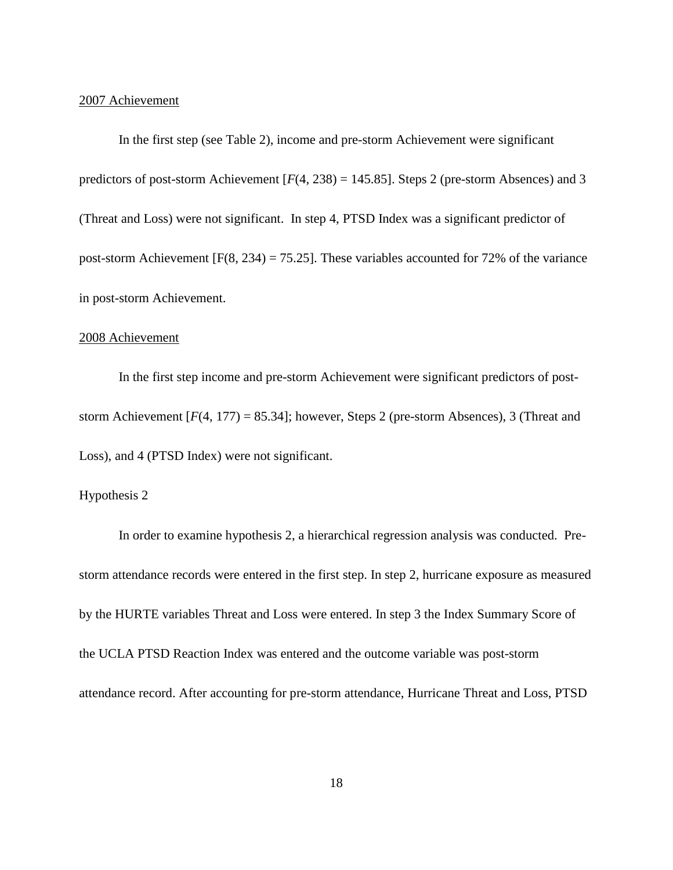#### 2007 Achievement

In the first step (see Table 2), income and pre-storm Achievement were significant predictors of post-storm Achievement [*F*(4, 238) = 145.85]. Steps 2 (pre-storm Absences) and 3 (Threat and Loss) were not significant. In step 4, PTSD Index was a significant predictor of post-storm Achievement  $[F(8, 234) = 75.25]$ . These variables accounted for 72% of the variance in post-storm Achievement.

#### 2008 Achievement

In the first step income and pre-storm Achievement were significant predictors of poststorm Achievement  $[F(4, 177) = 85.34]$ ; however, Steps 2 (pre-storm Absences), 3 (Threat and Loss), and 4 (PTSD Index) were not significant.

#### Hypothesis 2

In order to examine hypothesis 2, a hierarchical regression analysis was conducted. Prestorm attendance records were entered in the first step. In step 2, hurricane exposure as measured by the HURTE variables Threat and Loss were entered. In step 3 the Index Summary Score of the UCLA PTSD Reaction Index was entered and the outcome variable was post-storm attendance record. After accounting for pre-storm attendance, Hurricane Threat and Loss, PTSD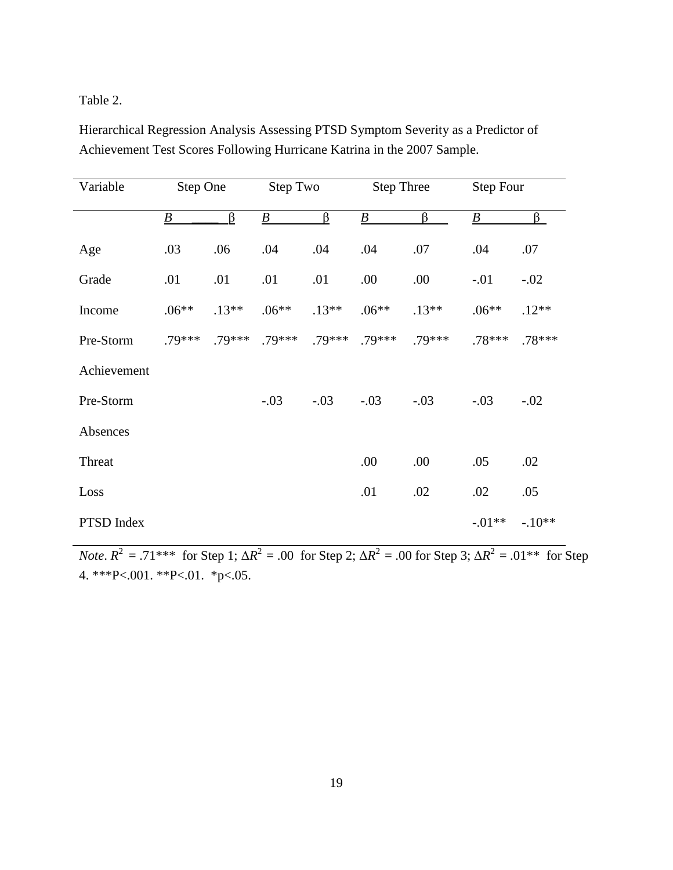Table 2.

Hierarchical Regression Analysis Assessing PTSD Symptom Severity as a Predictor of Achievement Test Scores Following Hurricane Katrina in the 2007 Sample.

| Variable    | Step One |          | Step Two         |         | <b>Step Three</b> |         | <b>Step Four</b> |          |
|-------------|----------|----------|------------------|---------|-------------------|---------|------------------|----------|
|             | B        | $\beta$  | $\boldsymbol{B}$ | β       | $\underline{B}$   | ß       | $\boldsymbol{B}$ | $\beta$  |
| Age         | .03      | .06      | .04              | .04     | .04               | .07     | .04              | .07      |
| Grade       | .01      | .01      | .01              | .01     | .00               | .00     | $-.01$           | $-.02$   |
| Income      | $.06**$  | $.13**$  | $.06**$          | $.13**$ | $.06**$           | $.13**$ | $.06**$          | $.12**$  |
| Pre-Storm   | .79***   | $.79***$ | $.79***$         | .79***  | $.79***$          | .79***  | $.78***$         | $.78***$ |
| Achievement |          |          |                  |         |                   |         |                  |          |
| Pre-Storm   |          |          | $-.03$           | $-.03$  | $-.03$            | $-.03$  | $-.03$           | $-.02$   |
| Absences    |          |          |                  |         |                   |         |                  |          |
| Threat      |          |          |                  |         | .00               | .00     | .05              | .02      |
| Loss        |          |          |                  |         | .01               | .02     | .02              | .05      |
| PTSD Index  |          |          |                  |         |                   |         | $-.01**$         | $-.10**$ |

*Note*.  $R^2 = .71^{***}$  for Step 1;  $\Delta R^2 = .00$  for Step 2;  $\Delta R^2 = .00$  for Step 3;  $\Delta R^2 = .01^{**}$  for Step 4. \*\*\*P<.001. \*\*P<.01. \*p<.05.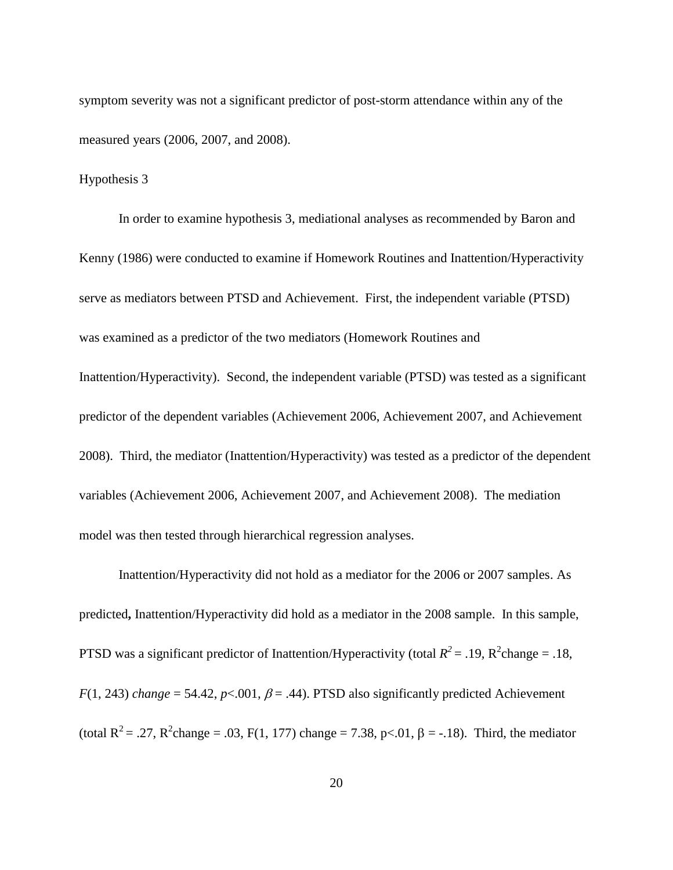symptom severity was not a significant predictor of post-storm attendance within any of the measured years (2006, 2007, and 2008).

Hypothesis 3

In order to examine hypothesis 3, mediational analyses as recommended by Baron and Kenny (1986) were conducted to examine if Homework Routines and Inattention/Hyperactivity serve as mediators between PTSD and Achievement. First, the independent variable (PTSD) was examined as a predictor of the two mediators (Homework Routines and Inattention/Hyperactivity). Second, the independent variable (PTSD) was tested as a significant predictor of the dependent variables (Achievement 2006, Achievement 2007, and Achievement 2008). Third, the mediator (Inattention/Hyperactivity) was tested as a predictor of the dependent variables (Achievement 2006, Achievement 2007, and Achievement 2008). The mediation model was then tested through hierarchical regression analyses.

Inattention/Hyperactivity did not hold as a mediator for the 2006 or 2007 samples. As predicted**,** Inattention/Hyperactivity did hold as a mediator in the 2008 sample. In this sample, PTSD was a significant predictor of Inattention/Hyperactivity (total  $R^2 = .19$ ,  $R^2$ change = .18, *F*(1, 243) *change* = 54.42, *p*<.001,  $\beta$  = .44). PTSD also significantly predicted Achievement (total R<sup>2</sup> = .27, R<sup>2</sup>change = .03, F(1, 177) change = 7.38, p<.01,  $\beta$  = -.18). Third, the mediator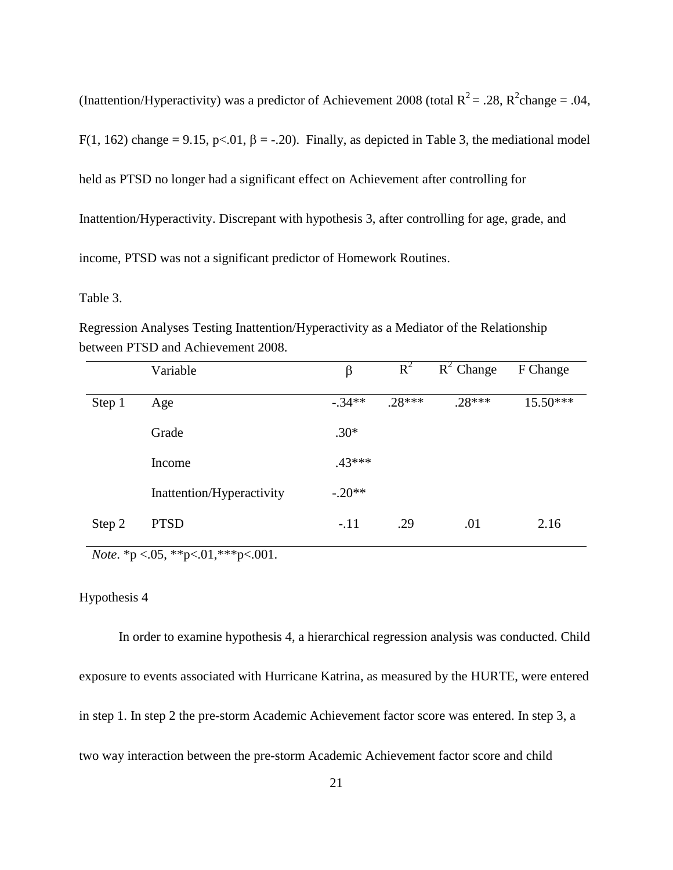(Inattention/Hyperactivity) was a predictor of Achievement 2008 (total  $R^2 = .28$ ,  $R^2$ change = .04, F(1, 162) change = 9.15, p<.01,  $\beta$  = -.20). Finally, as depicted in Table 3, the mediational model held as PTSD no longer had a significant effect on Achievement after controlling for Inattention/Hyperactivity. Discrepant with hypothesis 3, after controlling for age, grade, and income, PTSD was not a significant predictor of Homework Routines.

Table 3.

|        | Variable                  | $\beta$   | $R^2$    | $R^2$ Change | F Change |
|--------|---------------------------|-----------|----------|--------------|----------|
| Step 1 | Age                       | $-0.34**$ | $.28***$ | $.28***$     | 15.50*** |
|        | Grade                     | $.30*$    |          |              |          |
|        | Income                    | $.43***$  |          |              |          |
|        | Inattention/Hyperactivity | $-.20**$  |          |              |          |
| Step 2 | <b>PTSD</b>               | $-.11$    | .29      | .01          | 2.16     |

Regression Analyses Testing Inattention/Hyperactivity as a Mediator of the Relationship between PTSD and Achievement 2008.

*Note*. \*p <.05, \*\*p<.01, \*\*\*p<.001.

#### Hypothesis 4

In order to examine hypothesis 4, a hierarchical regression analysis was conducted. Child exposure to events associated with Hurricane Katrina, as measured by the HURTE, were entered in step 1. In step 2 the pre-storm Academic Achievement factor score was entered. In step 3, a two way interaction between the pre-storm Academic Achievement factor score and child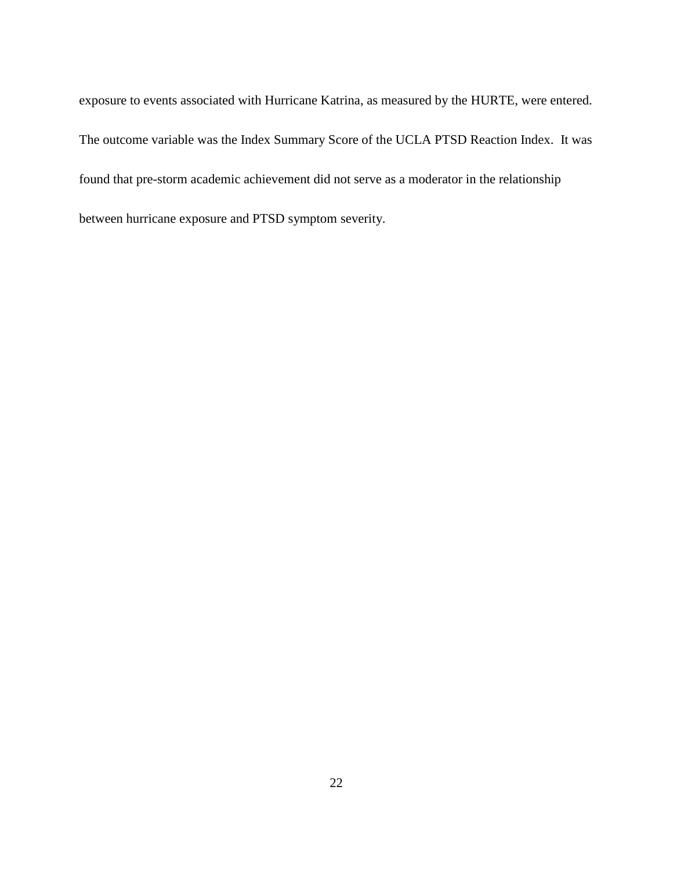exposure to events associated with Hurricane Katrina, as measured by the HURTE, were entered. The outcome variable was the Index Summary Score of the UCLA PTSD Reaction Index. It was found that pre-storm academic achievement did not serve as a moderator in the relationship between hurricane exposure and PTSD symptom severity.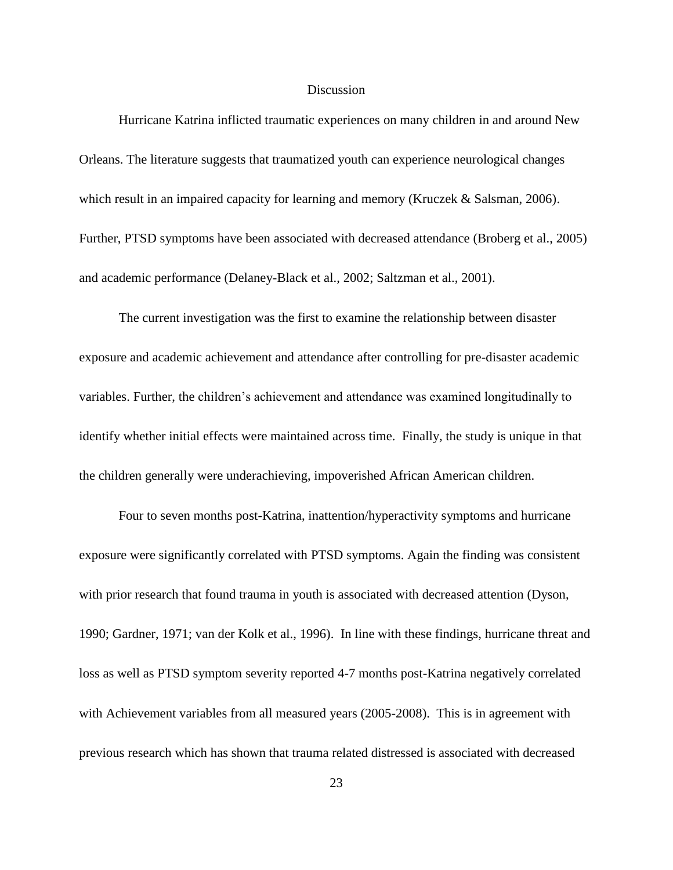#### Discussion

Hurricane Katrina inflicted traumatic experiences on many children in and around New Orleans. The literature suggests that traumatized youth can experience neurological changes which result in an impaired capacity for learning and memory (Kruczek & Salsman, 2006). Further, PTSD symptoms have been associated with decreased attendance (Broberg et al., 2005) and academic performance (Delaney-Black et al., 2002; Saltzman et al., 2001).

The current investigation was the first to examine the relationship between disaster exposure and academic achievement and attendance after controlling for pre-disaster academic variables. Further, the children"s achievement and attendance was examined longitudinally to identify whether initial effects were maintained across time. Finally, the study is unique in that the children generally were underachieving, impoverished African American children.

Four to seven months post-Katrina, inattention/hyperactivity symptoms and hurricane exposure were significantly correlated with PTSD symptoms. Again the finding was consistent with prior research that found trauma in youth is associated with decreased attention (Dyson, 1990; Gardner, 1971; van der Kolk et al., 1996). In line with these findings, hurricane threat and loss as well as PTSD symptom severity reported 4-7 months post-Katrina negatively correlated with Achievement variables from all measured years (2005-2008). This is in agreement with previous research which has shown that trauma related distressed is associated with decreased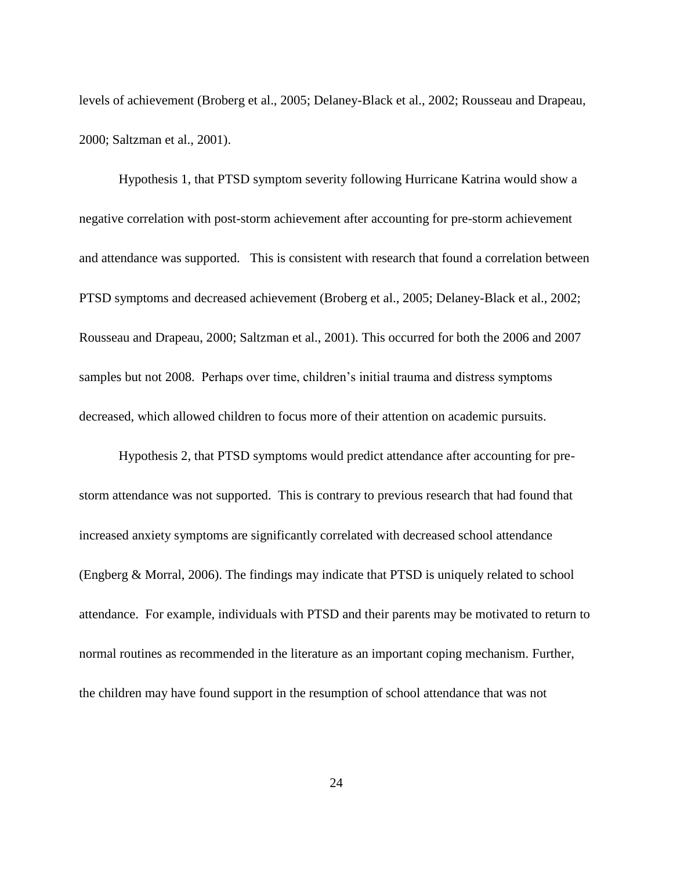levels of achievement (Broberg et al., 2005; Delaney-Black et al., 2002; Rousseau and Drapeau, 2000; Saltzman et al., 2001).

Hypothesis 1, that PTSD symptom severity following Hurricane Katrina would show a negative correlation with post-storm achievement after accounting for pre-storm achievement and attendance was supported. This is consistent with research that found a correlation between PTSD symptoms and decreased achievement (Broberg et al., 2005; Delaney-Black et al., 2002; Rousseau and Drapeau, 2000; Saltzman et al., 2001). This occurred for both the 2006 and 2007 samples but not 2008. Perhaps over time, children"s initial trauma and distress symptoms decreased, which allowed children to focus more of their attention on academic pursuits.

Hypothesis 2, that PTSD symptoms would predict attendance after accounting for prestorm attendance was not supported. This is contrary to previous research that had found that increased anxiety symptoms are significantly correlated with decreased school attendance (Engberg & Morral, 2006). The findings may indicate that PTSD is uniquely related to school attendance. For example, individuals with PTSD and their parents may be motivated to return to normal routines as recommended in the literature as an important coping mechanism. Further, the children may have found support in the resumption of school attendance that was not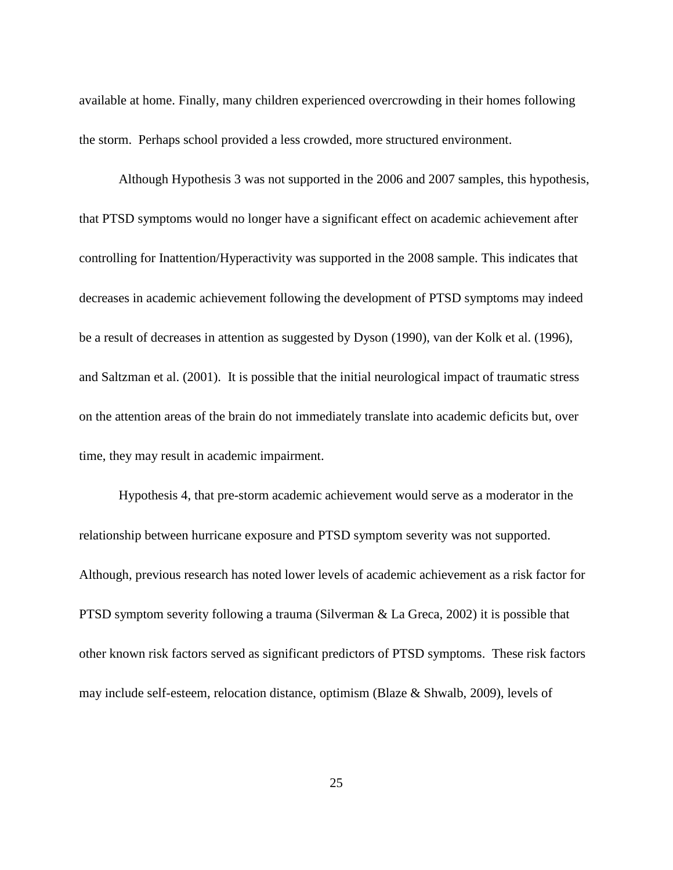available at home. Finally, many children experienced overcrowding in their homes following the storm. Perhaps school provided a less crowded, more structured environment.

Although Hypothesis 3 was not supported in the 2006 and 2007 samples, this hypothesis, that PTSD symptoms would no longer have a significant effect on academic achievement after controlling for Inattention/Hyperactivity was supported in the 2008 sample. This indicates that decreases in academic achievement following the development of PTSD symptoms may indeed be a result of decreases in attention as suggested by Dyson (1990), van der Kolk et al. (1996), and Saltzman et al. (2001). It is possible that the initial neurological impact of traumatic stress on the attention areas of the brain do not immediately translate into academic deficits but, over time, they may result in academic impairment.

Hypothesis 4, that pre-storm academic achievement would serve as a moderator in the relationship between hurricane exposure and PTSD symptom severity was not supported. Although, previous research has noted lower levels of academic achievement as a risk factor for PTSD symptom severity following a trauma (Silverman & La Greca, 2002) it is possible that other known risk factors served as significant predictors of PTSD symptoms. These risk factors may include self-esteem, relocation distance, optimism (Blaze & Shwalb, 2009), levels of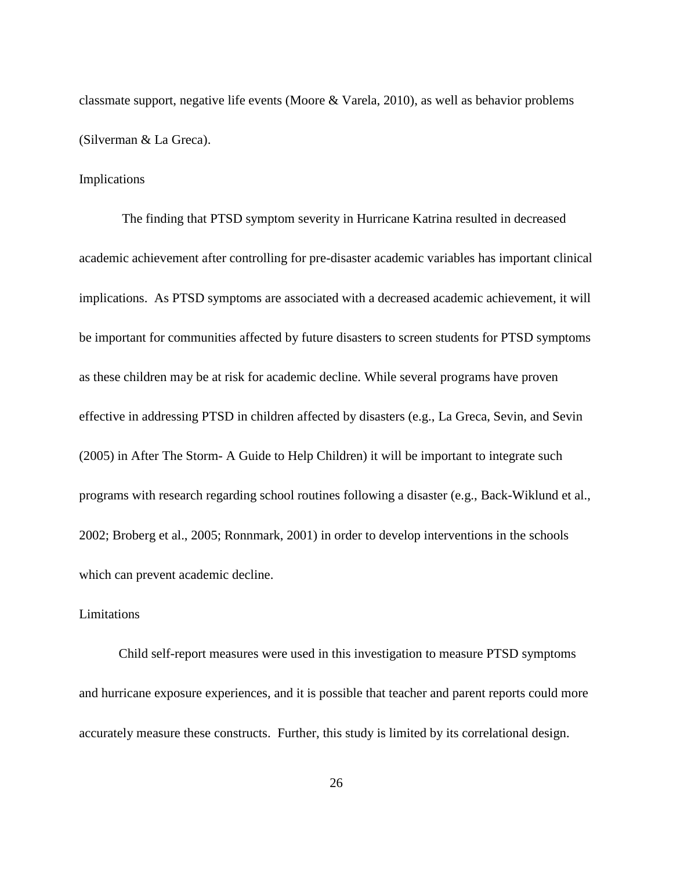classmate support, negative life events (Moore & Varela, 2010), as well as behavior problems (Silverman & La Greca).

#### Implications

The finding that PTSD symptom severity in Hurricane Katrina resulted in decreased academic achievement after controlling for pre-disaster academic variables has important clinical implications. As PTSD symptoms are associated with a decreased academic achievement, it will be important for communities affected by future disasters to screen students for PTSD symptoms as these children may be at risk for academic decline. While several programs have proven effective in addressing PTSD in children affected by disasters (e.g., La Greca, Sevin, and Sevin (2005) in After The Storm- A Guide to Help Children) it will be important to integrate such programs with research regarding school routines following a disaster (e.g., Back-Wiklund et al., 2002; Broberg et al., 2005; Ronnmark, 2001) in order to develop interventions in the schools which can prevent academic decline.

#### Limitations

Child self-report measures were used in this investigation to measure PTSD symptoms and hurricane exposure experiences, and it is possible that teacher and parent reports could more accurately measure these constructs. Further, this study is limited by its correlational design.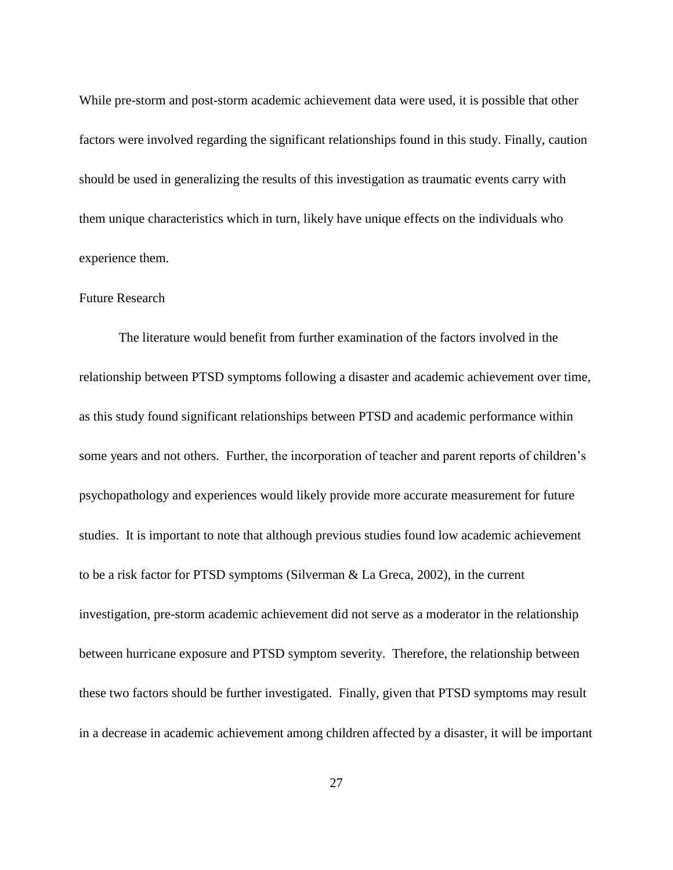While pre-storm and post-storm academic achievement data were used, it is possible that other factors were involved regarding the significant relationships found in this study. Finally, caution should be used in generalizing the results of this investigation as traumatic events carry with them unique characteristics which in turn, likely have unique effects on the individuals who experience them.

# Future Research

The literature would benefit from further examination of the factors involved in the relationship between PTSD symptoms following a disaster and academic achievement over time, as this study found significant relationships between PTSD and academic performance within some years and not others. Further, the incorporation of teacher and parent reports of children's psychopathology and experiences would likely provide more accurate measurement for future studies. It is important to note that although previous studies found low academic achievement to be a risk factor for PTSD symptoms (Silverman & La Greca, 2002), in the current investigation, pre-storm academic achievement did not serve as a moderator in the relationship between hurricane exposure and PTSD symptom severity. Therefore, the relationship between these two factors should be further investigated. Finally, given that PTSD symptoms may result in a decrease in academic achievement among children affected by a disaster, it will be important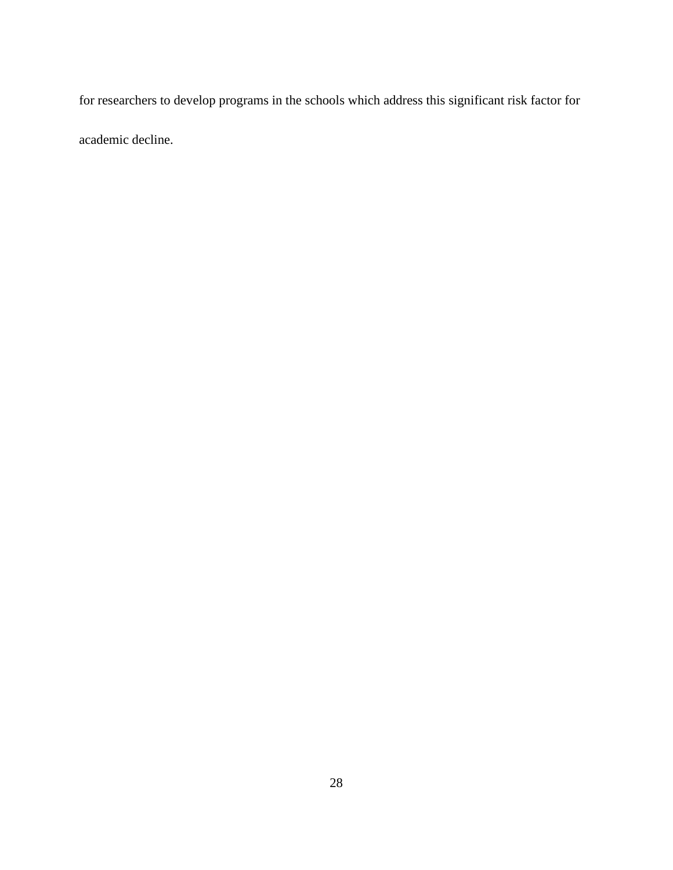for researchers to develop programs in the schools which address this significant risk factor for

academic decline.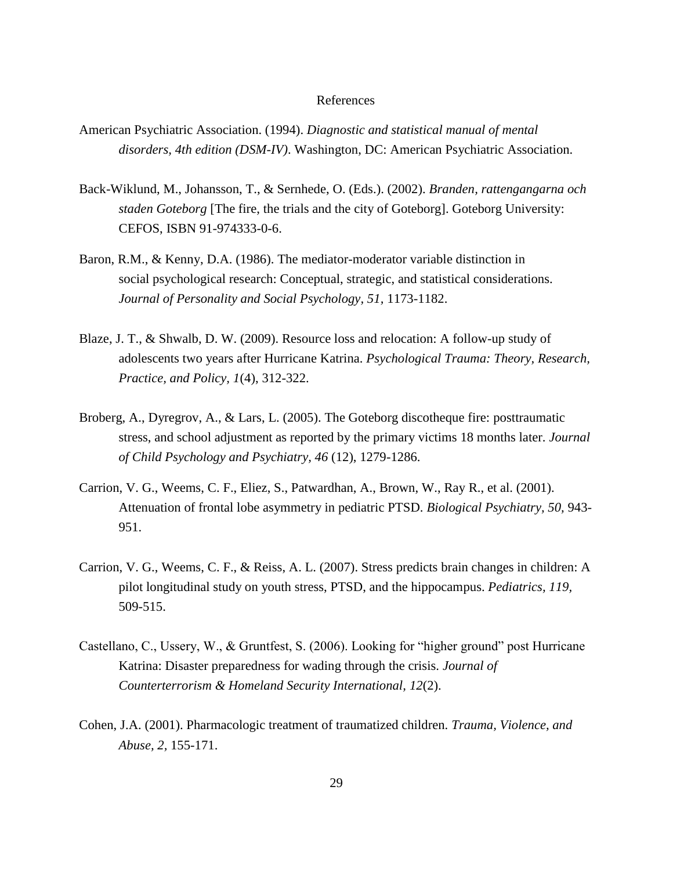#### References

- American Psychiatric Association. (1994). *Diagnostic and statistical manual of mental disorders, 4th edition (DSM-IV)*. Washington, DC: American Psychiatric Association.
- Back-Wiklund, M., Johansson, T., & Sernhede, O. (Eds.). (2002). *Branden, rattengangarna och staden Goteborg* [The fire, the trials and the city of Goteborg]. Goteborg University: CEFOS, ISBN 91-974333-0-6.
- Baron, R.M., & Kenny, D.A. (1986). The mediator-moderator variable distinction in social psychological research: Conceptual, strategic, and statistical considerations. *Journal of Personality and Social Psychology, 51,* 1173-1182.
- Blaze, J. T., & Shwalb, D. W. (2009). Resource loss and relocation: A follow-up study of adolescents two years after Hurricane Katrina. *Psychological Trauma: Theory, Research, Practice, and Policy, 1*(4), 312-322.
- Broberg, A., Dyregrov, A., & Lars, L. (2005). The Goteborg discotheque fire: posttraumatic stress, and school adjustment as reported by the primary victims 18 months later. *Journal of Child Psychology and Psychiatry, 46* (12), 1279-1286.
- Carrion, V. G., Weems, C. F., Eliez, S., Patwardhan, A., Brown, W., Ray R., et al. (2001). Attenuation of frontal lobe asymmetry in pediatric PTSD. *Biological Psychiatry, 50,* 943- 951.
- Carrion, V. G., Weems, C. F., & Reiss, A. L. (2007). Stress predicts brain changes in children: A pilot longitudinal study on youth stress, PTSD, and the hippocampus. *Pediatrics, 119,* 509-515.
- Castellano, C., Ussery, W., & Gruntfest, S. (2006). Looking for "higher ground" post Hurricane Katrina: Disaster preparedness for wading through the crisis. *Journal of Counterterrorism & Homeland Security International, 12*(2).
- Cohen, J.A. (2001). Pharmacologic treatment of traumatized children. *Trauma, Violence, and Abuse, 2,* 155-171.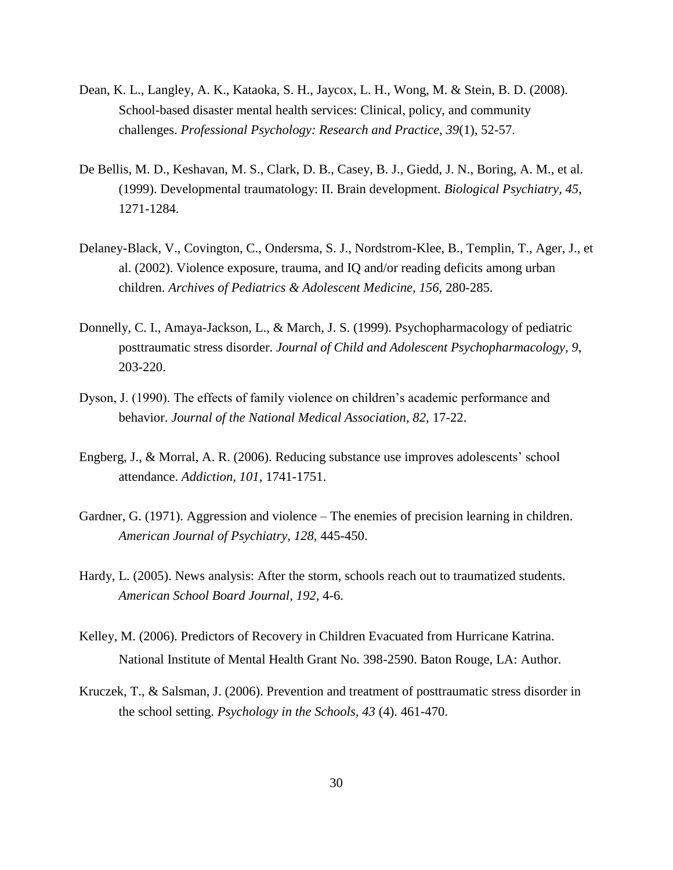- Dean, K. L., Langley, A. K., Kataoka, S. H., Jaycox, L. H., Wong, M. & Stein, B. D. (2008). School-based disaster mental health services: Clinical, policy, and community challenges. *Professional Psychology: Research and Practice, 39*(1), 52-57.
- De Bellis, M. D., Keshavan, M. S., Clark, D. B., Casey, B. J., Giedd, J. N., Boring, A. M., et al. (1999). Developmental traumatology: II. Brain development. *Biological Psychiatry, 45*, 1271-1284.
- Delaney-Black, V., Covington, C., Ondersma, S. J., Nordstrom-Klee, B., Templin, T., Ager, J., et al. (2002). Violence exposure, trauma, and IQ and/or reading deficits among urban children. *Archives of Pediatrics & Adolescent Medicine, 156,* 280-285.
- Donnelly, C. I., Amaya-Jackson, L., & March, J. S. (1999). Psychopharmacology of pediatric posttraumatic stress disorder. *Journal of Child and Adolescent Psychopharmacology, 9*, 203-220.
- Dyson, J. (1990). The effects of family violence on children"s academic performance and behavior. *Journal of the National Medical Association, 82,* 17-22.
- Engberg, J., & Morral, A. R. (2006). Reducing substance use improves adolescents' school attendance. *Addiction, 101,* 1741-1751.
- Gardner, G. (1971). Aggression and violence The enemies of precision learning in children. *American Journal of Psychiatry, 128,* 445-450.
- Hardy, L. (2005). News analysis: After the storm, schools reach out to traumatized students. *American School Board Journal, 192,* 4-6.
- Kelley, M. (2006). Predictors of Recovery in Children Evacuated from Hurricane Katrina. National Institute of Mental Health Grant No. 398-2590. Baton Rouge, LA: Author.
- Kruczek, T., & Salsman, J. (2006). Prevention and treatment of posttraumatic stress disorder in the school setting. *Psychology in the Schools, 43* (4). 461-470.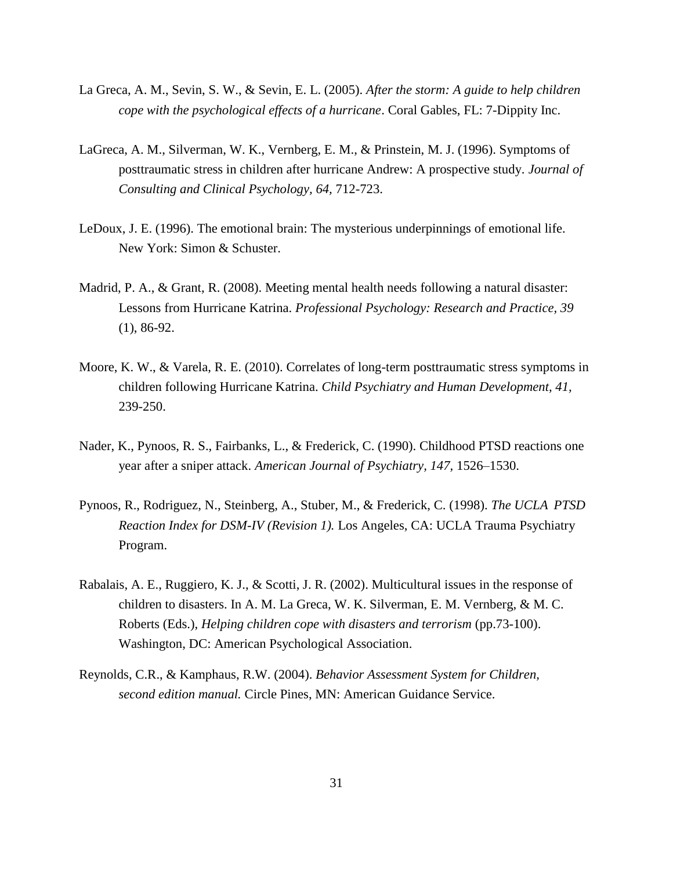- La Greca, A. M., Sevin, S. W., & Sevin, E. L. (2005). *After the storm: A guide to help children cope with the psychological effects of a hurricane*. Coral Gables, FL: 7-Dippity Inc.
- LaGreca, A. M., Silverman, W. K., Vernberg, E. M., & Prinstein, M. J. (1996). Symptoms of posttraumatic stress in children after hurricane Andrew: A prospective study. *Journal of Consulting and Clinical Psychology, 64,* 712-723.
- LeDoux, J. E. (1996). The emotional brain: The mysterious underpinnings of emotional life. New York: Simon & Schuster.
- Madrid, P. A., & Grant, R. (2008). Meeting mental health needs following a natural disaster: Lessons from Hurricane Katrina. *Professional Psychology: Research and Practice, 39*  (1), 86-92.
- Moore, K. W., & Varela, R. E. (2010). Correlates of long-term posttraumatic stress symptoms in children following Hurricane Katrina. *Child Psychiatry and Human Development, 41,* 239-250.
- Nader, K., Pynoos, R. S., Fairbanks, L., & Frederick, C. (1990). Childhood PTSD reactions one year after a sniper attack. *American Journal of Psychiatry, 147,* 1526–1530.
- Pynoos, R., Rodriguez, N., Steinberg, A., Stuber, M., & Frederick, C. (1998). *The UCLA PTSD Reaction Index for DSM-IV (Revision 1).* Los Angeles, CA: UCLA Trauma Psychiatry Program.
- Rabalais, A. E., Ruggiero, K. J., & Scotti, J. R. (2002). Multicultural issues in the response of children to disasters. In A. M. La Greca, W. K. Silverman, E. M. Vernberg, & M. C. Roberts (Eds.), *Helping children cope with disasters and terrorism* (pp.73-100). Washington, DC: American Psychological Association.
- Reynolds, C.R., & Kamphaus, R.W. (2004). *Behavior Assessment System for Children, second edition manual.* Circle Pines, MN: American Guidance Service.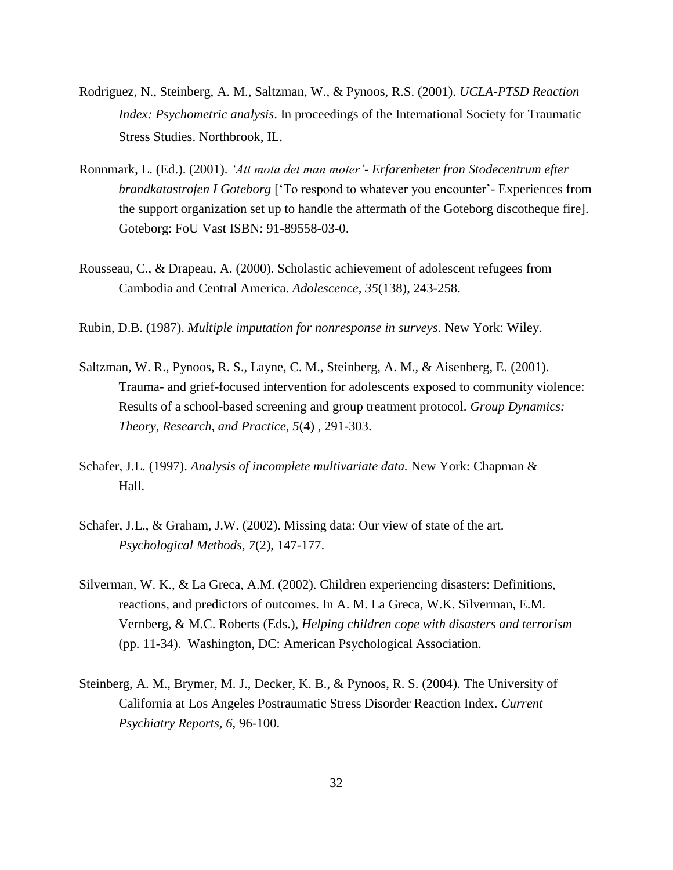- Rodriguez, N., Steinberg, A. M., Saltzman, W., & Pynoos, R.S. (2001). *UCLA-PTSD Reaction Index: Psychometric analysis*. In proceedings of the International Society for Traumatic Stress Studies. Northbrook, IL.
- Ronnmark, L. (Ed.). (2001). *'Att mota det man moter'- Erfarenheter fran Stodecentrum efter brandkatastrofen I Goteborg* ["To respond to whatever you encounter"- Experiences from the support organization set up to handle the aftermath of the Goteborg discotheque fire]. Goteborg: FoU Vast ISBN: 91-89558-03-0.
- Rousseau, C., & Drapeau, A. (2000). Scholastic achievement of adolescent refugees from Cambodia and Central America. *Adolescence, 35*(138), 243-258.

Rubin, D.B. (1987). *Multiple imputation for nonresponse in surveys*. New York: Wiley.

- Saltzman, W. R., Pynoos, R. S., Layne, C. M., Steinberg, A. M., & Aisenberg, E. (2001). Trauma- and grief-focused intervention for adolescents exposed to community violence: Results of a school-based screening and group treatment protocol. *Group Dynamics: Theory, Research, and Practice, 5*(4) *,* 291-303.
- Schafer, J.L. (1997). *Analysis of incomplete multivariate data.* New York: Chapman & Hall.
- Schafer, J.L., & Graham, J.W. (2002). Missing data: Our view of state of the art. *Psychological Methods, 7*(2), 147-177.
- Silverman, W. K., & La Greca, A.M. (2002). Children experiencing disasters: Definitions, reactions, and predictors of outcomes. In A. M. La Greca, W.K. Silverman, E.M. Vernberg, & M.C. Roberts (Eds.), *Helping children cope with disasters and terrorism*  (pp. 11-34). Washington, DC: American Psychological Association.
- Steinberg, A. M., Brymer, M. J., Decker, K. B., & Pynoos, R. S. (2004). The University of California at Los Angeles Postraumatic Stress Disorder Reaction Index. *Current Psychiatry Reports, 6,* 96-100.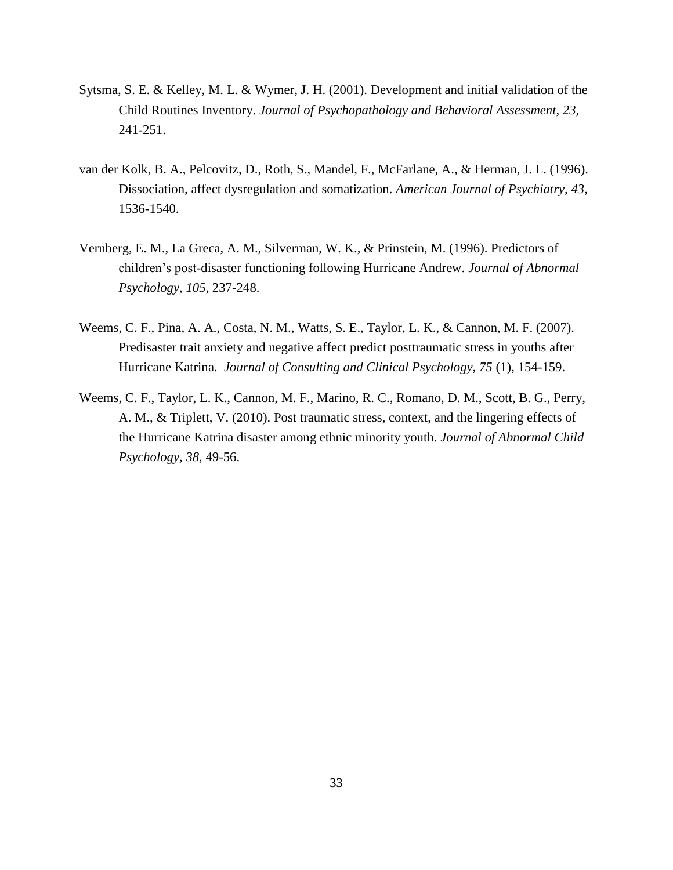- Sytsma, S. E. & Kelley, M. L. & Wymer, J. H. (2001). Development and initial validation of the Child Routines Inventory. *Journal of Psychopathology and Behavioral Assessment, 23,*  241-251.
- van der Kolk, B. A., Pelcovitz, D., Roth, S., Mandel, F., McFarlane, A., & Herman, J. L. (1996). Dissociation, affect dysregulation and somatization. *American Journal of Psychiatry, 43,* 1536-1540.
- Vernberg, E. M., La Greca, A. M., Silverman, W. K., & Prinstein, M. (1996). Predictors of children"s post-disaster functioning following Hurricane Andrew. *Journal of Abnormal Psychology, 105,* 237-248.
- Weems, C. F., Pina, A. A., Costa, N. M., Watts, S. E., Taylor, L. K., & Cannon, M. F. (2007). Predisaster trait anxiety and negative affect predict posttraumatic stress in youths after Hurricane Katrina. *Journal of Consulting and Clinical Psychology, 75* (1), 154-159.
- Weems, C. F., Taylor, L. K., Cannon, M. F., Marino, R. C., Romano, D. M., Scott, B. G., Perry, A. M., & Triplett, V. (2010). Post traumatic stress, context, and the lingering effects of the Hurricane Katrina disaster among ethnic minority youth. *Journal of Abnormal Child Psychology, 38,* 49-56.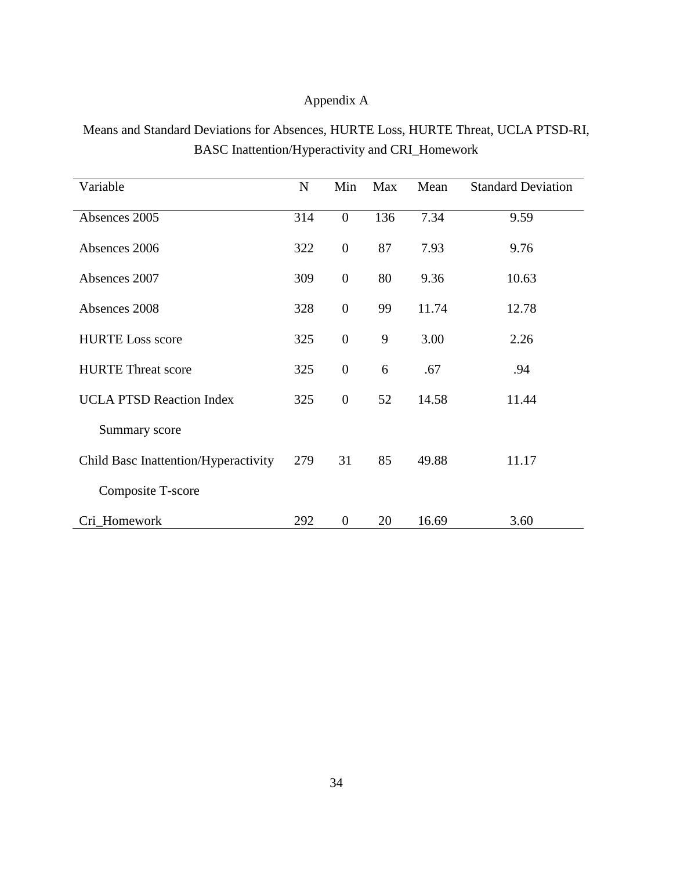## Appendix A

Means and Standard Deviations for Absences, HURTE Loss, HURTE Threat, UCLA PTSD-RI, BASC Inattention/Hyperactivity and CRI\_Homework

| Variable                             | $\mathbf N$ | Min              | Max | Mean  | <b>Standard Deviation</b> |
|--------------------------------------|-------------|------------------|-----|-------|---------------------------|
| Absences 2005                        | 314         | $\boldsymbol{0}$ | 136 | 7.34  | 9.59                      |
| Absences 2006                        | 322         | $\overline{0}$   | 87  | 7.93  | 9.76                      |
| Absences 2007                        | 309         | $\boldsymbol{0}$ | 80  | 9.36  | 10.63                     |
| Absences 2008                        | 328         | $\overline{0}$   | 99  | 11.74 | 12.78                     |
| <b>HURTE Loss score</b>              | 325         | $\boldsymbol{0}$ | 9   | 3.00  | 2.26                      |
| <b>HURTE Threat score</b>            | 325         | $\overline{0}$   | 6   | .67   | .94                       |
| <b>UCLA PTSD Reaction Index</b>      | 325         | $\overline{0}$   | 52  | 14.58 | 11.44                     |
| Summary score                        |             |                  |     |       |                           |
| Child Basc Inattention/Hyperactivity | 279         | 31               | 85  | 49.88 | 11.17                     |
| Composite T-score                    |             |                  |     |       |                           |
| Cri_Homework                         | 292         | $\overline{0}$   | 20  | 16.69 | 3.60                      |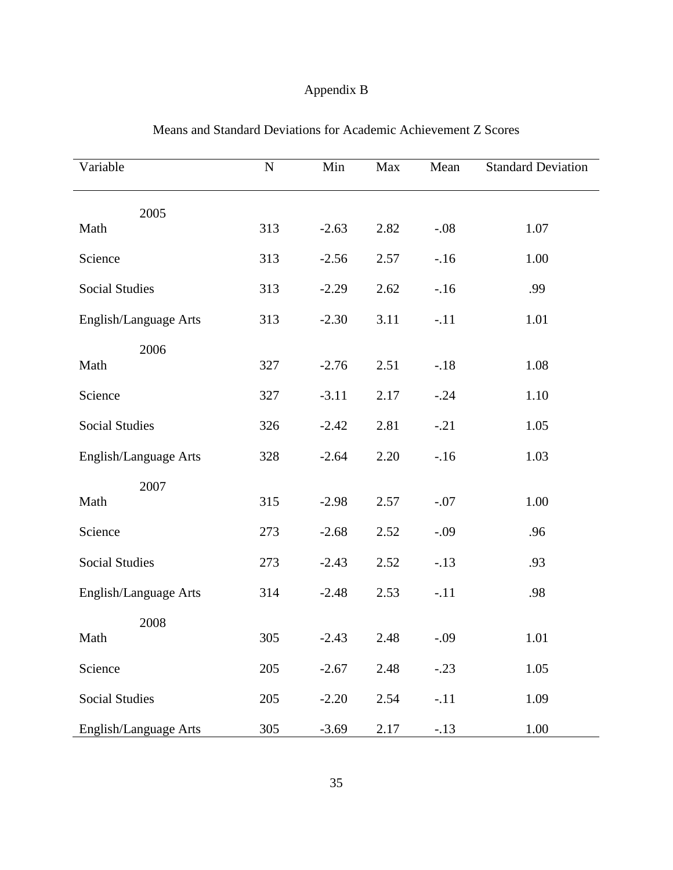## Appendix B

| Variable              | $\mathbf N$ | Min     | Max  | Mean   | <b>Standard Deviation</b> |
|-----------------------|-------------|---------|------|--------|---------------------------|
| 2005                  |             |         |      |        |                           |
| Math                  | 313         | $-2.63$ | 2.82 | $-.08$ | 1.07                      |
| Science               | 313         | $-2.56$ | 2.57 | $-16$  | 1.00                      |
| <b>Social Studies</b> | 313         | $-2.29$ | 2.62 | $-16$  | .99                       |
| English/Language Arts | 313         | $-2.30$ | 3.11 | $-.11$ | 1.01                      |
| 2006                  |             |         |      |        |                           |
| Math                  | 327         | $-2.76$ | 2.51 | $-.18$ | 1.08                      |
| Science               | 327         | $-3.11$ | 2.17 | $-.24$ | 1.10                      |
| <b>Social Studies</b> | 326         | $-2.42$ | 2.81 | $-.21$ | 1.05                      |
| English/Language Arts | 328         | $-2.64$ | 2.20 | $-16$  | 1.03                      |
| 2007                  |             |         |      |        |                           |
| Math                  | 315         | $-2.98$ | 2.57 | $-.07$ | 1.00                      |
| Science               | 273         | $-2.68$ | 2.52 | $-.09$ | .96                       |
| <b>Social Studies</b> | 273         | $-2.43$ | 2.52 | $-.13$ | .93                       |
| English/Language Arts | 314         | $-2.48$ | 2.53 | $-.11$ | .98                       |
| 2008                  |             |         |      |        |                           |
| Math                  | 305         | $-2.43$ | 2.48 | $-.09$ | 1.01                      |
| Science               | 205         | $-2.67$ | 2.48 | $-.23$ | 1.05                      |
| <b>Social Studies</b> | 205         | $-2.20$ | 2.54 | $-.11$ | 1.09                      |
| English/Language Arts | 305         | $-3.69$ | 2.17 | $-.13$ | 1.00                      |

## Means and Standard Deviations for Academic Achievement Z Scores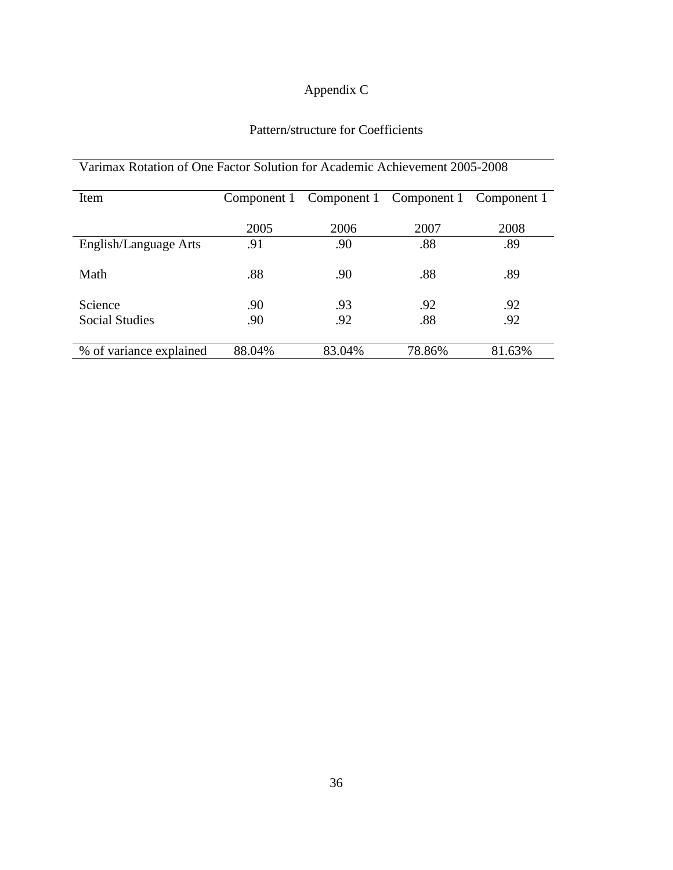# Appendix C

## Pattern/structure for Coefficients

| $\eta$ and respect to the contraction of the condition of $\eta$ respectively. The contraction of $\eta$ |             |                         |        |             |  |  |  |
|----------------------------------------------------------------------------------------------------------|-------------|-------------------------|--------|-------------|--|--|--|
| Item                                                                                                     | Component 1 | Component 1 Component 1 |        | Component 1 |  |  |  |
|                                                                                                          | 2005        | 2006                    | 2007   | 2008        |  |  |  |
| English/Language Arts                                                                                    | .91         | .90                     | .88    | .89         |  |  |  |
| Math                                                                                                     | .88         | .90                     | .88    | .89         |  |  |  |
| Science                                                                                                  | .90         | .93                     | .92    | .92         |  |  |  |
| <b>Social Studies</b>                                                                                    | .90         | .92                     | .88    | .92         |  |  |  |
|                                                                                                          |             |                         |        |             |  |  |  |
| % of variance explained                                                                                  | 88.04%      | 83.04%                  | 78.86% | 81.63%      |  |  |  |

## Varimax Rotation of One Factor Solution for Academic Achievement 2005-2008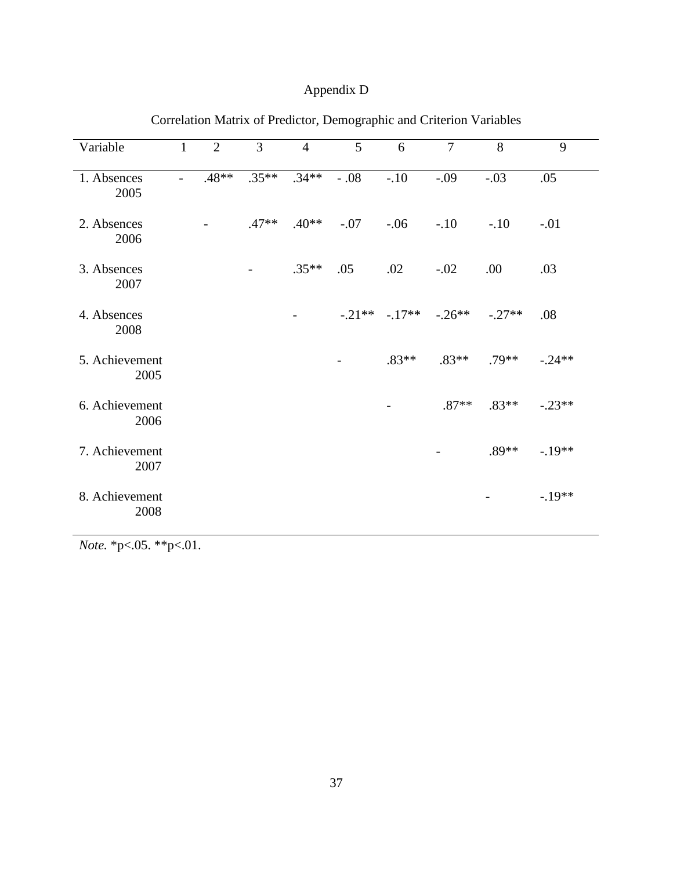## Appendix D

| Variable               | $\mathbf{1}$             | $\overline{2}$ | $\overline{3}$ | $\overline{4}$           | 5      | 6                | $\overline{7}$ | 8        | 9        |
|------------------------|--------------------------|----------------|----------------|--------------------------|--------|------------------|----------------|----------|----------|
| 1. Absences<br>2005    | $\overline{\phantom{a}}$ | $.48**$        | $.35**$        | $.34**$                  | $-.08$ | $-.10$           | $-.09$         | $-.03$   | .05      |
| 2. Absences<br>2006    |                          |                | $.47**$        | $.40**$                  | $-.07$ | $-.06$           | $-.10$         | $-.10$   | $-.01$   |
| 3. Absences<br>2007    |                          |                |                | $.35**$                  | .05    | .02              | $-.02$         | .00      | .03      |
| 4. Absences<br>2008    |                          |                |                | $\overline{\phantom{a}}$ |        | $-.21** - .17**$ | $-.26**$       | $-.27**$ | .08      |
| 5. Achievement<br>2005 |                          |                |                |                          |        | $.83**$          | $.83**$        | $.79**$  | $-.24**$ |
| 6. Achievement<br>2006 |                          |                |                |                          |        |                  | $.87**$        | $.83**$  | $-.23**$ |
| 7. Achievement<br>2007 |                          |                |                |                          |        |                  |                | $.89**$  | $-.19**$ |
| 8. Achievement<br>2008 |                          |                |                |                          |        |                  |                |          | $-.19**$ |

## Correlation Matrix of Predictor, Demographic and Criterion Variables

*Note.* \*p<.05. \*\*p<.01.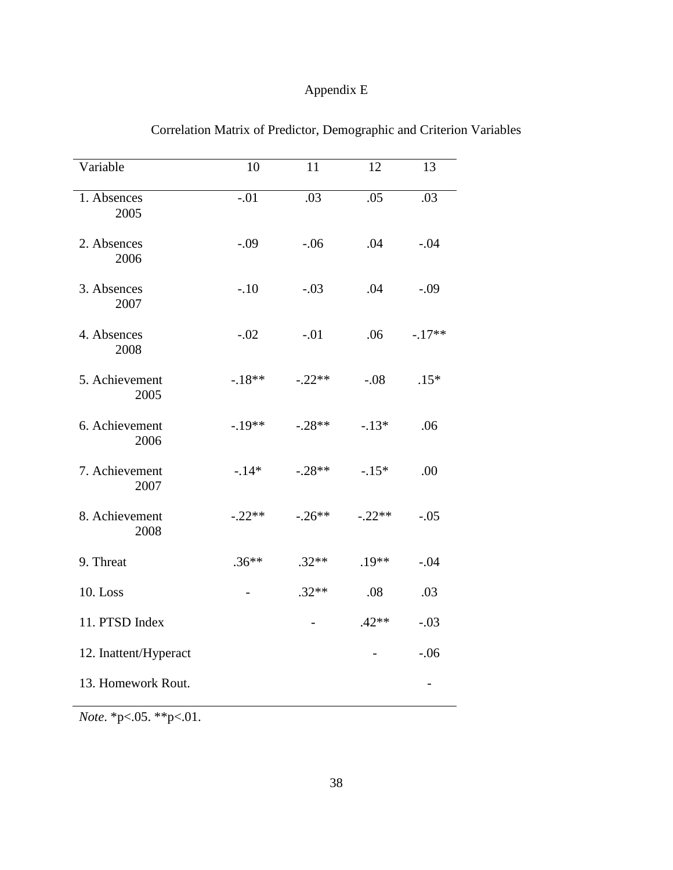## Appendix E

| Variable               | 10       | 11       | 12       | 13       |
|------------------------|----------|----------|----------|----------|
| 1. Absences<br>2005    | $-.01$   | .03      | .05      | .03      |
| 2. Absences<br>2006    | $-.09$   | $-.06$   | .04      | $-.04$   |
| 3. Absences<br>2007    | $-.10$   | $-.03$   | .04      | $-.09$   |
| 4. Absences<br>2008    | $-.02$   | $-.01$   | .06      | $-.17**$ |
| 5. Achievement<br>2005 | $-.18**$ | $-.22**$ | $-.08$   | $.15*$   |
| 6. Achievement<br>2006 | $-.19**$ | $-.28**$ | $-.13*$  | .06      |
| 7. Achievement<br>2007 | $-.14*$  | $-.28**$ | $-.15*$  | .00      |
| 8. Achievement<br>2008 | $-.22**$ | $-.26**$ | $-.22**$ | $-.05$   |
| 9. Threat              | $.36**$  | $.32**$  | $.19**$  | $-.04$   |
| 10. Loss               |          | $.32**$  | .08      | .03      |
| 11. PTSD Index         |          |          | $.42**$  | $-.03$   |
| 12. Inattent/Hyperact  |          |          |          | $-.06$   |
| 13. Homework Rout.     |          |          |          |          |

## Correlation Matrix of Predictor, Demographic and Criterion Variables

*Note*. \*p<.05. \*\*p<.01.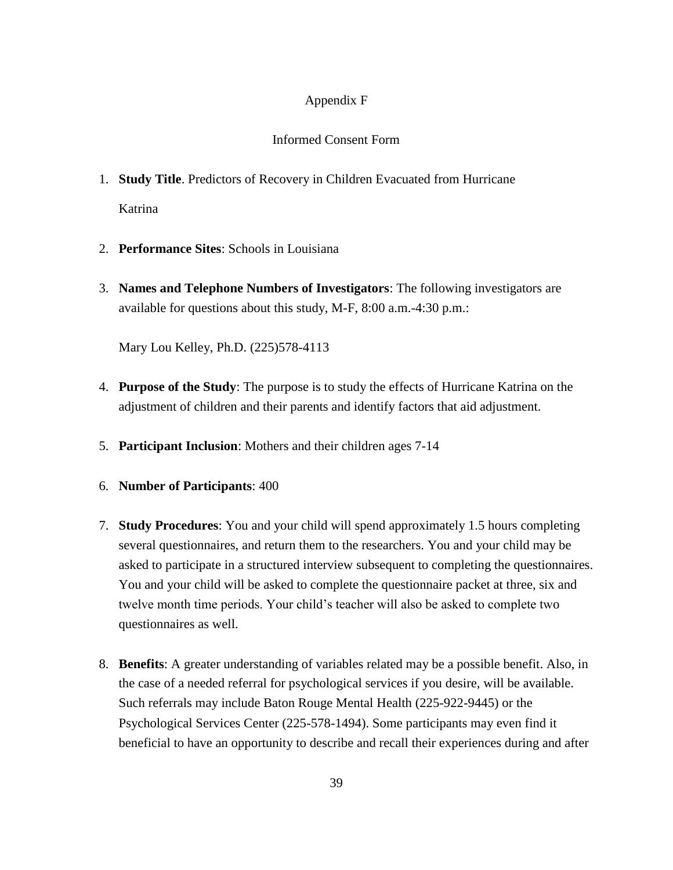#### Appendix F

#### Informed Consent Form

- 1. **Study Title**. Predictors of Recovery in Children Evacuated from Hurricane Katrina
- 2. **Performance Sites**: Schools in Louisiana
- 3. **Names and Telephone Numbers of Investigators**: The following investigators are available for questions about this study, M-F, 8:00 a.m.-4:30 p.m.:

Mary Lou Kelley, Ph.D. (225)578-4113

- 4. **Purpose of the Study**: The purpose is to study the effects of Hurricane Katrina on the adjustment of children and their parents and identify factors that aid adjustment.
- 5. **Participant Inclusion**: Mothers and their children ages 7-14
- 6. **Number of Participants**: 400
- 7. **Study Procedures**: You and your child will spend approximately 1.5 hours completing several questionnaires, and return them to the researchers. You and your child may be asked to participate in a structured interview subsequent to completing the questionnaires. You and your child will be asked to complete the questionnaire packet at three, six and twelve month time periods. Your child"s teacher will also be asked to complete two questionnaires as well.
- 8. **Benefits**: A greater understanding of variables related may be a possible benefit. Also, in the case of a needed referral for psychological services if you desire, will be available. Such referrals may include Baton Rouge Mental Health (225-922-9445) or the Psychological Services Center (225-578-1494). Some participants may even find it beneficial to have an opportunity to describe and recall their experiences during and after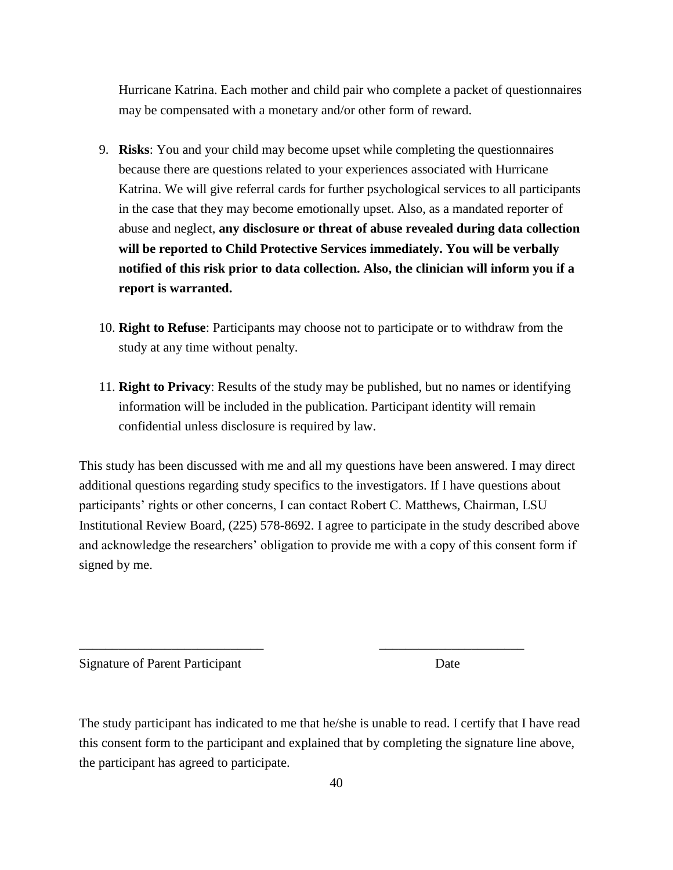Hurricane Katrina. Each mother and child pair who complete a packet of questionnaires may be compensated with a monetary and/or other form of reward.

- 9. **Risks**: You and your child may become upset while completing the questionnaires because there are questions related to your experiences associated with Hurricane Katrina. We will give referral cards for further psychological services to all participants in the case that they may become emotionally upset. Also, as a mandated reporter of abuse and neglect, **any disclosure or threat of abuse revealed during data collection will be reported to Child Protective Services immediately. You will be verbally notified of this risk prior to data collection. Also, the clinician will inform you if a report is warranted.**
- 10. **Right to Refuse**: Participants may choose not to participate or to withdraw from the study at any time without penalty.
- 11. **Right to Privacy**: Results of the study may be published, but no names or identifying information will be included in the publication. Participant identity will remain confidential unless disclosure is required by law.

This study has been discussed with me and all my questions have been answered. I may direct additional questions regarding study specifics to the investigators. If I have questions about participants' rights or other concerns, I can contact Robert C. Matthews, Chairman, LSU Institutional Review Board, (225) 578-8692. I agree to participate in the study described above and acknowledge the researchers' obligation to provide me with a copy of this consent form if signed by me.

Signature of Parent Participant Date

The study participant has indicated to me that he/she is unable to read. I certify that I have read this consent form to the participant and explained that by completing the signature line above, the participant has agreed to participate.

\_\_\_\_\_\_\_\_\_\_\_\_\_\_\_\_\_\_\_\_\_\_\_\_\_\_\_\_ \_\_\_\_\_\_\_\_\_\_\_\_\_\_\_\_\_\_\_\_\_\_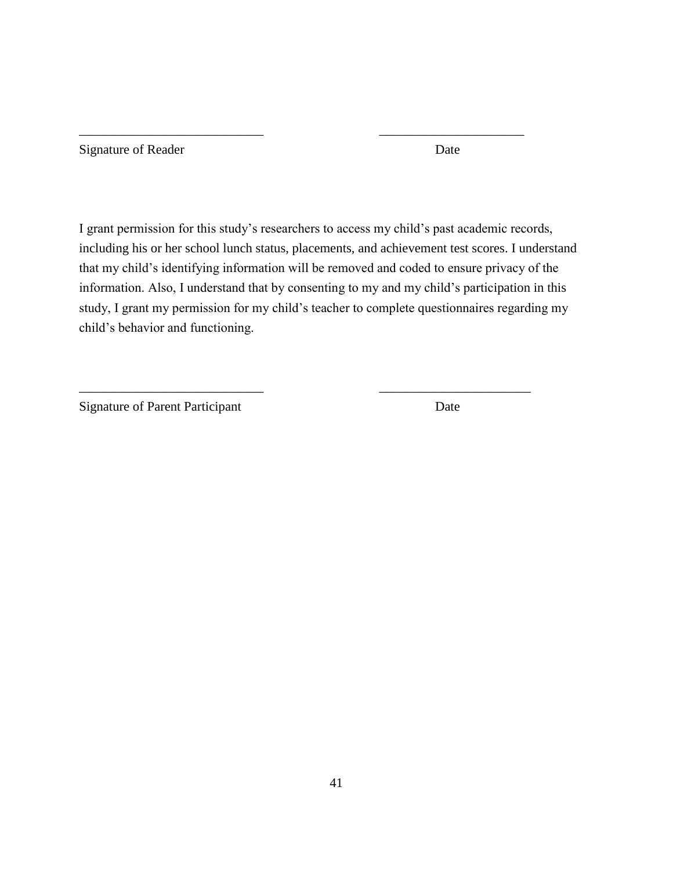| Signature of Reader | Date |
|---------------------|------|
|                     |      |

I grant permission for this study"s researchers to access my child"s past academic records, including his or her school lunch status, placements, and achievement test scores. I understand that my child"s identifying information will be removed and coded to ensure privacy of the information. Also, I understand that by consenting to my and my child"s participation in this study, I grant my permission for my child's teacher to complete questionnaires regarding my child"s behavior and functioning.

\_\_\_\_\_\_\_\_\_\_\_\_\_\_\_\_\_\_\_\_\_\_\_\_\_\_\_\_ \_\_\_\_\_\_\_\_\_\_\_\_\_\_\_\_\_\_\_\_\_\_\_

\_\_\_\_\_\_\_\_\_\_\_\_\_\_\_\_\_\_\_\_\_\_\_\_\_\_\_\_ \_\_\_\_\_\_\_\_\_\_\_\_\_\_\_\_\_\_\_\_\_\_

Signature of Parent Participant Date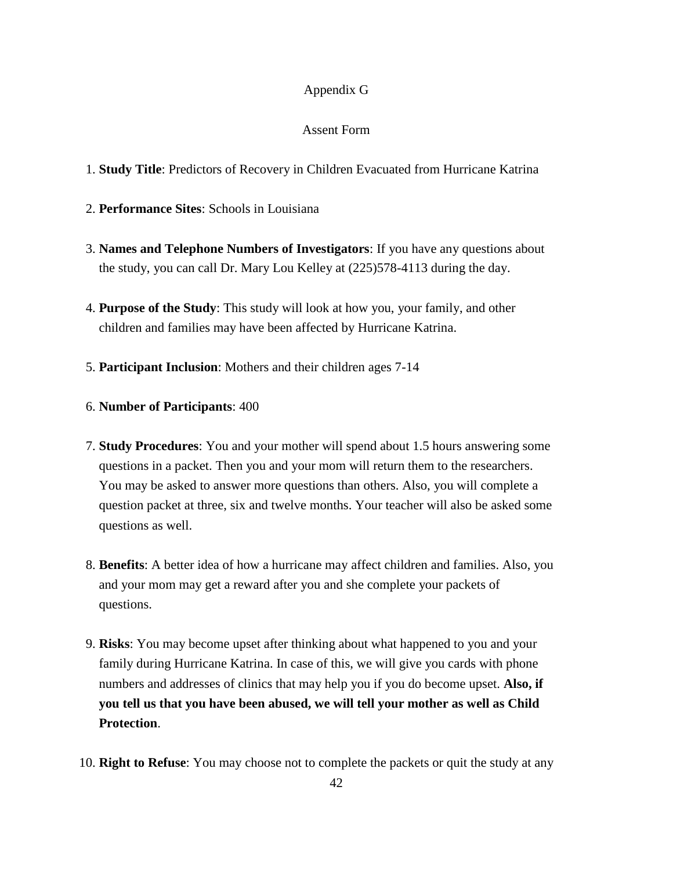#### Appendix G

#### Assent Form

- 1. **Study Title**: Predictors of Recovery in Children Evacuated from Hurricane Katrina
- 2. **Performance Sites**: Schools in Louisiana
- 3. **Names and Telephone Numbers of Investigators**: If you have any questions about the study, you can call Dr. Mary Lou Kelley at (225)578-4113 during the day.
- 4. **Purpose of the Study**: This study will look at how you, your family, and other children and families may have been affected by Hurricane Katrina.
- 5. **Participant Inclusion**: Mothers and their children ages 7-14
- 6. **Number of Participants**: 400
- 7. **Study Procedures**: You and your mother will spend about 1.5 hours answering some questions in a packet. Then you and your mom will return them to the researchers. You may be asked to answer more questions than others. Also, you will complete a question packet at three, six and twelve months. Your teacher will also be asked some questions as well.
- 8. **Benefits**: A better idea of how a hurricane may affect children and families. Also, you and your mom may get a reward after you and she complete your packets of questions.
- 9. **Risks**: You may become upset after thinking about what happened to you and your family during Hurricane Katrina. In case of this, we will give you cards with phone numbers and addresses of clinics that may help you if you do become upset. **Also, if you tell us that you have been abused, we will tell your mother as well as Child Protection**.
- 10. **Right to Refuse**: You may choose not to complete the packets or quit the study at any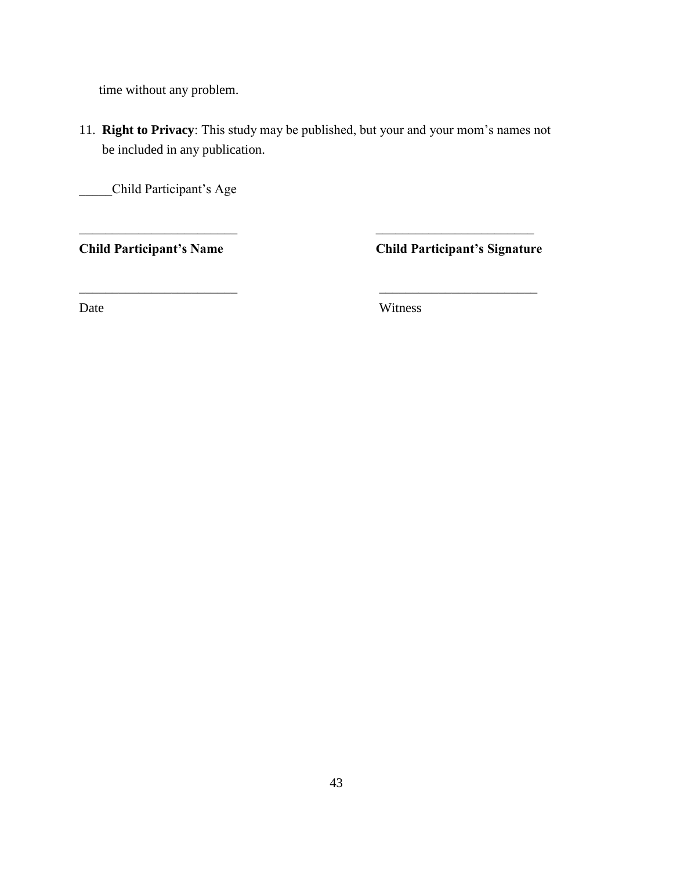time without any problem.

11. **Right to Privacy**: This study may be published, but your and your mom"s names not be included in any publication.

\_\_\_\_\_\_\_\_\_\_\_\_\_\_\_\_\_\_\_\_\_\_\_\_ \_\_\_\_\_\_\_\_\_\_\_\_\_\_\_\_\_\_\_\_\_\_\_\_

 $\overline{\phantom{a}}$  , and the contract of the contract of the contract of the contract of the contract of the contract of the contract of the contract of the contract of the contract of the contract of the contract of the contrac

\_\_\_\_\_Child Participant"s Age

**Child Participant's Name Child Participant's Signature**

Date Witness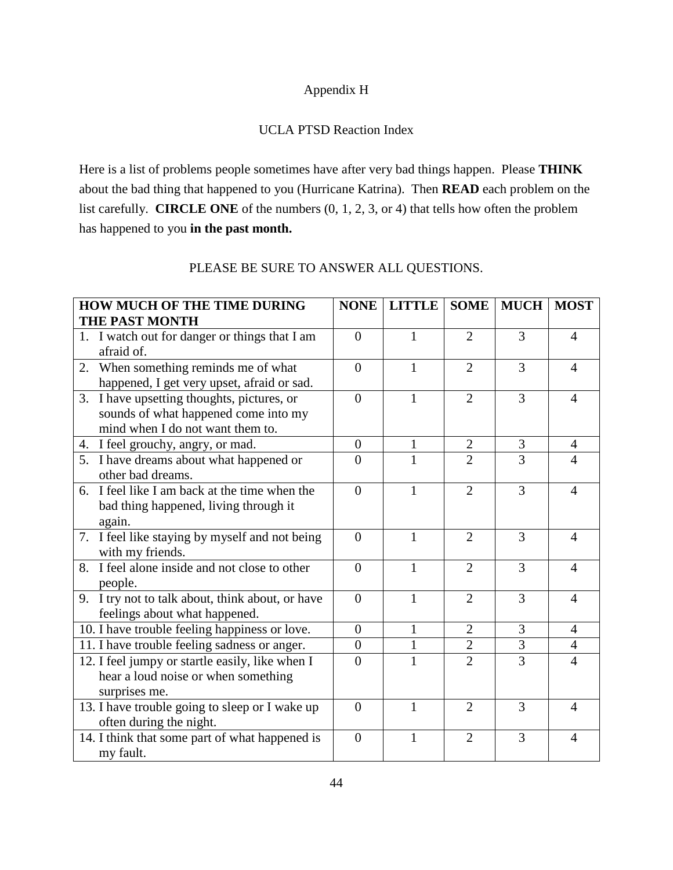#### Appendix H

#### UCLA PTSD Reaction Index

Here is a list of problems people sometimes have after very bad things happen. Please **THINK** about the bad thing that happened to you (Hurricane Katrina). Then **READ** each problem on the list carefully. **CIRCLE ONE** of the numbers (0, 1, 2, 3, or 4) that tells how often the problem has happened to you **in the past month.** 

| <b>HOW MUCH OF THE TIME DURING</b>                                                                                     | <b>NONE</b>    | <b>LITTLE</b> | <b>SOME</b>    | <b>MUCH</b>    | <b>MOST</b>              |
|------------------------------------------------------------------------------------------------------------------------|----------------|---------------|----------------|----------------|--------------------------|
| <b>THE PAST MONTH</b>                                                                                                  |                |               |                |                |                          |
| 1. I watch out for danger or things that I am<br>afraid of.                                                            | $\theta$       | 1             | $\overline{2}$ | 3              | 4                        |
| 2. When something reminds me of what<br>happened, I get very upset, afraid or sad.                                     | $\theta$       | 1             | $\overline{2}$ | 3              | 4                        |
| 3. I have upsetting thoughts, pictures, or<br>sounds of what happened come into my<br>mind when I do not want them to. | $\overline{0}$ | $\mathbf{1}$  | $\overline{2}$ | $\overline{3}$ | $\overline{4}$           |
| 4. I feel grouchy, angry, or mad.                                                                                      | $\overline{0}$ | 1             | $\overline{2}$ | $\overline{3}$ | $\overline{4}$           |
| 5. I have dreams about what happened or<br>other bad dreams.                                                           | $\overline{0}$ | 1             | $\overline{2}$ | 3              | 4                        |
| 6. I feel like I am back at the time when the<br>bad thing happened, living through it<br>again.                       | $\overline{0}$ | $\mathbf{1}$  | $\overline{2}$ | 3              | 4                        |
| 7. I feel like staying by myself and not being<br>with my friends.                                                     | $\theta$       | $\mathbf{1}$  | $\overline{2}$ | 3              | $\overline{4}$           |
| 8. I feel alone inside and not close to other<br>people.                                                               | $\overline{0}$ | $\mathbf{1}$  | $\overline{2}$ | 3              | $\overline{4}$           |
| 9. I try not to talk about, think about, or have<br>feelings about what happened.                                      | $\overline{0}$ | $\mathbf{1}$  | $\overline{2}$ | 3              | $\overline{4}$           |
| 10. I have trouble feeling happiness or love.                                                                          | $\overline{0}$ | $\mathbf{1}$  | $\overline{2}$ | $\overline{3}$ | $\overline{4}$           |
| 11. I have trouble feeling sadness or anger.                                                                           | $\overline{0}$ | $\mathbf{1}$  | $\overline{2}$ | 3              | $\overline{4}$           |
| 12. I feel jumpy or startle easily, like when I<br>hear a loud noise or when something<br>surprises me.                | $\overline{0}$ | $\mathbf{1}$  | $\overline{2}$ | $\overline{3}$ | $\overline{\mathcal{A}}$ |
| 13. I have trouble going to sleep or I wake up<br>often during the night.                                              | $\overline{0}$ | 1             | $\overline{2}$ | 3              | 4                        |
| 14. I think that some part of what happened is<br>my fault.                                                            | $\overline{0}$ | $\mathbf{1}$  | $\overline{2}$ | $\overline{3}$ | 4                        |

#### PLEASE BE SURE TO ANSWER ALL QUESTIONS.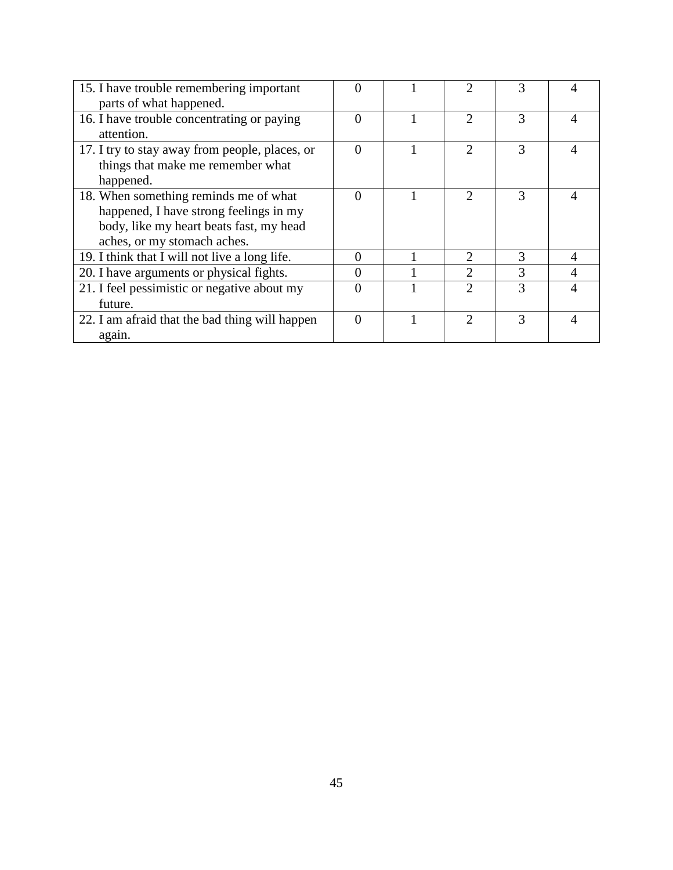| 15. I have trouble remembering important       | $\mathbf{\Omega}$ |                             |   |  |
|------------------------------------------------|-------------------|-----------------------------|---|--|
| parts of what happened.                        |                   |                             |   |  |
| 16. I have trouble concentrating or paying     | 0                 | っ                           | 3 |  |
| attention.                                     |                   |                             |   |  |
| 17. I try to stay away from people, places, or | $\Omega$          | $\mathcal{D}_{\mathcal{A}}$ | 3 |  |
| things that make me remember what              |                   |                             |   |  |
| happened.                                      |                   |                             |   |  |
| 18. When something reminds me of what          | 0                 | $\mathcal{D}$               | 3 |  |
| happened, I have strong feelings in my         |                   |                             |   |  |
| body, like my heart beats fast, my head        |                   |                             |   |  |
| aches, or my stomach aches.                    |                   |                             |   |  |
| 19. I think that I will not live a long life.  | 0                 | $\mathcal{D}_{\mathcal{A}}$ | 3 |  |
| 20. I have arguments or physical fights.       | 0                 | $\mathfrak{D}$              | 3 |  |
| 21. I feel pessimistic or negative about my    | 0                 | ↑                           | 3 |  |
| future.                                        |                   |                             |   |  |
| 22. I am afraid that the bad thing will happen | $\Omega$          | っ                           | 3 |  |
| again.                                         |                   |                             |   |  |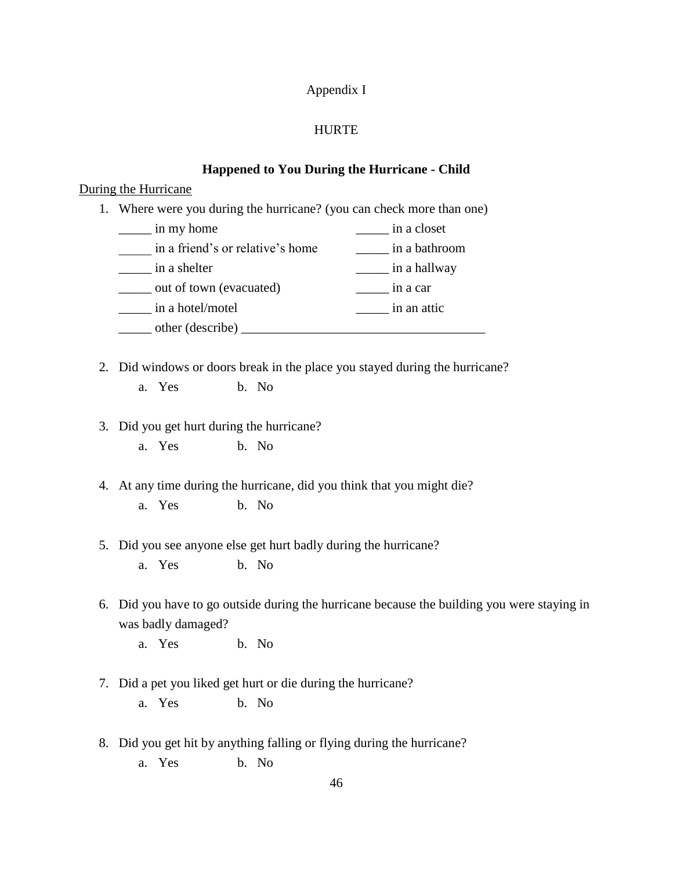#### Appendix I

#### HURTE

#### **Happened to You During the Hurricane - Child**

#### During the Hurricane

1. Where were you during the hurricane? (you can check more than one)

| in my home                       | in a closet   |
|----------------------------------|---------------|
| in a friend's or relative's home | in a bathroom |
| in a shelter                     | in a hallway  |
| out of town (evacuated)          | in a car      |
| in a hotel/motel                 | in an attic   |
| other (describe)                 |               |

- 2. Did windows or doors break in the place you stayed during the hurricane? a. Yes b. No
- 3. Did you get hurt during the hurricane?
	- a. Yes b. No

4. At any time during the hurricane, did you think that you might die?

- a. Yes b. No
- 5. Did you see anyone else get hurt badly during the hurricane? a. Yes b. No
- 6. Did you have to go outside during the hurricane because the building you were staying in was badly damaged?

a. Yes b. No

- 7. Did a pet you liked get hurt or die during the hurricane? a. Yes b. No
- 8. Did you get hit by anything falling or flying during the hurricane? a. Yes b. No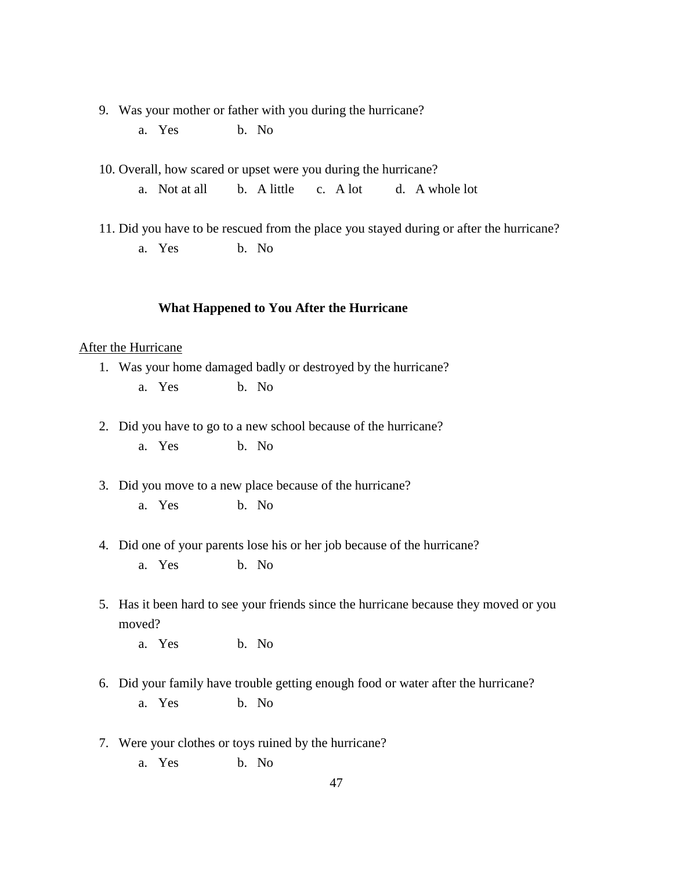- 9. Was your mother or father with you during the hurricane?
	- a. Yes b. No

10. Overall, how scared or upset were you during the hurricane?

a. Not at all b. A little c. A lot d. A whole lot

11. Did you have to be rescued from the place you stayed during or after the hurricane?

a. Yes b. No

#### **What Happened to You After the Hurricane**

#### After the Hurricane

- 1. Was your home damaged badly or destroyed by the hurricane?
	- a. Yes b. No
- 2. Did you have to go to a new school because of the hurricane?
	- a. Yes b. No
- 3. Did you move to a new place because of the hurricane?
	- a. Yes b. No
- 4. Did one of your parents lose his or her job because of the hurricane? a. Yes b. No
- 5. Has it been hard to see your friends since the hurricane because they moved or you moved?
	- a. Yes b. No
- 6. Did your family have trouble getting enough food or water after the hurricane? a. Yes b. No
- 7. Were your clothes or toys ruined by the hurricane?
	- a. Yes b. No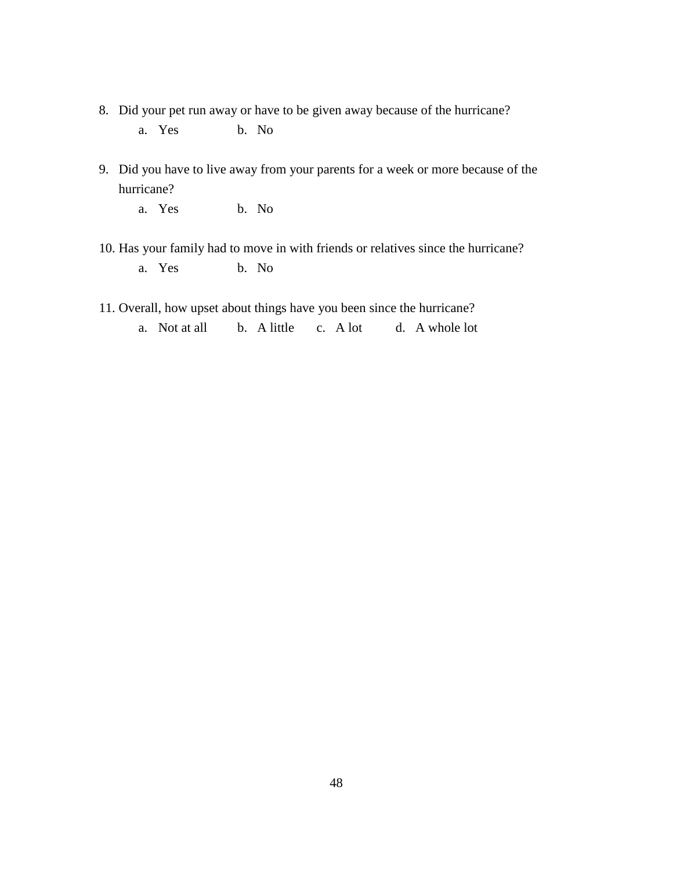- 8. Did your pet run away or have to be given away because of the hurricane?
	- a. Yes b. No
- 9. Did you have to live away from your parents for a week or more because of the hurricane?
	- a. Yes b. No
- 10. Has your family had to move in with friends or relatives since the hurricane? a. Yes b. No
- 11. Overall, how upset about things have you been since the hurricane?
	- a. Not at all b. A little c. A lot d. A whole lot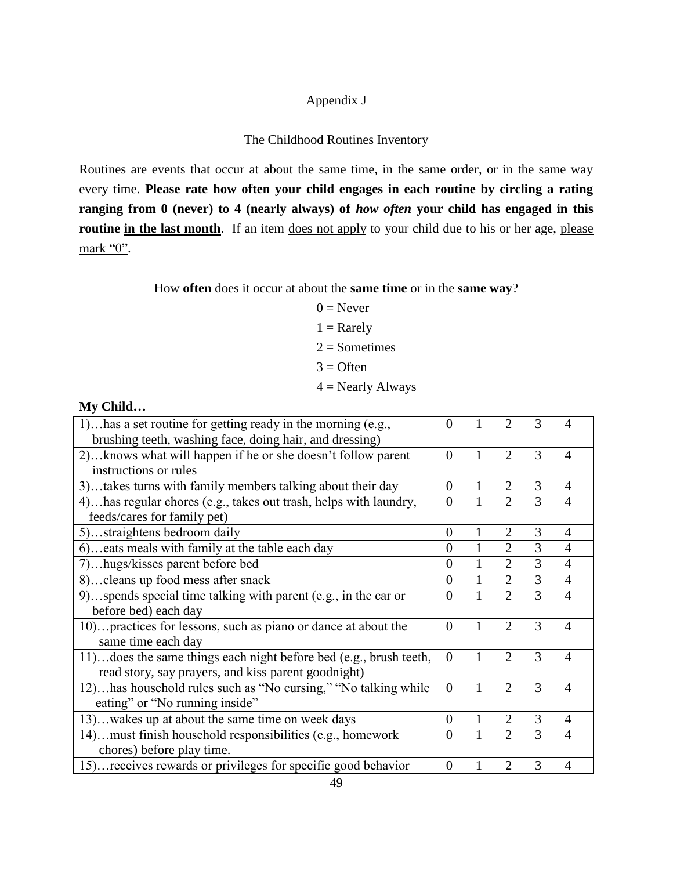### Appendix J

#### The Childhood Routines Inventory

Routines are events that occur at about the same time, in the same order, or in the same way every time. **Please rate how often your child engages in each routine by circling a rating ranging from 0 (never) to 4 (nearly always) of** *how often* **your child has engaged in this routine in the last month**. If an item does not apply to your child due to his or her age, please mark "0".

How **often** does it occur at about the **same time** or in the **same way**?

 $0 =$  Never  $1 =$ Rarely  $2 =$ Sometimes  $3 =$  Often

 $4$  = Nearly Always

#### **My Child…**

| 1)has a set routine for getting ready in the morning (e.g.,        | $\theta$       | 1            | $\overline{2}$              | 3              |                |
|--------------------------------------------------------------------|----------------|--------------|-----------------------------|----------------|----------------|
| brushing teeth, washing face, doing hair, and dressing)            |                |              |                             |                |                |
| 2) knows what will happen if he or she doesn't follow parent       | $\theta$       | 1            | $\overline{2}$              | 3              | 4              |
| instructions or rules                                              |                |              |                             |                |                |
| 3)takes turns with family members talking about their day          | $\theta$       | $\mathbf{1}$ |                             | 3              | $\overline{4}$ |
| 4) has regular chores (e.g., takes out trash, helps with laundry,  | $\theta$       | 1            | $\overline{2}$              | 3              | $\overline{4}$ |
| feeds/cares for family pet)                                        |                |              |                             |                |                |
| 5)straightens bedroom daily                                        | $\theta$       | $\mathbf{1}$ | $\overline{2}$              | 3              | 4              |
| 6)eats meals with family at the table each day                     | $\overline{0}$ | 1            | $\overline{2}$              | 3              | $\overline{4}$ |
| 7)hugs/kisses parent before bed                                    | $\Omega$       | $\mathbf{1}$ | $\overline{2}$              | 3              | $\overline{4}$ |
| 8) cleans up food mess after snack                                 | $\theta$       | $\mathbf{1}$ | 2                           | $\overline{3}$ | $\overline{4}$ |
| 9)spends special time talking with parent (e.g., in the car or     | $\Omega$       | 1            | $\overline{2}$              | 3              | $\overline{4}$ |
| before bed) each day                                               |                |              |                             |                |                |
| 10) practices for lessons, such as piano or dance at about the     | $\theta$       | $\mathbf{1}$ | $\overline{2}$              | 3              | 4              |
| same time each day                                                 |                |              |                             |                |                |
| 11) does the same things each night before bed (e.g., brush teeth, | $\theta$       | 1            | $\mathcal{D}_{\mathcal{L}}$ | 3              | $\overline{4}$ |
| read story, say prayers, and kiss parent goodnight)                |                |              |                             |                |                |
| 12)has household rules such as "No cursing," "No talking while     | $\theta$       | 1            | $\overline{2}$              | 3              | $\overline{4}$ |
| eating" or "No running inside"                                     |                |              |                             |                |                |
| 13)wakes up at about the same time on week days                    | $\theta$       | $\mathbf{1}$ | 2                           | 3              | 4              |
| 14) must finish household responsibilities (e.g., homework         | $\overline{0}$ | $\mathbf{1}$ | $\overline{2}$              | 3              | 4              |
| chores) before play time.                                          |                |              |                             |                |                |
| 15) receives rewards or privileges for specific good behavior      | $\overline{0}$ | 1            | $\overline{2}$              | 3              | 4              |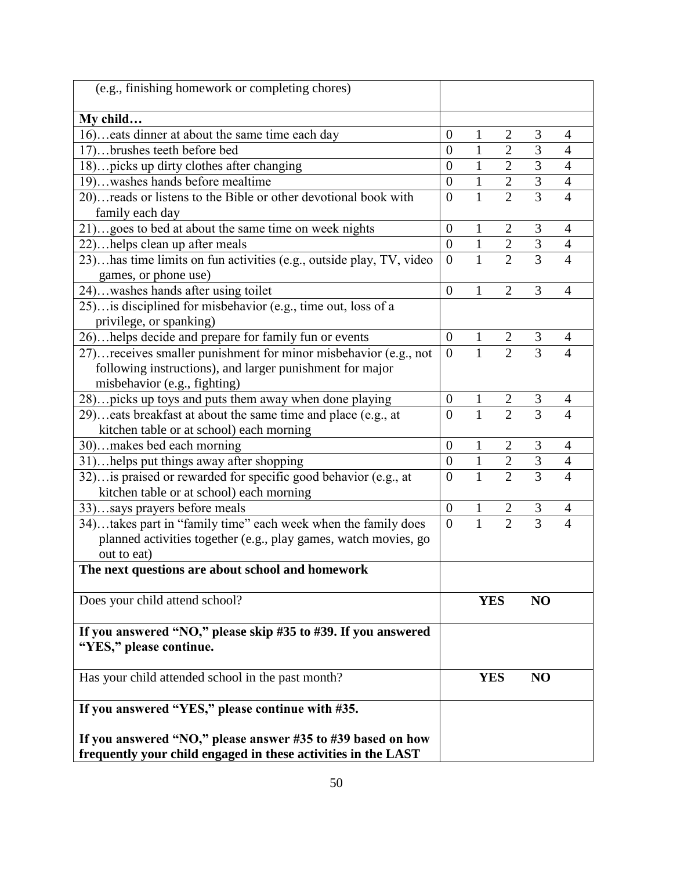| (e.g., finishing homework or completing chores)                                                                              |                  |                |                |                |                |
|------------------------------------------------------------------------------------------------------------------------------|------------------|----------------|----------------|----------------|----------------|
| My child                                                                                                                     |                  |                |                |                |                |
| 16)eats dinner at about the same time each day                                                                               | $\boldsymbol{0}$ | $\mathbf{1}$   | $\overline{2}$ | 3              | 4              |
| 17)brushes teeth before bed                                                                                                  | $\overline{0}$   | $\mathbf{1}$   | $\overline{2}$ | $\overline{3}$ | $\overline{4}$ |
| 18) picks up dirty clothes after changing                                                                                    | $\overline{0}$   | $\mathbf{1}$   | $\overline{2}$ | $\overline{3}$ | $\overline{4}$ |
| 19)washes hands before mealtime                                                                                              | $\overline{0}$   | $\mathbf{1}$   | $\overline{2}$ | $\overline{3}$ | $\overline{4}$ |
| 20)reads or listens to the Bible or other devotional book with                                                               | $\overline{0}$   | $\mathbf{1}$   | $\overline{2}$ | $\overline{3}$ | $\overline{4}$ |
| family each day                                                                                                              |                  |                |                |                |                |
| 21)goes to bed at about the same time on week nights                                                                         | $\boldsymbol{0}$ | $\mathbf{1}$   | $\mathbf{2}$   | 3              | $\overline{4}$ |
| 22) helps clean up after meals                                                                                               | $\boldsymbol{0}$ | $\mathbf{1}$   | $\overline{2}$ | 3              | $\overline{4}$ |
| 23)has time limits on fun activities (e.g., outside play, TV, video                                                          | $\overline{0}$   | $\overline{1}$ | $\overline{2}$ | $\overline{3}$ | $\overline{4}$ |
| games, or phone use)                                                                                                         |                  |                |                |                |                |
| 24)washes hands after using toilet                                                                                           | $\overline{0}$   | $\mathbf{1}$   | $\overline{2}$ | 3              | $\overline{4}$ |
| 25) is disciplined for misbehavior (e.g., time out, loss of a                                                                |                  |                |                |                |                |
| privilege, or spanking)                                                                                                      |                  |                |                |                |                |
| 26)helps decide and prepare for family fun or events                                                                         | $\overline{0}$   |                |                |                |                |
| 27) receives smaller punishment for minor misbehavior (e.g., not                                                             | $\overline{0}$   |                | $rac{2}{2}$    |                |                |
| following instructions), and larger punishment for major                                                                     |                  |                |                |                |                |
| misbehavior (e.g., fighting)                                                                                                 |                  |                |                |                |                |
| 28) picks up toys and puts them away when done playing                                                                       | $\boldsymbol{0}$ | $\mathbf{1}$   | $\overline{2}$ | 3              | 4              |
| 29)eats breakfast at about the same time and place (e.g., at                                                                 | $\theta$         | $\overline{1}$ | $\overline{2}$ | $\overline{3}$ | $\overline{4}$ |
| kitchen table or at school) each morning                                                                                     |                  |                |                |                |                |
| 30)makes bed each morning                                                                                                    | $\overline{0}$   | $\mathbf{1}$   | $\overline{2}$ | 3              | $\overline{4}$ |
| 31)helps put things away after shopping                                                                                      | $\boldsymbol{0}$ | $\mathbf 1$    | $\overline{2}$ | $\overline{3}$ | $\overline{4}$ |
| 32) is praised or rewarded for specific good behavior (e.g., at                                                              | $\overline{0}$   | $\mathbf{1}$   | $\overline{2}$ | $\overline{3}$ | $\overline{4}$ |
| kitchen table or at school) each morning                                                                                     |                  |                |                |                |                |
| 33)says prayers before meals                                                                                                 | $\boldsymbol{0}$ | $\mathbf{1}$   | $\overline{c}$ | 3              | $\overline{4}$ |
| 34)takes part in "family time" each week when the family does                                                                | $\overline{0}$   | $\overline{1}$ | $\overline{2}$ | $\overline{3}$ | $\overline{4}$ |
| planned activities together (e.g., play games, watch movies, go                                                              |                  |                |                |                |                |
| out to eat)                                                                                                                  |                  |                |                |                |                |
| The next questions are about school and homework                                                                             |                  |                |                |                |                |
| Does your child attend school?                                                                                               |                  | <b>YES</b>     |                | NO             |                |
| If you answered "NO," please skip #35 to #39. If you answered                                                                |                  |                |                |                |                |
| "YES," please continue.                                                                                                      |                  |                |                |                |                |
| Has your child attended school in the past month?                                                                            |                  | <b>YES</b>     |                | NO             |                |
| If you answered "YES," please continue with #35.                                                                             |                  |                |                |                |                |
| If you answered "NO," please answer #35 to #39 based on how<br>frequently your child engaged in these activities in the LAST |                  |                |                |                |                |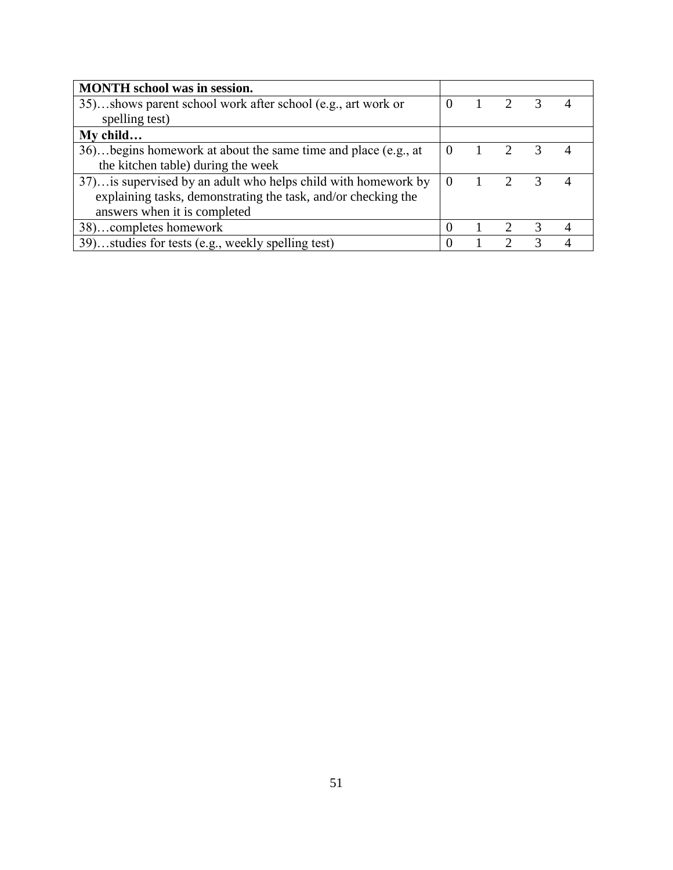| <b>MONTH</b> school was in session.                            |                |                             |               |  |
|----------------------------------------------------------------|----------------|-----------------------------|---------------|--|
| 35)shows parent school work after school (e.g., art work or    | $\theta$       | $\mathcal{D}$               | 3             |  |
| spelling test)                                                 |                |                             |               |  |
| My child                                                       |                |                             |               |  |
| 36)begins homework at about the same time and place (e.g., at  | $\overline{0}$ | $\mathcal{D}_{\mathcal{L}}$ | 3             |  |
| the kitchen table) during the week                             |                |                             |               |  |
| 37) is supervised by an adult who helps child with homework by | $\Omega$       | $\mathcal{D}$               | $\mathcal{R}$ |  |
| explaining tasks, demonstrating the task, and/or checking the  |                |                             |               |  |
| answers when it is completed                                   |                |                             |               |  |
| 38)completes homework                                          |                |                             | 3             |  |
| 39)studies for tests (e.g., weekly spelling test)              |                |                             |               |  |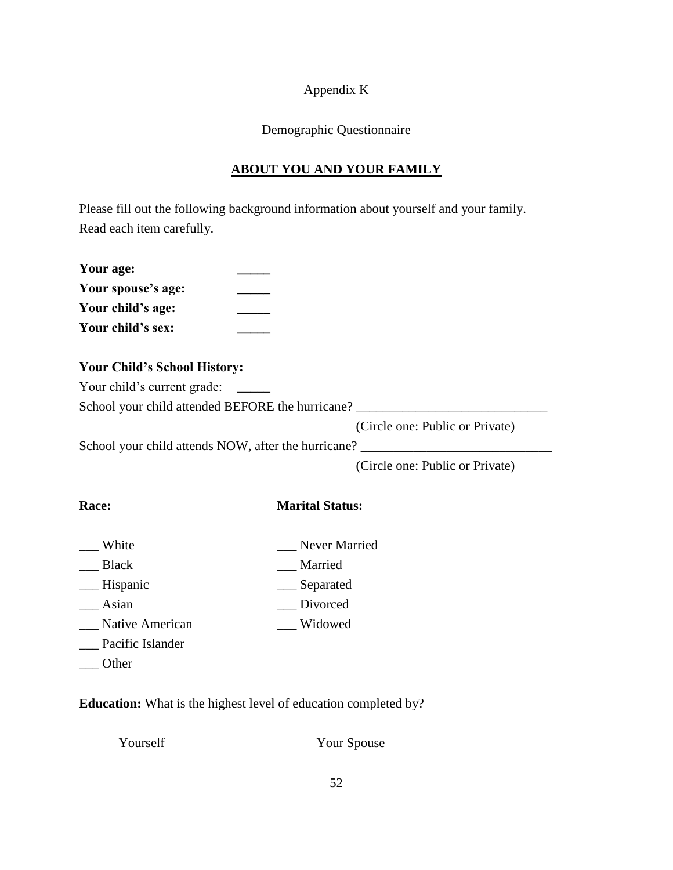#### Appendix K

#### Demographic Questionnaire

## **ABOUT YOU AND YOUR FAMILY**

Please fill out the following background information about yourself and your family. Read each item carefully.

| Your age:          |  |
|--------------------|--|
| Your spouse's age: |  |
| Your child's age:  |  |
| Your child's sex:  |  |

#### **Your Child's School History:**

Your child's current grade:

School your child attended BEFORE the hurricane? \_\_\_\_\_\_\_\_\_\_\_\_\_\_\_\_\_\_\_\_\_\_\_\_\_\_\_\_\_\_\_

(Circle one: Public or Private)

School your child attends NOW, after the hurricane? \_\_\_\_\_\_\_\_\_\_\_\_\_\_\_\_\_\_\_\_\_\_\_\_\_\_\_\_

(Circle one: Public or Private)

## **Race: Marital Status:**

- White White Never Married
- \_\_\_ Black \_\_\_ \_\_\_ Married
- \_\_\_ Hispanic \_\_\_ Separated
- \_\_\_ Asian \_\_\_ Divorced
- \_\_\_ Native American \_\_\_ Widowed
- \_\_\_ Pacific Islander
- \_\_\_ Other

**Education:** What is the highest level of education completed by?

| Yourself | <b>Your Spouse</b> |
|----------|--------------------|
|----------|--------------------|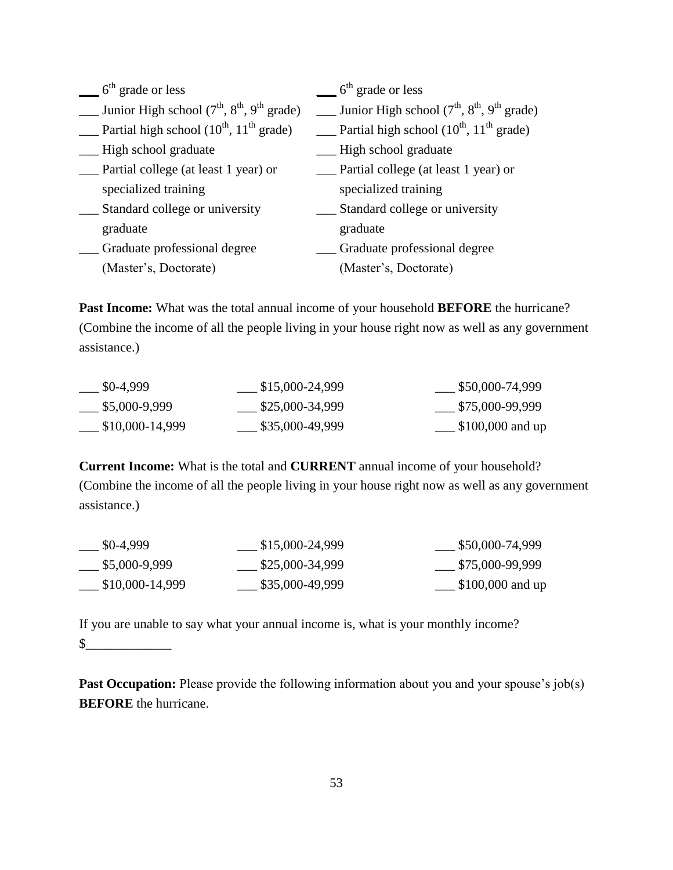| $6th$ grade or less                                         | $6th$ grade or less                                    |
|-------------------------------------------------------------|--------------------------------------------------------|
| Junior High school $(7^{th}, 8^{th}, 9^{th} \text{ grade})$ | __ Junior High school $(7th, 8th, 9th$ grade)          |
| Partial high school $(10^{th}, 11^{th}$ grade)              | Partial high school $(10^{th}, 11^{th} \text{ grade})$ |
| High school graduate                                        | High school graduate                                   |
| Partial college (at least 1 year) or                        | Partial college (at least 1 year) or                   |
| specialized training                                        | specialized training                                   |
| Standard college or university                              | Standard college or university                         |
| graduate                                                    | graduate                                               |
| Graduate professional degree                                | Graduate professional degree                           |
| (Master's, Doctorate)                                       | (Master's, Doctorate)                                  |

**Past Income:** What was the total annual income of your household **BEFORE** the hurricane? (Combine the income of all the people living in your house right now as well as any government assistance.)

| \$0-4,999       | \$15,000-24,999 | \$50,000-74,999    |
|-----------------|-----------------|--------------------|
| \$5,000-9,999   | \$25,000-34,999 | \$75,000-99,999    |
| \$10,000-14,999 | \$35,000-49,999 | . \$100,000 and up |

**Current Income:** What is the total and **CURRENT** annual income of your household? (Combine the income of all the people living in your house right now as well as any government assistance.)

| \$0-4,999       | \$15,000-24,999 | \$50,000-74,999   |
|-----------------|-----------------|-------------------|
| \$5,000-9,999   | \$25,000-34,999 | \$75,000-99,999   |
| \$10,000-14,999 | \$35,000-49,999 | $$100,000$ and up |

If you are unable to say what your annual income is, what is your monthly income? \$\_\_\_\_\_\_\_\_\_\_\_\_\_

**Past Occupation:** Please provide the following information about you and your spouse's job(s) **BEFORE** the hurricane.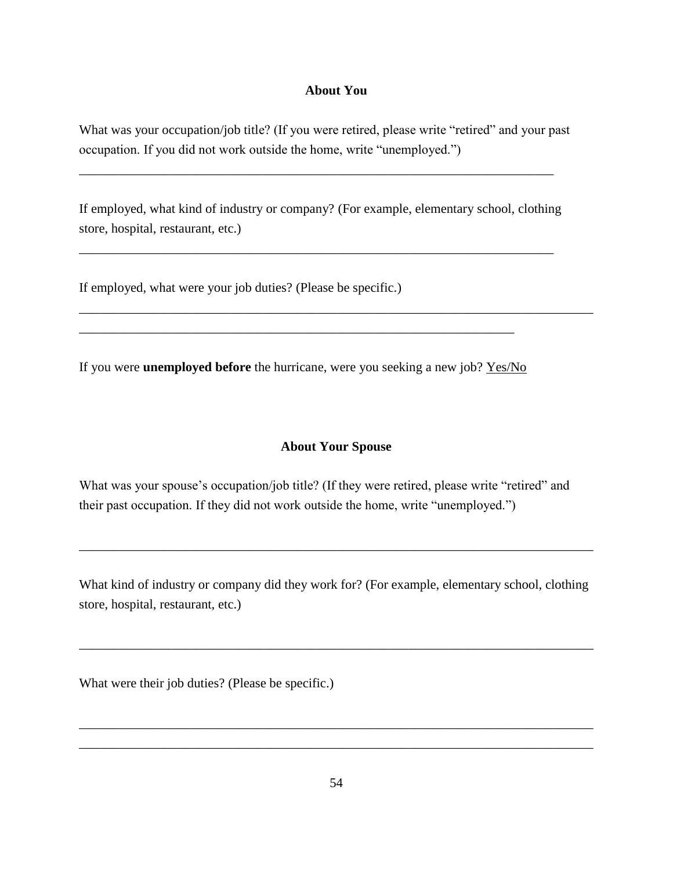#### **About You**

What was your occupation/job title? (If you were retired, please write "retired" and your past occupation. If you did not work outside the home, write "unemployed.")

If employed, what kind of industry or company? (For example, elementary school, clothing store, hospital, restaurant, etc.)

\_\_\_\_\_\_\_\_\_\_\_\_\_\_\_\_\_\_\_\_\_\_\_\_\_\_\_\_\_\_\_\_\_\_\_\_\_\_\_\_\_\_\_\_\_\_\_\_\_\_\_\_\_\_\_\_\_\_\_\_\_\_\_\_\_\_\_\_\_\_\_\_

\_\_\_\_\_\_\_\_\_\_\_\_\_\_\_\_\_\_\_\_\_\_\_\_\_\_\_\_\_\_\_\_\_\_\_\_\_\_\_\_\_\_\_\_\_\_\_\_\_\_\_\_\_\_\_\_\_\_\_\_\_\_\_\_\_\_\_\_\_\_\_\_

If employed, what were your job duties? (Please be specific.)

If you were **unemployed before** the hurricane, were you seeking a new job? Yes/No

\_\_\_\_\_\_\_\_\_\_\_\_\_\_\_\_\_\_\_\_\_\_\_\_\_\_\_\_\_\_\_\_\_\_\_\_\_\_\_\_\_\_\_\_\_\_\_\_\_\_\_\_\_\_\_\_\_\_\_\_\_\_\_\_\_\_

#### **About Your Spouse**

\_\_\_\_\_\_\_\_\_\_\_\_\_\_\_\_\_\_\_\_\_\_\_\_\_\_\_\_\_\_\_\_\_\_\_\_\_\_\_\_\_\_\_\_\_\_\_\_\_\_\_\_\_\_\_\_\_\_\_\_\_\_\_\_\_\_\_\_\_\_\_\_\_\_\_\_\_\_

What was your spouse's occupation/job title? (If they were retired, please write "retired" and their past occupation. If they did not work outside the home, write "unemployed.")

What kind of industry or company did they work for? (For example, elementary school, clothing store, hospital, restaurant, etc.)

\_\_\_\_\_\_\_\_\_\_\_\_\_\_\_\_\_\_\_\_\_\_\_\_\_\_\_\_\_\_\_\_\_\_\_\_\_\_\_\_\_\_\_\_\_\_\_\_\_\_\_\_\_\_\_\_\_\_\_\_\_\_\_\_\_\_\_\_\_\_\_\_\_\_\_\_\_\_

\_\_\_\_\_\_\_\_\_\_\_\_\_\_\_\_\_\_\_\_\_\_\_\_\_\_\_\_\_\_\_\_\_\_\_\_\_\_\_\_\_\_\_\_\_\_\_\_\_\_\_\_\_\_\_\_\_\_\_\_\_\_\_\_\_\_\_\_\_\_\_\_\_\_\_\_\_\_

What were their job duties? (Please be specific.)

\_\_\_\_\_\_\_\_\_\_\_\_\_\_\_\_\_\_\_\_\_\_\_\_\_\_\_\_\_\_\_\_\_\_\_\_\_\_\_\_\_\_\_\_\_\_\_\_\_\_\_\_\_\_\_\_\_\_\_\_\_\_\_\_\_\_\_\_\_\_\_\_\_\_\_\_\_\_ \_\_\_\_\_\_\_\_\_\_\_\_\_\_\_\_\_\_\_\_\_\_\_\_\_\_\_\_\_\_\_\_\_\_\_\_\_\_\_\_\_\_\_\_\_\_\_\_\_\_\_\_\_\_\_\_\_\_\_\_\_\_\_\_\_\_\_\_\_\_\_\_\_\_\_\_\_\_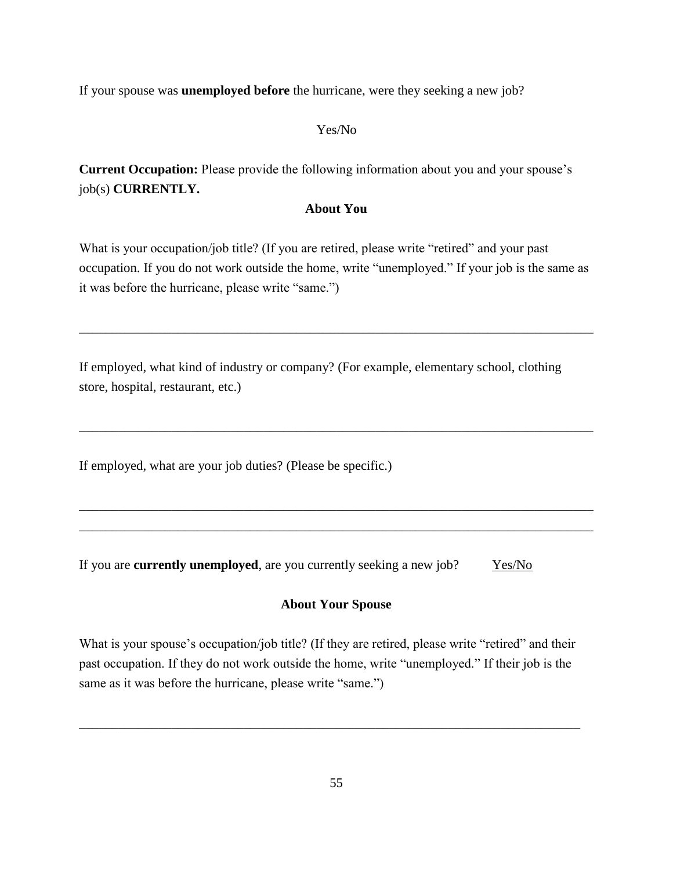If your spouse was **unemployed before** the hurricane, were they seeking a new job?

#### Yes/No

**Current Occupation:** Please provide the following information about you and your spouse"s job(s) **CURRENTLY.**

#### **About You**

What is your occupation/job title? (If you are retired, please write "retired" and your past occupation. If you do not work outside the home, write "unemployed." If your job is the same as it was before the hurricane, please write "same.")

\_\_\_\_\_\_\_\_\_\_\_\_\_\_\_\_\_\_\_\_\_\_\_\_\_\_\_\_\_\_\_\_\_\_\_\_\_\_\_\_\_\_\_\_\_\_\_\_\_\_\_\_\_\_\_\_\_\_\_\_\_\_\_\_\_\_\_\_\_\_\_\_\_\_\_\_\_\_

\_\_\_\_\_\_\_\_\_\_\_\_\_\_\_\_\_\_\_\_\_\_\_\_\_\_\_\_\_\_\_\_\_\_\_\_\_\_\_\_\_\_\_\_\_\_\_\_\_\_\_\_\_\_\_\_\_\_\_\_\_\_\_\_\_\_\_\_\_\_\_\_\_\_\_\_\_\_

\_\_\_\_\_\_\_\_\_\_\_\_\_\_\_\_\_\_\_\_\_\_\_\_\_\_\_\_\_\_\_\_\_\_\_\_\_\_\_\_\_\_\_\_\_\_\_\_\_\_\_\_\_\_\_\_\_\_\_\_\_\_\_\_\_\_\_\_\_\_\_\_\_\_\_\_\_\_ \_\_\_\_\_\_\_\_\_\_\_\_\_\_\_\_\_\_\_\_\_\_\_\_\_\_\_\_\_\_\_\_\_\_\_\_\_\_\_\_\_\_\_\_\_\_\_\_\_\_\_\_\_\_\_\_\_\_\_\_\_\_\_\_\_\_\_\_\_\_\_\_\_\_\_\_\_\_

If employed, what kind of industry or company? (For example, elementary school, clothing store, hospital, restaurant, etc.)

If employed, what are your job duties? (Please be specific.)

If you are **currently unemployed**, are you currently seeking a new job?  $Yes/No$ 

#### **About Your Spouse**

What is your spouse's occupation/job title? (If they are retired, please write "retired" and their past occupation. If they do not work outside the home, write "unemployed." If their job is the same as it was before the hurricane, please write "same.")

\_\_\_\_\_\_\_\_\_\_\_\_\_\_\_\_\_\_\_\_\_\_\_\_\_\_\_\_\_\_\_\_\_\_\_\_\_\_\_\_\_\_\_\_\_\_\_\_\_\_\_\_\_\_\_\_\_\_\_\_\_\_\_\_\_\_\_\_\_\_\_\_\_\_\_\_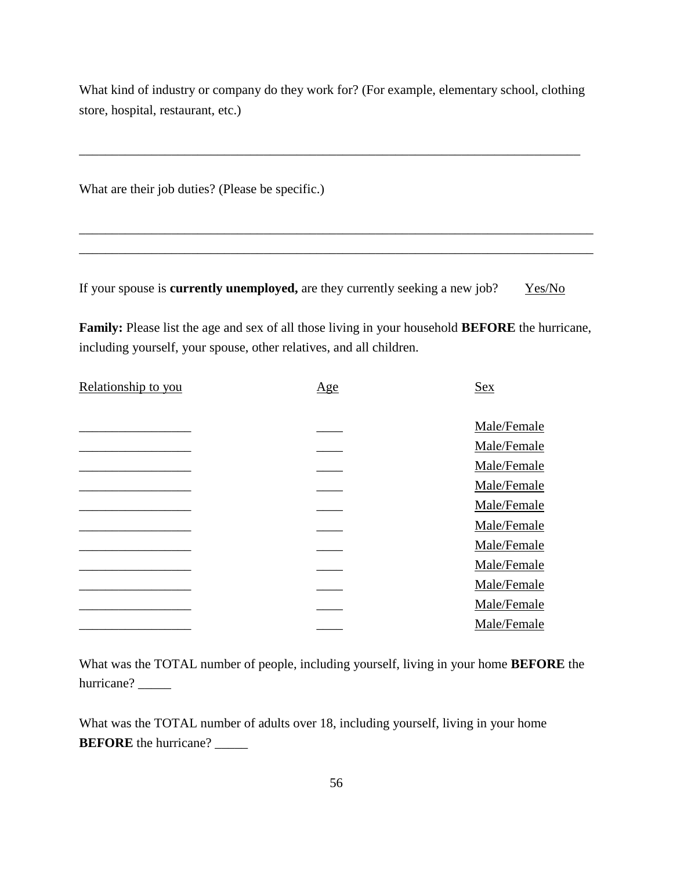What kind of industry or company do they work for? (For example, elementary school, clothing store, hospital, restaurant, etc.)

\_\_\_\_\_\_\_\_\_\_\_\_\_\_\_\_\_\_\_\_\_\_\_\_\_\_\_\_\_\_\_\_\_\_\_\_\_\_\_\_\_\_\_\_\_\_\_\_\_\_\_\_\_\_\_\_\_\_\_\_\_\_\_\_\_\_\_\_\_\_\_\_\_\_\_\_

\_\_\_\_\_\_\_\_\_\_\_\_\_\_\_\_\_\_\_\_\_\_\_\_\_\_\_\_\_\_\_\_\_\_\_\_\_\_\_\_\_\_\_\_\_\_\_\_\_\_\_\_\_\_\_\_\_\_\_\_\_\_\_\_\_\_\_\_\_\_\_\_\_\_\_\_\_\_ \_\_\_\_\_\_\_\_\_\_\_\_\_\_\_\_\_\_\_\_\_\_\_\_\_\_\_\_\_\_\_\_\_\_\_\_\_\_\_\_\_\_\_\_\_\_\_\_\_\_\_\_\_\_\_\_\_\_\_\_\_\_\_\_\_\_\_\_\_\_\_\_\_\_\_\_\_\_

What are their job duties? (Please be specific.)

If your spouse is **currently unemployed**, are they currently seeking a new job? Yes/No

**Family:** Please list the age and sex of all those living in your household **BEFORE** the hurricane, including yourself, your spouse, other relatives, and all children.

| Relationship to you | $\underline{Age}$ | <b>Sex</b>  |
|---------------------|-------------------|-------------|
|                     |                   |             |
|                     |                   | Male/Female |
|                     |                   | Male/Female |
|                     |                   | Male/Female |
|                     |                   | Male/Female |
|                     |                   | Male/Female |
|                     |                   | Male/Female |
|                     |                   | Male/Female |
|                     |                   | Male/Female |
|                     |                   | Male/Female |
|                     |                   | Male/Female |
|                     |                   | Male/Female |

What was the TOTAL number of people, including yourself, living in your home **BEFORE** the hurricane? \_\_\_\_\_

What was the TOTAL number of adults over 18, including yourself, living in your home **BEFORE** the hurricane? \_\_\_\_\_\_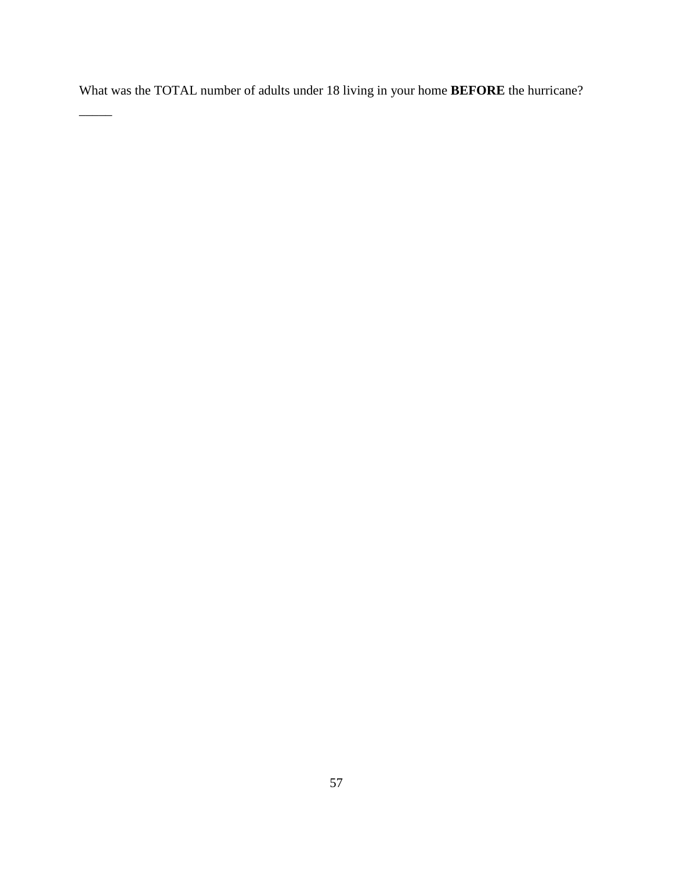What was the TOTAL number of adults under 18 living in your home **BEFORE** the hurricane?

\_\_\_\_\_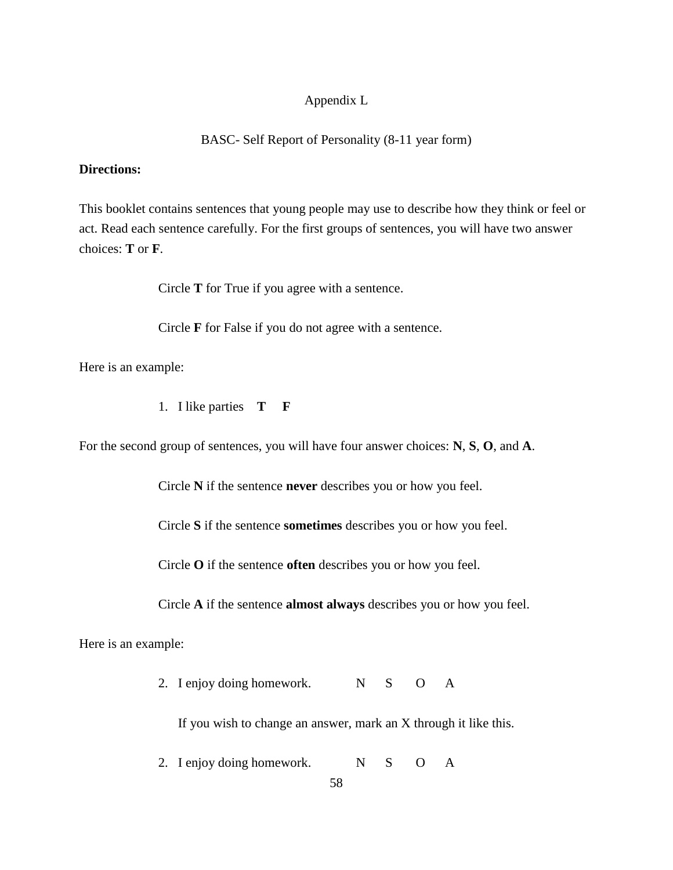#### Appendix L

#### BASC- Self Report of Personality (8-11 year form)

#### **Directions:**

This booklet contains sentences that young people may use to describe how they think or feel or act. Read each sentence carefully. For the first groups of sentences, you will have two answer choices: **T** or **F**.

Circle **T** for True if you agree with a sentence.

Circle **F** for False if you do not agree with a sentence.

Here is an example:

1. I like parties **T F**

For the second group of sentences, you will have four answer choices: **N**, **S**, **O**, and **A**.

Circle **N** if the sentence **never** describes you or how you feel.

Circle **S** if the sentence **sometimes** describes you or how you feel.

Circle **O** if the sentence **often** describes you or how you feel.

Circle **A** if the sentence **almost always** describes you or how you feel.

Here is an example:

2. I enjoy doing homework. N S O A

If you wish to change an answer, mark an X through it like this.

2. I enjoy doing homework. N S O A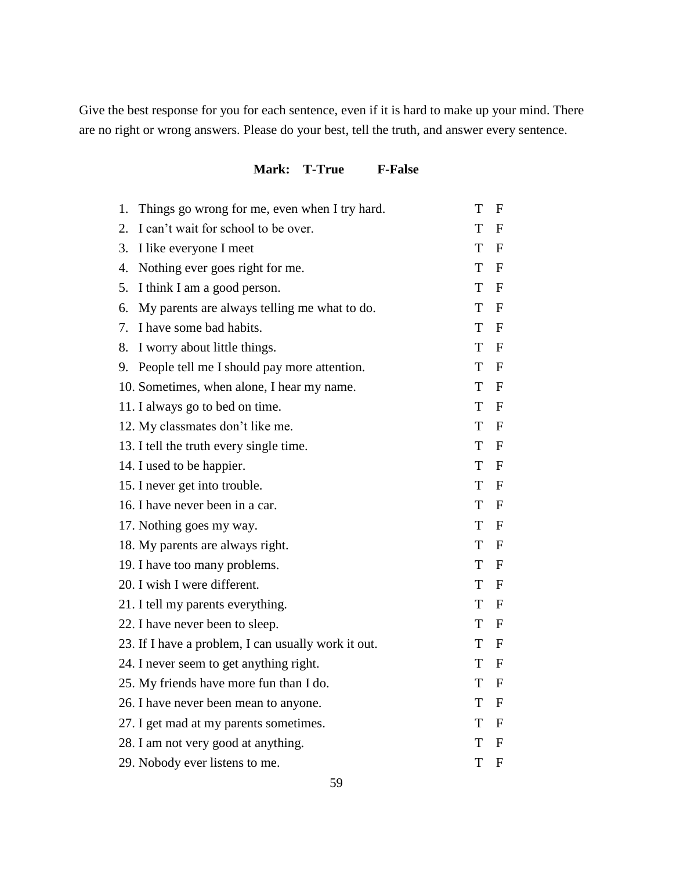Give the best response for you for each sentence, even if it is hard to make up your mind. There are no right or wrong answers. Please do your best, tell the truth, and answer every sentence.

### **Mark: T-True F-False**

| 1. | Things go wrong for me, even when I try hard.       | T | F                |
|----|-----------------------------------------------------|---|------------------|
| 2. | I can't wait for school to be over.                 | T | F                |
| 3. | I like everyone I meet                              | T | F                |
| 4. | Nothing ever goes right for me.                     | T | $\mathbf{F}$     |
| 5. | I think I am a good person.                         | T | $\mathbf{F}$     |
| 6. | My parents are always telling me what to do.        | T | $\mathbf{F}$     |
| 7. | I have some bad habits.                             | T | $\mathbf{F}$     |
| 8. | I worry about little things.                        | T | F                |
| 9. | People tell me I should pay more attention.         | T | $\mathbf{F}$     |
|    | 10. Sometimes, when alone, I hear my name.          | T | $\mathbf{F}$     |
|    | 11. I always go to bed on time.                     | T | $\mathbf{F}$     |
|    | 12. My classmates don't like me.                    | T | $\mathbf{F}$     |
|    | 13. I tell the truth every single time.             | T | F                |
|    | 14. I used to be happier.                           | T | $\mathbf{F}$     |
|    | 15. I never get into trouble.                       | T | $\mathbf{F}$     |
|    | 16. I have never been in a car.                     | T | $\mathbf{F}$     |
|    | 17. Nothing goes my way.                            | T | $\mathbf{F}$     |
|    | 18. My parents are always right.                    | T | F                |
|    | 19. I have too many problems.                       | T | $\mathbf{F}$     |
|    | 20. I wish I were different.                        | T | $\mathbf F$      |
|    | 21. I tell my parents everything.                   | T | $\mathbf{F}$     |
|    | 22. I have never been to sleep.                     | T | $\mathbf{F}$     |
|    | 23. If I have a problem, I can usually work it out. | T | $\mathbf{F}$     |
|    | 24. I never seem to get anything right.             | T | $\mathbf{F}$     |
|    | 25. My friends have more fun than I do.             | T | F                |
|    | 26. I have never been mean to anyone.               | T | $\mathbf{F}$     |
|    | 27. I get mad at my parents sometimes.              | T | $\mathbf{F}$     |
|    | 28. I am not very good at anything.                 | т | $\mathbf F$      |
|    | 29. Nobody ever listens to me.                      | T | $\boldsymbol{F}$ |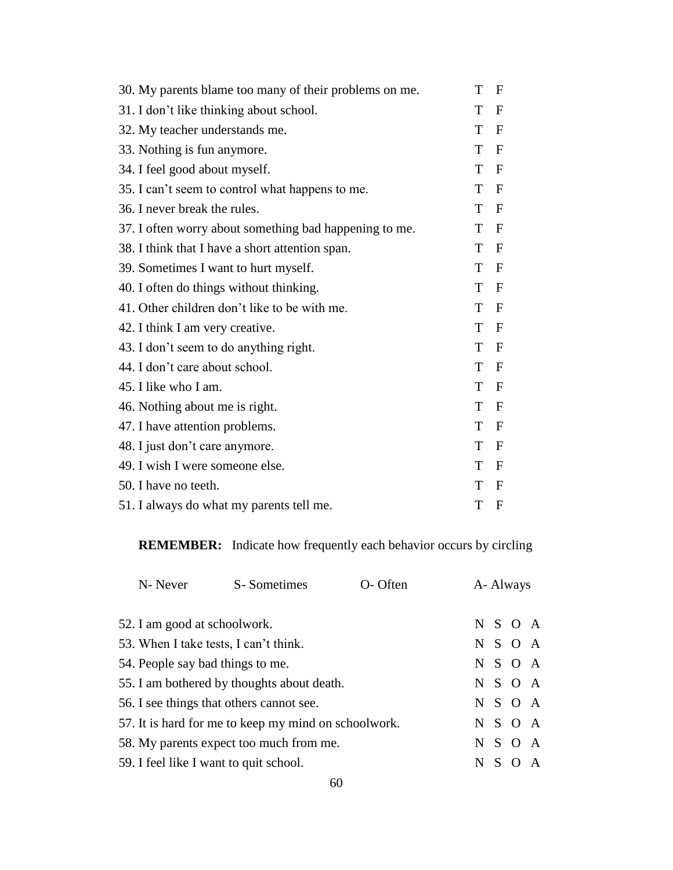| 30. My parents blame too many of their problems on me. | T | F            |
|--------------------------------------------------------|---|--------------|
| 31. I don't like thinking about school.                | Т | $\mathbf{F}$ |
| 32. My teacher understands me.                         | T | $\mathbf{F}$ |
| 33. Nothing is fun anymore.                            | T | $\mathbf F$  |
| 34. I feel good about myself.                          | T | $\mathbf F$  |
| 35. I can't seem to control what happens to me.        | T | $\mathbf F$  |
| 36. I never break the rules.                           | T | $\mathbf F$  |
| 37. I often worry about something bad happening to me. | T | $\mathbf F$  |
| 38. I think that I have a short attention span.        | T | $\mathbf F$  |
| 39. Sometimes I want to hurt myself.                   | Т | $\mathbf F$  |
| 40. I often do things without thinking.                | T | $\mathbf F$  |
| 41. Other children don't like to be with me.           | T | $\mathbf F$  |
| 42. I think I am very creative.                        | T | $\mathbf F$  |
| 43. I don't seem to do anything right.                 | T | $\mathbf F$  |
| 44. I don't care about school.                         | T | $\mathbf F$  |
| 45. I like who I am.                                   | T | F            |
| 46. Nothing about me is right.                         | T | $\mathbf F$  |
| 47. I have attention problems.                         | T | $\mathbf F$  |
| 48. I just don't care anymore.                         | T | $\mathbf F$  |
| 49. I wish I were someone else.                        | T | F            |
| 50. I have no teeth.                                   | T | $\mathbf F$  |
| 51. I always do what my parents tell me.               | T | F            |

**REMEMBER:** Indicate how frequently each behavior occurs by circling

| O-Often<br>N- Never<br>S-Sometimes     |                                                      | A- Always |  |  |         |                |
|----------------------------------------|------------------------------------------------------|-----------|--|--|---------|----------------|
| 52. I am good at schoolwork.           |                                                      |           |  |  | N S O A |                |
| 53. When I take tests, I can't think.  |                                                      |           |  |  | N S O A |                |
| 54. People say bad things to me.       |                                                      |           |  |  | N S O A |                |
|                                        | 55. I am bothered by thoughts about death.           |           |  |  | N S O A |                |
|                                        | 56. I see things that others cannot see.             |           |  |  | N S O A |                |
|                                        | 57. It is hard for me to keep my mind on schoolwork. |           |  |  | N S O A |                |
|                                        | 58. My parents expect too much from me.              |           |  |  | N S O A |                |
| 59. I feel like I want to quit school. |                                                      |           |  |  | N S O   | $\overline{A}$ |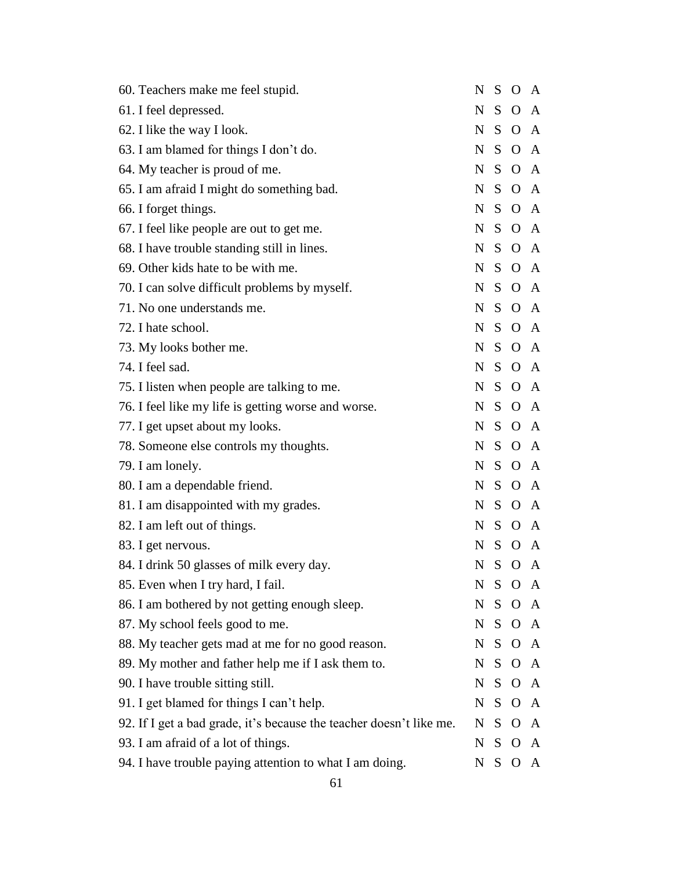| 60. Teachers make me feel stupid.                                   | N           |         | S O A        |   |
|---------------------------------------------------------------------|-------------|---------|--------------|---|
| 61. I feel depressed.                                               | N           |         | S O A        |   |
| 62. I like the way I look.                                          |             |         | N S O A      |   |
| 63. I am blamed for things I don't do.                              | N           |         | S O A        |   |
| 64. My teacher is proud of me.                                      |             |         | N S O A      |   |
| 65. I am afraid I might do something bad.                           | $\mathbf N$ |         | S O A        |   |
| 66. I forget things.                                                |             |         | N S O A      |   |
| 67. I feel like people are out to get me.                           | $N_{\rm}$   |         | S O A        |   |
| 68. I have trouble standing still in lines.                         |             |         | N S O A      |   |
| 69. Other kids hate to be with me.                                  | N           |         | S O A        |   |
| 70. I can solve difficult problems by myself.                       |             |         | N S O A      |   |
| 71. No one understands me.                                          | N           |         | S O A        |   |
| 72. I hate school.                                                  |             |         | N S O A      |   |
| 73. My looks bother me.                                             |             |         | N S O A      |   |
| 74. I feel sad.                                                     |             |         | N S O A      |   |
| 75. I listen when people are talking to me.                         |             |         | N S O A      |   |
| 76. I feel like my life is getting worse and worse.                 |             |         | N S O A      |   |
| 77. I get upset about my looks.                                     | $N_{\rm}$   |         | S O A        |   |
| 78. Someone else controls my thoughts.                              |             |         | N S O A      |   |
| 79. I am lonely.                                                    | N           |         | S O A        |   |
| 80. I am a dependable friend.                                       |             |         | N S O A      |   |
| 81. I am disappointed with my grades.                               | N           |         | S O A        |   |
| 82. I am left out of things.                                        |             |         | N S O A      |   |
| 83. I get nervous.                                                  |             |         | N S O A      |   |
| 84. I drink 50 glasses of milk every day.                           |             |         | N S O A      |   |
| 85. Even when I try hard, I fail.                                   | N           | S       | $O \, A$     |   |
| 86. I am bothered by not getting enough sleep.                      | $N_{\rm{}}$ | $S_{-}$ | O A          |   |
| 87. My school feels good to me.                                     |             |         | N S O A      |   |
| 88. My teacher gets mad at me for no good reason.                   | N           | $S_{-}$ | O A          |   |
| 89. My mother and father help me if I ask them to.                  |             |         | N S O A      |   |
| 90. I have trouble sitting still.                                   | N           | $S_{-}$ | O A          |   |
| 91. I get blamed for things I can't help.                           | N S         |         | O A          |   |
| 92. If I get a bad grade, it's because the teacher doesn't like me. | N           | $S_{-}$ | $O \, A$     |   |
| 93. I am afraid of a lot of things.                                 | N S         |         | $O \, A$     |   |
| 94. I have trouble paying attention to what I am doing.             | N           | S.      | $\mathbf{O}$ | A |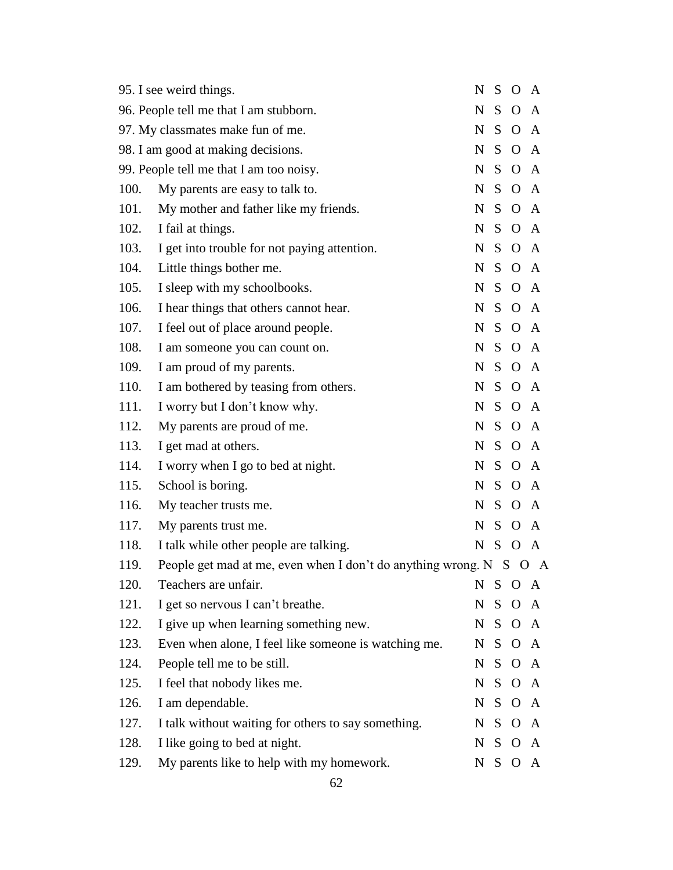|      | 95. I see weird things.                                            | N           | S       | $\overline{O}$ | $\mathbf{A}$ |
|------|--------------------------------------------------------------------|-------------|---------|----------------|--------------|
|      | 96. People tell me that I am stubborn.                             | $\mathbf N$ | S       | $\overline{O}$ | A            |
|      | 97. My classmates make fun of me.                                  | N           |         | S O A          |              |
|      | 98. I am good at making decisions.                                 | N           | S.      | $\mathbf{O}$   | A            |
|      | 99. People tell me that I am too noisy.                            | N           |         | S O A          |              |
| 100. | My parents are easy to talk to.                                    | N           | S       | $\mathbf{O}$   | $\mathbf{A}$ |
| 101. | My mother and father like my friends.                              | N           |         | S O A          |              |
| 102. | I fail at things.                                                  | N           | S.      | $O \, A$       |              |
| 103. | I get into trouble for not paying attention.                       | $\mathbf N$ | $S_{-}$ | $O \, A$       |              |
| 104. | Little things bother me.                                           | N           | S.      | $O \, A$       |              |
| 105. | I sleep with my schoolbooks.                                       | $\mathbf N$ |         | S O A          |              |
| 106. | I hear things that others cannot hear.                             | N           | S       | $O \, A$       |              |
| 107. | I feel out of place around people.                                 | N           |         | S O A          |              |
| 108. | I am someone you can count on.                                     | N           | S       | $O \, A$       |              |
| 109. | I am proud of my parents.                                          | N           |         | S O A          |              |
| 110. | I am bothered by teasing from others.                              | N           | S       | $O \, A$       |              |
| 111. | I worry but I don't know why.                                      | N           |         | S O A          |              |
| 112. | My parents are proud of me.                                        | N           | S       | $O \, A$       |              |
| 113. | I get mad at others.                                               | N           |         | S O A          |              |
| 114. | I worry when I go to bed at night.                                 | N           | S       | $O \, A$       |              |
| 115. | School is boring.                                                  | N           |         | S O A          |              |
| 116. | My teacher trusts me.                                              | N           | S       | $O \, A$       |              |
| 117. | My parents trust me.                                               | $N_{\odot}$ | $S_{-}$ | $\overline{O}$ | A            |
| 118. | I talk while other people are talking.                             |             |         | N S O A        |              |
| 119. | People get mad at me, even when I don't do anything wrong. N S O A |             |         |                |              |
| 120. | Teachers are unfair.                                               |             |         | N S O A        |              |
| 121. | I get so nervous I can't breathe.                                  | N           | S       | $\overline{O}$ | $\mathbf{A}$ |
| 122. | I give up when learning something new.                             |             |         | N S O A        |              |
| 123. | Even when alone, I feel like someone is watching me.               | N           | S.      |                | $O \, A$     |
| 124. | People tell me to be still.                                        |             |         | N S O A        |              |
| 125. | I feel that nobody likes me.                                       |             | N S     | $O \, A$       |              |
| 126. | I am dependable.                                                   |             |         | N S O A        |              |
| 127. | I talk without waiting for others to say something.                | N           | S.      |                | $O \, A$     |
| 128. | I like going to bed at night.                                      | N S         |         | $\mathbf{O}$   | A            |
| 129. | My parents like to help with my homework.                          | N           | S.      | O              | A            |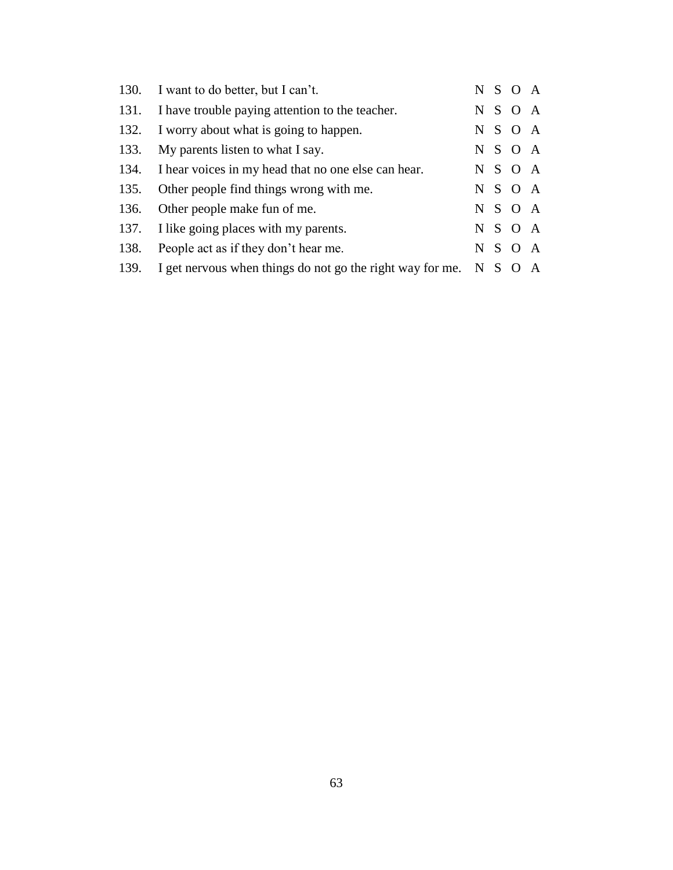|      | 130. I want to do better, but I can't.                    |         | N S O A |  |
|------|-----------------------------------------------------------|---------|---------|--|
| 131. | I have trouble paying attention to the teacher.           | N S     | O A     |  |
| 132. | I worry about what is going to happen.                    |         | N S O A |  |
|      | 133. My parents listen to what I say.                     |         | N S O A |  |
|      | 134. I hear voices in my head that no one else can hear.  |         | N S O A |  |
| 135. | Other people find things wrong with me.                   |         | N S O A |  |
| 136. | Other people make fun of me.                              |         | N S O A |  |
| 137. | I like going places with my parents.                      |         | N S O A |  |
| 138. | People act as if they don't hear me.                      |         | N S O A |  |
| 139. | I get nervous when things do not go the right way for me. | N S O A |         |  |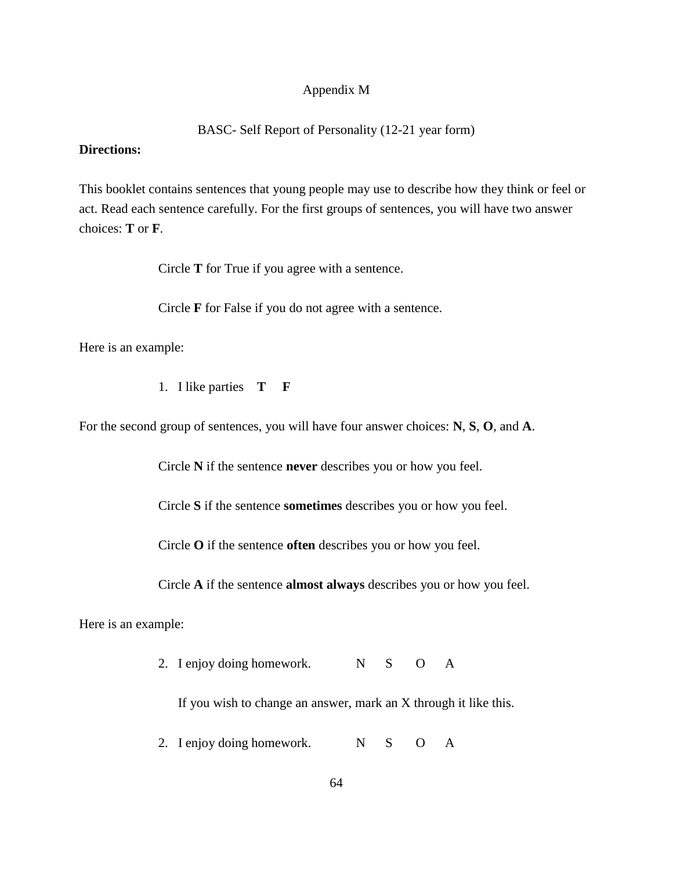#### Appendix M

#### BASC- Self Report of Personality (12-21 year form)

#### **Directions:**

This booklet contains sentences that young people may use to describe how they think or feel or act. Read each sentence carefully. For the first groups of sentences, you will have two answer choices: **T** or **F**.

Circle **T** for True if you agree with a sentence.

Circle **F** for False if you do not agree with a sentence.

Here is an example:

1. I like parties **T F**

For the second group of sentences, you will have four answer choices: **N**, **S**, **O**, and **A**.

Circle **N** if the sentence **never** describes you or how you feel.

Circle **S** if the sentence **sometimes** describes you or how you feel.

Circle **O** if the sentence **often** describes you or how you feel.

Circle **A** if the sentence **almost always** describes you or how you feel.

Here is an example:

2. I enjoy doing homework. N S O A

If you wish to change an answer, mark an X through it like this.

2. I enjoy doing homework. N S O A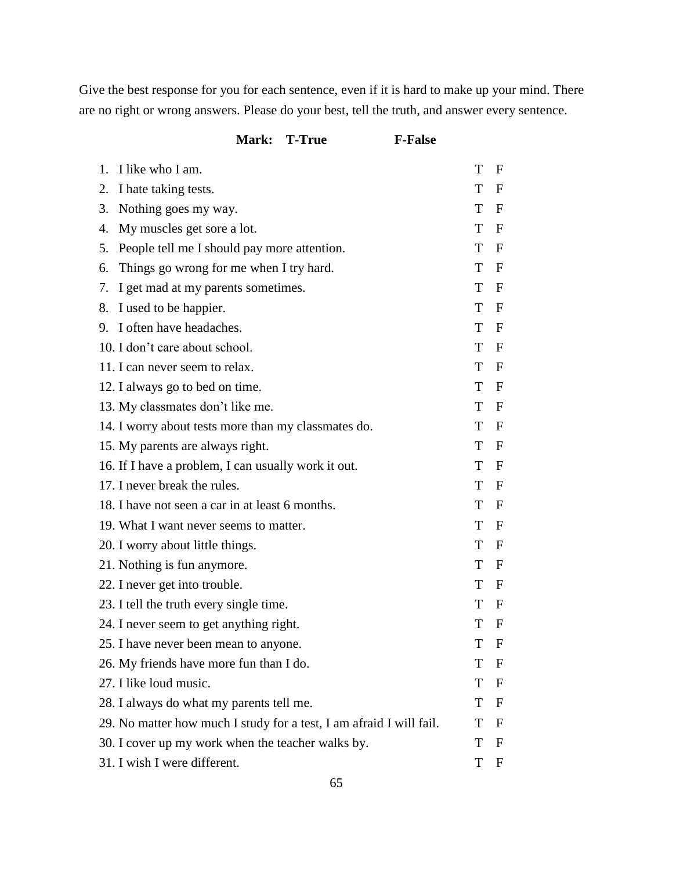Give the best response for you for each sentence, even if it is hard to make up your mind. There are no right or wrong answers. Please do your best, tell the truth, and answer every sentence.

|    | Mark: T-True                                                        | <b>F-False</b> |                           |
|----|---------------------------------------------------------------------|----------------|---------------------------|
| 1. | I like who I am.                                                    | T              | F                         |
| 2. | I hate taking tests.                                                | T              | $\mathbf F$               |
| 3. | Nothing goes my way.                                                | T              | F                         |
| 4. | My muscles get sore a lot.                                          | T              | $\boldsymbol{F}$          |
| 5. | People tell me I should pay more attention.                         | T              | F                         |
| 6. | Things go wrong for me when I try hard.                             | T              | $\boldsymbol{\mathrm{F}}$ |
| 7. | I get mad at my parents sometimes.                                  | T              | F                         |
| 8. | I used to be happier.                                               | T              | $\boldsymbol{\mathrm{F}}$ |
|    | 9. I often have headaches.                                          | T              | $\mathbf F$               |
|    | 10. I don't care about school.                                      | T              | $\boldsymbol{\mathrm{F}}$ |
|    | 11. I can never seem to relax.                                      | T              | $\mathbf F$               |
|    | 12. I always go to bed on time.                                     | T              | $\boldsymbol{\mathrm{F}}$ |
|    | 13. My classmates don't like me.                                    | T              | F                         |
|    | 14. I worry about tests more than my classmates do.                 | T              | $\boldsymbol{\mathrm{F}}$ |
|    | 15. My parents are always right.                                    | T              | F                         |
|    | 16. If I have a problem, I can usually work it out.                 | T              | $\boldsymbol{\mathrm{F}}$ |
|    | 17. I never break the rules.                                        | T              | F                         |
|    | 18. I have not seen a car in at least 6 months.                     | T              | $\boldsymbol{\mathrm{F}}$ |
|    | 19. What I want never seems to matter.                              | T              | F                         |
|    | 20. I worry about little things.                                    | T              | $\mathbf F$               |
|    | 21. Nothing is fun anymore.                                         | T              | F                         |
|    | 22. I never get into trouble.                                       | T              | F                         |
|    | 23. I tell the truth every single time.                             | T              | F                         |
|    | 24. I never seem to get anything right.                             | $\mathbf T$    | $\mathbf F$               |
|    | 25. I have never been mean to anyone.                               | T              | $\mathbf F$               |
|    | 26. My friends have more fun than I do.                             | T              | $\mathbf F$               |
|    | 27. I like loud music.                                              | T              | $\mathbf F$               |
|    | 28. I always do what my parents tell me.                            | T              | $\mathbf F$               |
|    | 29. No matter how much I study for a test, I am afraid I will fail. | T              | $\mathbf F$               |
|    | 30. I cover up my work when the teacher walks by.                   | T              | $\mathbf F$               |
|    | 31. I wish I were different.                                        | T              | $\mathbf F$               |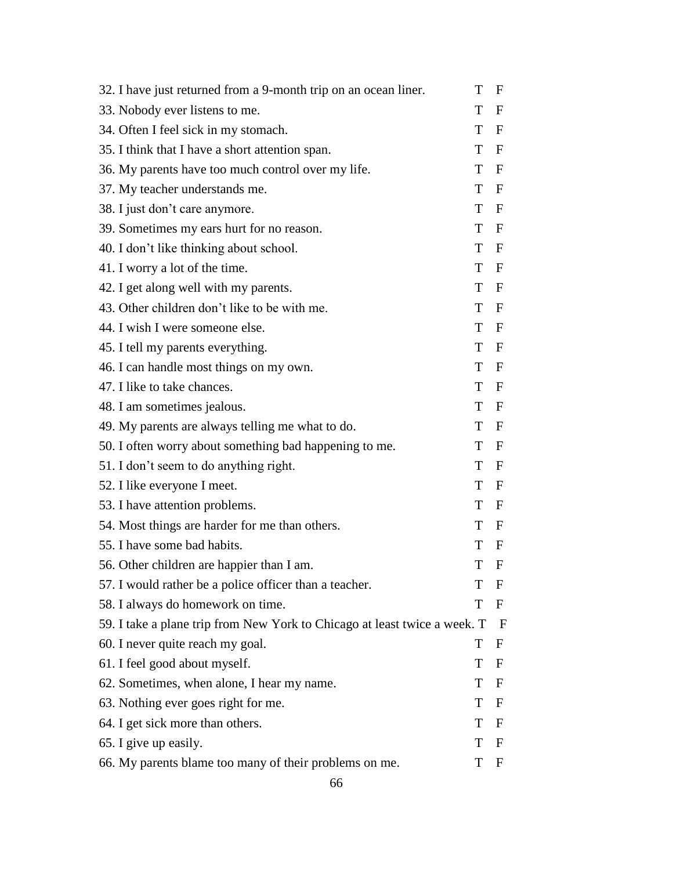| 32. I have just returned from a 9-month trip on an ocean liner.           | T   | F                |
|---------------------------------------------------------------------------|-----|------------------|
| 33. Nobody ever listens to me.                                            | T   | $\mathbf F$      |
| 34. Often I feel sick in my stomach.                                      | T   | $\mathbf F$      |
| 35. I think that I have a short attention span.                           | T   | $\mathbf F$      |
| 36. My parents have too much control over my life.                        | T   | $\mathbf F$      |
| 37. My teacher understands me.                                            | T   | $\mathbf F$      |
| 38. I just don't care anymore.                                            | T   | $\mathbf{F}$     |
| 39. Sometimes my ears hurt for no reason.                                 | T   | $\mathbf F$      |
| 40. I don't like thinking about school.                                   | T.  | $\mathbf{F}$     |
| 41. I worry a lot of the time.                                            | T   | $\mathbf F$      |
| 42. I get along well with my parents.                                     | T – | $\mathbf F$      |
| 43. Other children don't like to be with me.                              | T   | $\mathbf F$      |
| 44. I wish I were someone else.                                           | T F |                  |
| 45. I tell my parents everything.                                         | T   | $\mathbf F$      |
| 46. I can handle most things on my own.                                   | T F |                  |
| 47. I like to take chances.                                               | T   | $\mathbf F$      |
| 48. I am sometimes jealous.                                               | T F |                  |
| 49. My parents are always telling me what to do.                          | T   | $\mathbf F$      |
| 50. I often worry about something bad happening to me.                    | T   | $\mathbf{F}$     |
| 51. I don't seem to do anything right.                                    | T   | $\mathbf F$      |
| 52. I like everyone I meet.                                               | T.  | $\mathbf F$      |
| 53. I have attention problems.                                            | T   | $\boldsymbol{F}$ |
| 54. Most things are harder for me than others.                            | T   | $\mathbf{F}$     |
| 55. I have some bad habits.                                               | T   | $\boldsymbol{F}$ |
| 56. Other children are happier than I am.                                 | T   | $\mathbf{F}$     |
| 57. I would rather be a police officer than a teacher.                    | T   | $\mathbf F$      |
| 58. I always do homework on time.                                         | T   | F                |
| 59. I take a plane trip from New York to Chicago at least twice a week. T |     | F                |
| 60. I never quite reach my goal.                                          | T   | $\mathbf F$      |
| 61. I feel good about myself.                                             | T   | $\mathbf F$      |
| 62. Sometimes, when alone, I hear my name.                                | T   | $\mathbf F$      |
| 63. Nothing ever goes right for me.                                       | T   | $\mathbf F$      |
| 64. I get sick more than others.                                          | T   | $\mathbf F$      |
| 65. I give up easily.                                                     | T   | $\mathbf F$      |
| 66. My parents blame too many of their problems on me.                    | T   | $\mathbf F$      |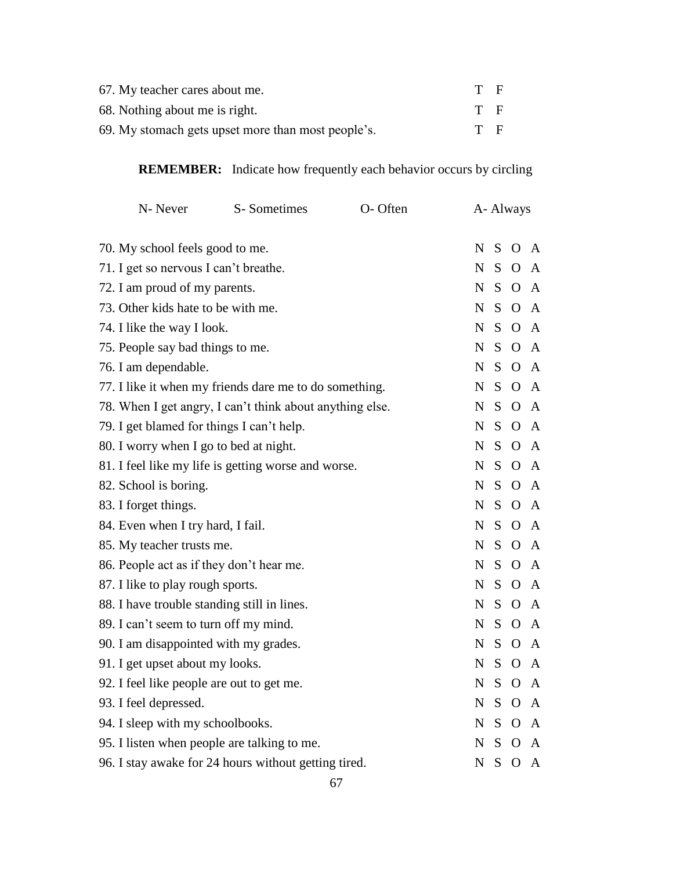| 67. My teacher cares about me.                     | T F |  |
|----------------------------------------------------|-----|--|
| 68. Nothing about me is right.                     | T F |  |
| 69. My stomach gets upset more than most people's. | T F |  |

**REMEMBER:** Indicate how frequently each behavior occurs by circling

| N-Never                                                  | S-Sometimes | O-Often | A- Always   |              |                |              |
|----------------------------------------------------------|-------------|---------|-------------|--------------|----------------|--------------|
| 70. My school feels good to me.                          |             |         | N           | S            | $\overline{O}$ | A            |
| 71. I get so nervous I can't breathe.                    |             |         | N           | S            | $\Omega$       | A            |
| 72. I am proud of my parents.                            |             |         | $\mathbf N$ | S            | $\Omega$       | $\mathsf{A}$ |
| 73. Other kids hate to be with me.                       |             |         | N           | S.           | $\Omega$       | $\mathbf{A}$ |
| 74. I like the way I look.                               |             |         | N           | S.           | $\overline{O}$ | $\mathbf{A}$ |
| 75. People say bad things to me.                         |             |         | N           | S.           | $\Omega$       | A            |
| 76. I am dependable.                                     |             |         | $\mathbf N$ | S            | $\Omega$       | A            |
| 77. I like it when my friends dare me to do something.   |             |         | $\mathbf N$ | S            | $\Omega$       | $\mathbf{A}$ |
| 78. When I get angry, I can't think about anything else. |             |         | $\mathbf N$ | S            | $\Omega$       | A            |
| 79. I get blamed for things I can't help.                |             |         | $\mathbf N$ | S            | $\Omega$       | A            |
| 80. I worry when I go to bed at night.                   |             |         | N           | S            | $\Omega$       | A            |
| 81. I feel like my life is getting worse and worse.      |             |         | $\mathbf N$ | S.           | $\overline{O}$ | $\mathbf{A}$ |
| 82. School is boring.                                    |             |         | N           | S            | $\Omega$       | $\mathbf{A}$ |
| 83. I forget things.                                     |             |         | N           | S            | $\Omega$       | A            |
| 84. Even when I try hard, I fail.                        |             |         | N           | S.           | $\overline{O}$ | A            |
| 85. My teacher trusts me.                                |             |         | $\mathbf N$ | S.           | $\Omega$       | $\mathbf{A}$ |
| 86. People act as if they don't hear me.                 |             |         | $\mathbf N$ | S            | $\Omega$       | $\mathbf{A}$ |
| 87. I like to play rough sports.                         |             |         | N           | S.           | $\Omega$       | $\mathbf{A}$ |
| 88. I have trouble standing still in lines.              |             |         | N           | S.           | $\Omega$       | A            |
| 89. I can't seem to turn off my mind.                    |             |         | $\mathbf N$ | S            | $\Omega$       | A            |
| 90. I am disappointed with my grades.                    |             |         | $\mathbf N$ | S            | $\Omega$       | $\mathbf{A}$ |
| 91. I get upset about my looks.                          |             |         | N           | S.           | $\Omega$       | $\mathbf{A}$ |
| 92. I feel like people are out to get me.                |             |         | N           | S            | $\Omega$       | A            |
| 93. I feel depressed.                                    |             |         | N           | S            | $\Omega$       | A            |
| 94. I sleep with my schoolbooks.                         |             |         | $\mathbf N$ | <sub>S</sub> | $\Omega$       | $\mathbf{A}$ |
| 95. I listen when people are talking to me.              |             |         | N           | S            | $\Omega$       | A            |
| 96. I stay awake for 24 hours without getting tired.     |             |         | $\mathbf N$ | S            | $\Omega$       | $\mathbf{A}$ |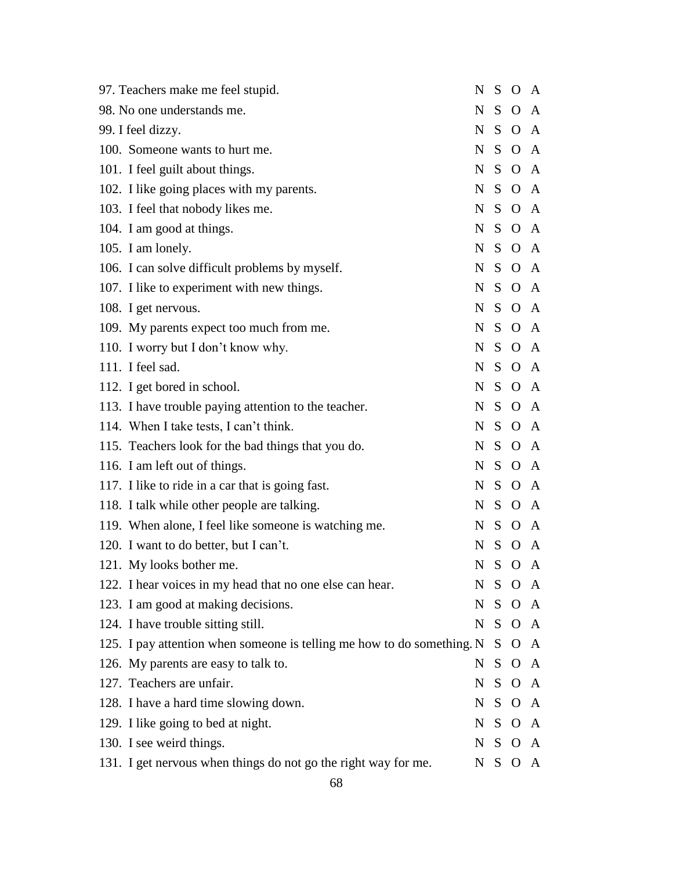| 97. Teachers make me feel stupid.                                      | N           | S       | $\overline{O}$ | A            |
|------------------------------------------------------------------------|-------------|---------|----------------|--------------|
| 98. No one understands me.                                             | N           | S       | $\Omega$       | A            |
| 99. I feel dizzy.                                                      | N           |         | S O            | A            |
| 100. Someone wants to hurt me.                                         | N           | S       | $\mathbf{O}$   | A            |
| 101. I feel guilt about things.                                        | N           |         | S O A          |              |
| 102. I like going places with my parents.                              | N           | S       | $O \, A$       |              |
| 103. I feel that nobody likes me.                                      |             |         | N S O A        |              |
| 104. I am good at things.                                              | N           |         | S O A          |              |
| 105. I am lonely.                                                      |             |         | N S O A        |              |
| 106. I can solve difficult problems by myself.                         | N           |         | S O A          |              |
| 107. I like to experiment with new things.                             | N           |         | S O A          |              |
| 108. I get nervous.                                                    | N           |         | S O A          |              |
| 109. My parents expect too much from me.                               | N           |         | S O A          |              |
| 110. I worry but I don't know why.                                     | N           |         | S O A          |              |
| 111. I feel sad.                                                       |             |         | N S O A        |              |
| 112. I get bored in school.                                            | $\mathbf N$ |         | S O A          |              |
| 113. I have trouble paying attention to the teacher.                   | N           |         | S O A          |              |
| 114. When I take tests, I can't think.                                 | N           |         | S O A          |              |
| 115. Teachers look for the bad things that you do.                     | N           |         | S O A          |              |
| 116. I am left out of things.                                          | N           | S.      | $O \, A$       |              |
| 117. I like to ride in a car that is going fast.                       | N           |         | S O A          |              |
| 118. I talk while other people are talking.                            | N           | S       | $O \, A$       |              |
| 119. When alone, I feel like someone is watching me.                   | N           | S       | $\mathbf{O}$   | A            |
| 120. I want to do better, but I can't.                                 | N           | S       | $\mathbf{O}$   | A            |
| 121. My looks bother me.                                               |             |         | N S O A        |              |
| 122. I hear voices in my head that no one else can hear.               | N.          |         | S O A          |              |
| 123. I am good at making decisions.                                    | N           | $S_{-}$ | $\mathbf{O}$   | $\mathbf{A}$ |
| 124. I have trouble sitting still.                                     |             |         | N S O A        |              |
| 125. I pay attention when someone is telling me how to do something. N |             | S.      | $\mathbf{O}$   | $\mathbf{A}$ |
| 126. My parents are easy to talk to.                                   | N           | S.      | $O \, A$       |              |
| 127. Teachers are unfair.                                              | N           |         | S O A          |              |
| 128. I have a hard time slowing down.                                  |             |         | N S O A        |              |
| 129. I like going to bed at night.                                     | N           |         | S O A          |              |
| 130. I see weird things.                                               |             |         | N S O A        |              |
| 131. I get nervous when things do not go the right way for me.         | N           | S.      | $\mathbf{O}$   | A            |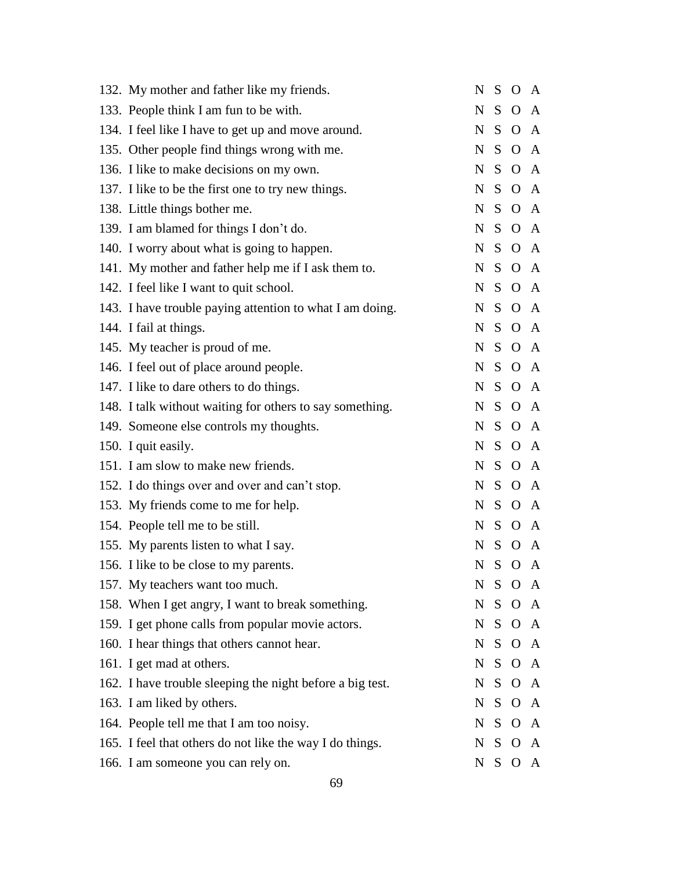| 132. My mother and father like my friends.                |           | N S O A |  |
|-----------------------------------------------------------|-----------|---------|--|
| 133. People think I am fun to be with.                    | N         | S O A   |  |
| 134. I feel like I have to get up and move around.        |           | N S O A |  |
| 135. Other people find things wrong with me.              | N         | S O A   |  |
| 136. I like to make decisions on my own.                  |           | N S O A |  |
| 137. I like to be the first one to try new things.        | $N_{\rm}$ | S O A   |  |
| 138. Little things bother me.                             |           | N S O A |  |
| 139. I am blamed for things I don't do.                   |           | N S O A |  |
| 140. I worry about what is going to happen.               |           | N S O A |  |
| 141. My mother and father help me if I ask them to.       |           | N S O A |  |
| 142. I feel like I want to quit school.                   |           | N S O A |  |
| 143. I have trouble paying attention to what I am doing.  |           | N S O A |  |
| 144. I fail at things.                                    |           | N S O A |  |
| 145. My teacher is proud of me.                           |           | N S O A |  |
| 146. I feel out of place around people.                   |           | N S O A |  |
| 147. I like to dare others to do things.                  |           | N S O A |  |
| 148. I talk without waiting for others to say something.  |           | N S O A |  |
| 149. Someone else controls my thoughts.                   |           | N S O A |  |
| 150. I quit easily.                                       |           | N S O A |  |
| 151. I am slow to make new friends.                       |           | N S O A |  |
| 152. I do things over and over and can't stop.            |           | N S O A |  |
| 153. My friends come to me for help.                      |           | N S O A |  |
| 154. People tell me to be still.                          |           | N S O A |  |
| 155. My parents listen to what I say.                     |           | N S O A |  |
| 156. I like to be close to my parents.                    |           | N S O A |  |
| 157. My teachers want too much.                           |           | N S O A |  |
| 158. When I get angry, I want to break something.         |           | N S O A |  |
| 159. I get phone calls from popular movie actors.         |           | N S O A |  |
| 160. I hear things that others cannot hear.               |           | N S O A |  |
| 161. I get mad at others.                                 |           | N S O A |  |
| 162. I have trouble sleeping the night before a big test. |           | N S O A |  |
| 163. I am liked by others.                                |           | N S O A |  |
| 164. People tell me that I am too noisy.                  |           | N S O A |  |
| 165. I feel that others do not like the way I do things.  |           | N S O A |  |
| 166. I am someone you can rely on.                        |           | N S O A |  |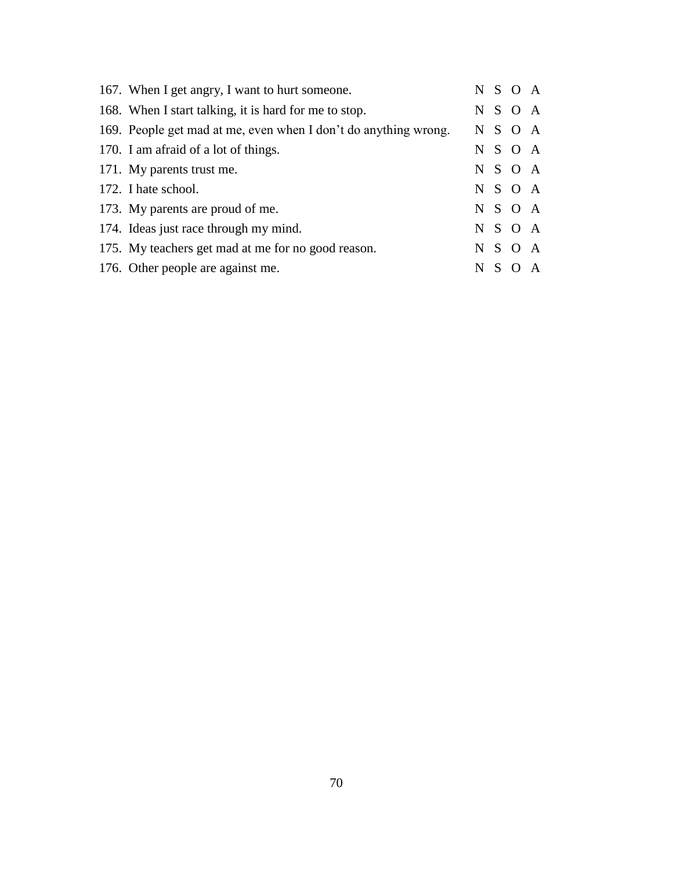| 167. When I get angry, I want to hurt someone.                  |         | N S O A |              |
|-----------------------------------------------------------------|---------|---------|--------------|
| 168. When I start talking, it is hard for me to stop.           |         | N S O A |              |
| 169. People get mad at me, even when I don't do anything wrong. |         | N S O A |              |
| 170. I am afraid of a lot of things.                            |         | N S O A |              |
| 171. My parents trust me.                                       |         | N S O A |              |
| 172. I hate school.                                             |         | N S O A |              |
| 173. My parents are proud of me.                                |         | N S O A |              |
| 174. Ideas just race through my mind.                           |         | N S O A |              |
| 175. My teachers get mad at me for no good reason.              |         | N S O A |              |
| 176. Other people are against me.                               | $N$ S O |         | $\mathbf{A}$ |